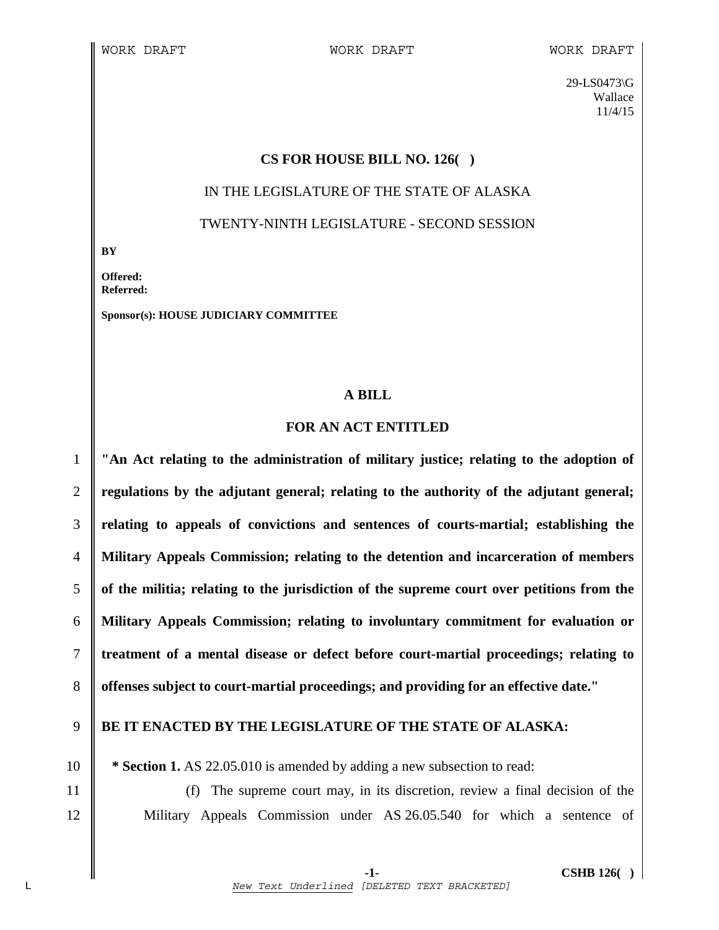29-LS0473\G Wallace 11/4/15

## **CS FOR HOUSE BILL NO. 126( )**

# IN THE LEGISLATURE OF THE STATE OF ALASKA TWENTY-NINTH LEGISLATURE - SECOND SESSION

**BY** 

**Offered: Referred:** 

**Sponsor(s): HOUSE JUDICIARY COMMITTEE** 

# **A BILL**

# **FOR AN ACT ENTITLED**

**"An Act relating to the administration of military justice; relating to the adoption of regulations by the adjutant general; relating to the authority of the adjutant general; relating to appeals of convictions and sentences of courts-martial; establishing the Military Appeals Commission; relating to the detention and incarceration of members of the militia; relating to the jurisdiction of the supreme court over petitions from the Military Appeals Commission; relating to involuntary commitment for evaluation or treatment of a mental disease or defect before court-martial proceedings; relating to offenses subject to court-martial proceedings; and providing for an effective date."** 

# 9 **BE IT ENACTED BY THE LEGISLATURE OF THE STATE OF ALASKA:**

10 **\* Section 1.** AS 22.05.010 is amended by adding a new subsection to read:

11 (f) The supreme court may, in its discretion, review a final decision of the 12 Military Appeals Commission under AS 26.05.540 for which a sentence of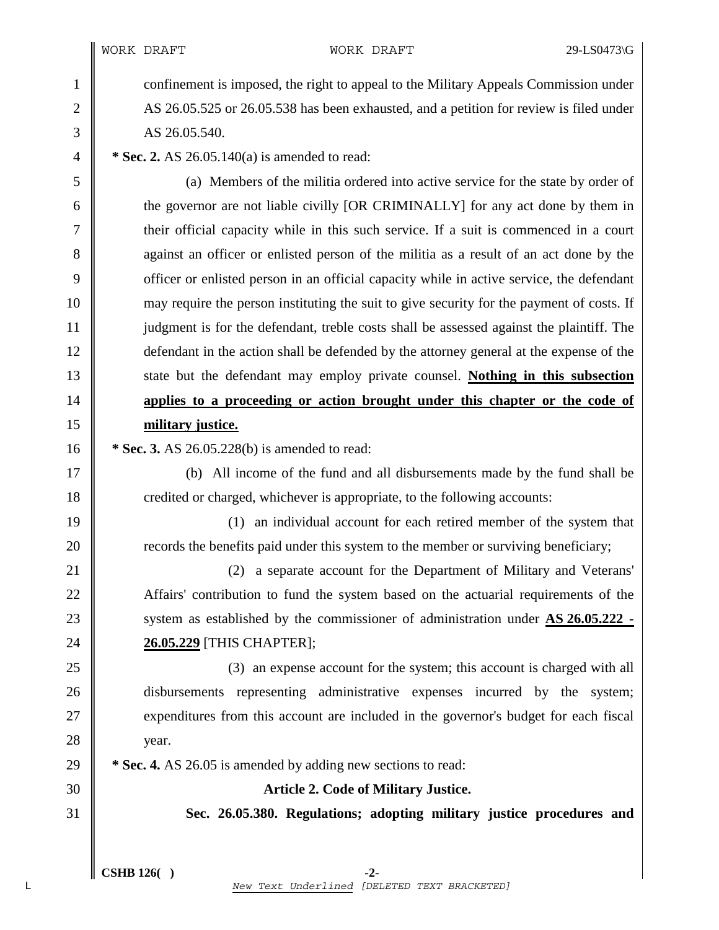1 confinement is imposed, the right to appeal to the Military Appeals Commission under 2 AS 26.05.525 or 26.05.538 has been exhausted, and a petition for review is filed under  $3 \parallel$  AS 26.05.540.

4 **\* Sec. 2.** AS 26.05.140(a) is amended to read:

5 (a) Members of the militia ordered into active service for the state by order of 6 the governor are not liable civilly [OR CRIMINALLY] for any act done by them in 7 their official capacity while in this such service. If a suit is commenced in a court 8 against an officer or enlisted person of the militia as a result of an act done by the 9 officer or enlisted person in an official capacity while in active service, the defendant 10 may require the person instituting the suit to give security for the payment of costs. If 11 judgment is for the defendant, treble costs shall be assessed against the plaintiff. The 12 defendant in the action shall be defended by the attorney general at the expense of the 13 State but the defendant may employ private counsel. **Nothing in this subsection** 14 **applies to a proceeding or action brought under this chapter or the code of**  15 **military justice.**

16 **\*** Sec. 3. AS 26.05.228(b) is amended to read:

17 (b) All income of the fund and all disbursements made by the fund shall be 18 credited or charged, whichever is appropriate, to the following accounts:

19 (1) an individual account for each retired member of the system that 20 **The EX** records the benefits paid under this system to the member or surviving beneficiary;

21 **21** (2) a separate account for the Department of Military and Veterans' 22 Affairs' contribution to fund the system based on the actuarial requirements of the 23 System as established by the commissioner of administration under **AS 26.05.222** -24 **26.05.229** [THIS CHAPTER];

25 (3) an expense account for the system; this account is charged with all 26 disbursements representing administrative expenses incurred by the system; 27 **expenditures from this account are included in the governor's budget for each fiscal** 28 vear.

29 **\* Sec. 4.** AS 26.05 is amended by adding new sections to read:

30 **Article 2. Code of Military Justice.**

31 **Sec. 26.05.380. Regulations; adopting military justice procedures and**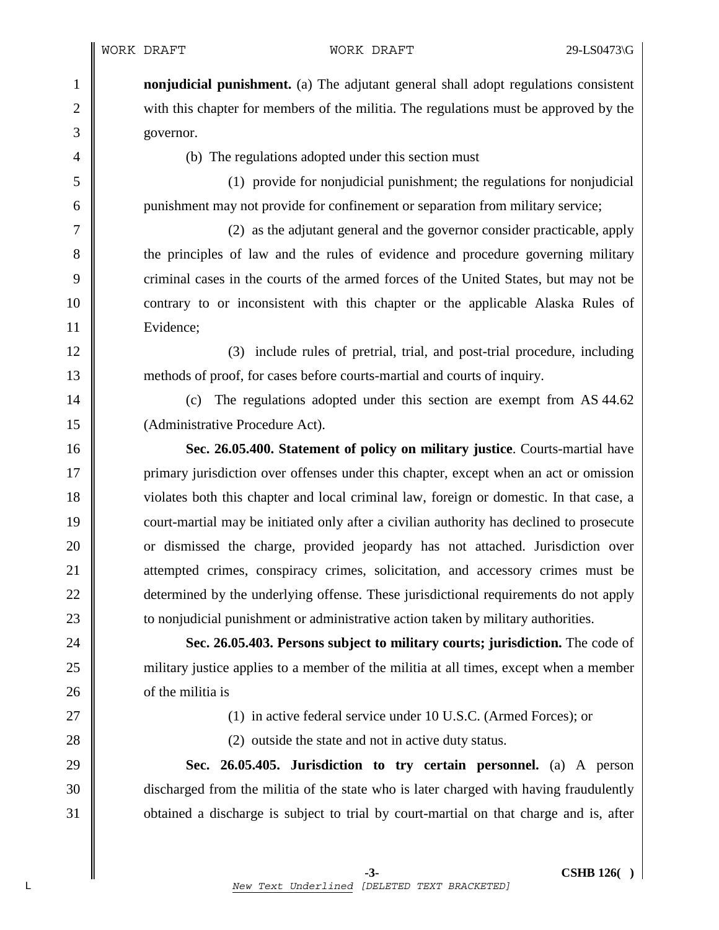1 **nonjudicial punishment.** (a) The adjutant general shall adopt regulations consistent 2 with this chapter for members of the militia. The regulations must be approved by the 3 governor.

4 (b) The regulations adopted under this section must

5 (1) provide for nonjudicial punishment; the regulations for nonjudicial 6 punishment may not provide for confinement or separation from military service;

7 (2) as the adjutant general and the governor consider practicable, apply 8 the principles of law and the rules of evidence and procedure governing military 9 criminal cases in the courts of the armed forces of the United States, but may not be 10 contrary to or inconsistent with this chapter or the applicable Alaska Rules of 11 | Evidence;

12 (3) include rules of pretrial, trial, and post-trial procedure, including 13 methods of proof, for cases before courts-martial and courts of inquiry.

14 (c) The regulations adopted under this section are exempt from AS 44.62 15 | (Administrative Procedure Act).

16 **Sec. 26.05.400. Statement of policy on military justice**. Courts-martial have 17 primary jurisdiction over offenses under this chapter, except when an act or omission 18 violates both this chapter and local criminal law, foreign or domestic. In that case, a 19 court-martial may be initiated only after a civilian authority has declined to prosecute 20 **or** dismissed the charge, provided jeopardy has not attached. Jurisdiction over 21 attempted crimes, conspiracy crimes, solicitation, and accessory crimes must be 22 determined by the underlying offense. These jurisdictional requirements do not apply 23 **to nonjudicial punishment or administrative action taken by military authorities.** 

24 **Sec. 26.05.403. Persons subject to military courts; jurisdiction.** The code of 25 military justice applies to a member of the militia at all times, except when a member 26 **o** of the militia is

27 || (1) in active federal service under 10 U.S.C. (Armed Forces); or

28 (2) outside the state and not in active duty status.

29 **Sec. 26.05.405. Jurisdiction to try certain personnel.** (a) A person 30 discharged from the militia of the state who is later charged with having fraudulently 31 **obtained a discharge is subject to trial by court-martial on that charge and is, after**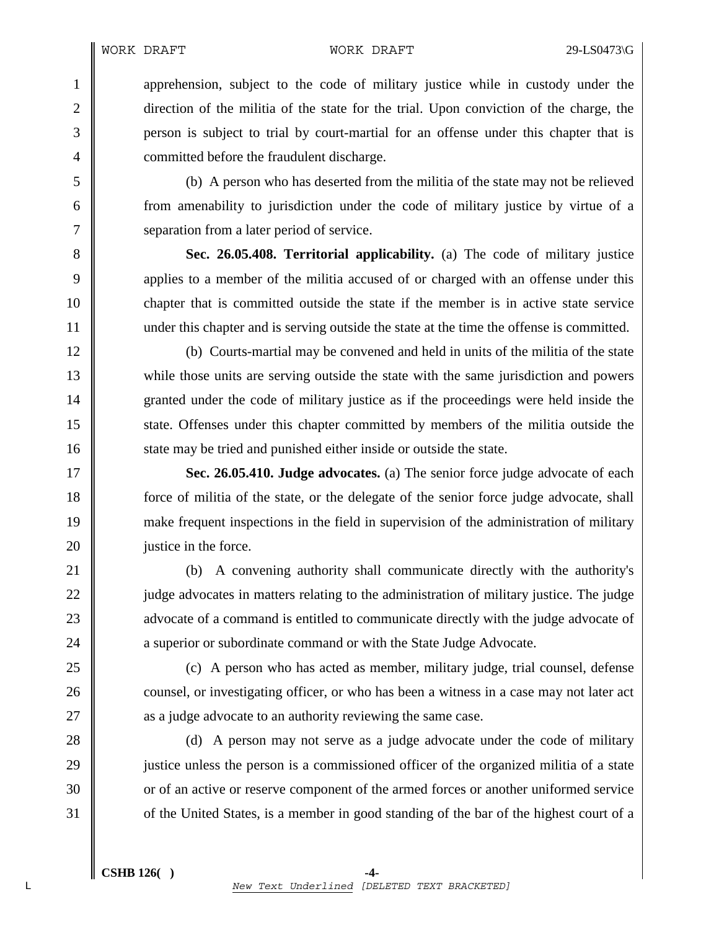1 apprehension, subject to the code of military justice while in custody under the 2 direction of the militia of the state for the trial. Upon conviction of the charge, the 3 person is subject to trial by court-martial for an offense under this chapter that is 4 **committed before the fraudulent discharge.** 

5 (b) A person who has deserted from the militia of the state may not be relieved 6 from amenability to jurisdiction under the code of military justice by virtue of a 7 Separation from a later period of service.

8 **Sec. 26.05.408. Territorial applicability.** (a) The code of military justice 9 9 applies to a member of the militia accused of or charged with an offense under this 10 chapter that is committed outside the state if the member is in active state service 11 under this chapter and is serving outside the state at the time the offense is committed.

12 (b) Courts-martial may be convened and held in units of the militia of the state 13 while those units are serving outside the state with the same jurisdiction and powers 14 granted under the code of military justice as if the proceedings were held inside the 15 state. Offenses under this chapter committed by members of the militia outside the 16 state may be tried and punished either inside or outside the state.

17 **Sec. 26.05.410. Judge advocates.** (a) The senior force judge advocate of each 18 force of militia of the state, or the delegate of the senior force judge advocate, shall 19 make frequent inspections in the field in supervision of the administration of military 20 **justice in the force.** 

21 (b) A convening authority shall communicate directly with the authority's 22 judge advocates in matters relating to the administration of military justice. The judge 23 advocate of a command is entitled to communicate directly with the judge advocate of 24 **a** superior or subordinate command or with the State Judge Advocate.

25 (c) A person who has acted as member, military judge, trial counsel, defense 26 counsel, or investigating officer, or who has been a witness in a case may not later act 27 **a** a judge advocate to an authority reviewing the same case.

28 (d) A person may not serve as a judge advocate under the code of military 29 justice unless the person is a commissioned officer of the organized militia of a state 30 or of an active or reserve component of the armed forces or another uniformed service 31 of the United States, is a member in good standing of the bar of the highest court of a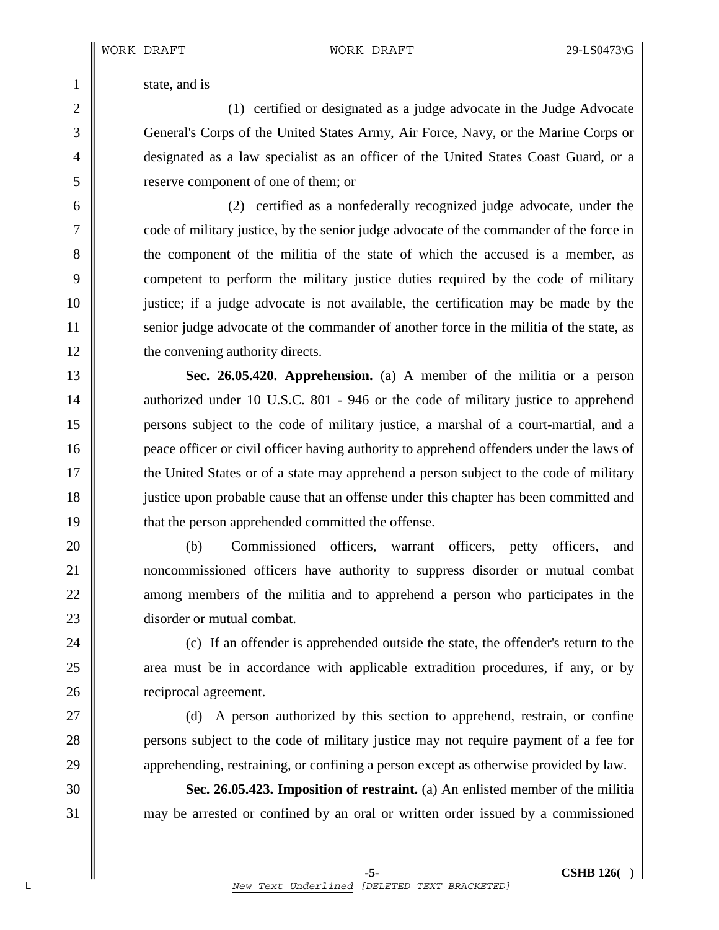1 state, and is

2 (1) certified or designated as a judge advocate in the Judge Advocate 3 General's Corps of the United States Army, Air Force, Navy, or the Marine Corps or 4 designated as a law specialist as an officer of the United States Coast Guard, or a 5 reserve component of one of them; or

6 (2) certified as a nonfederally recognized judge advocate, under the 7 code of military justice, by the senior judge advocate of the commander of the force in 8 the component of the militia of the state of which the accused is a member, as 9 competent to perform the military justice duties required by the code of military 10 ustice; if a judge advocate is not available, the certification may be made by the 11 senior judge advocate of the commander of another force in the militia of the state, as 12 **the convening authority directs.** 

13 **Sec. 26.05.420. Apprehension.** (a) A member of the militia or a person 14 authorized under 10 U.S.C. 801 - 946 or the code of military justice to apprehend 15 persons subject to the code of military justice, a marshal of a court-martial, and a 16 **peace officer or civil officer having authority to apprehend offenders under the laws of** 17 the United States or of a state may apprehend a person subject to the code of military 18 justice upon probable cause that an offense under this chapter has been committed and 19 **that the person apprehended committed the offense.** 

20 (b) Commissioned officers, warrant officers, petty officers, and 21 noncommissioned officers have authority to suppress disorder or mutual combat 22 **a** among members of the militia and to apprehend a person who participates in the 23 **disorder or mutual combat.** 

24 **(c)** If an offender is apprehended outside the state, the offender's return to the 25 area must be in accordance with applicable extradition procedures, if any, or by 26 **c** reciprocal agreement.

27 (d) A person authorized by this section to apprehend, restrain, or confine 28 **persons subject to the code of military justice may not require payment of a fee for** 29 apprehending, restraining, or confining a person except as otherwise provided by law.

30 **Sec. 26.05.423. Imposition of restraint.** (a) An enlisted member of the militia 31 may be arrested or confined by an oral or written order issued by a commissioned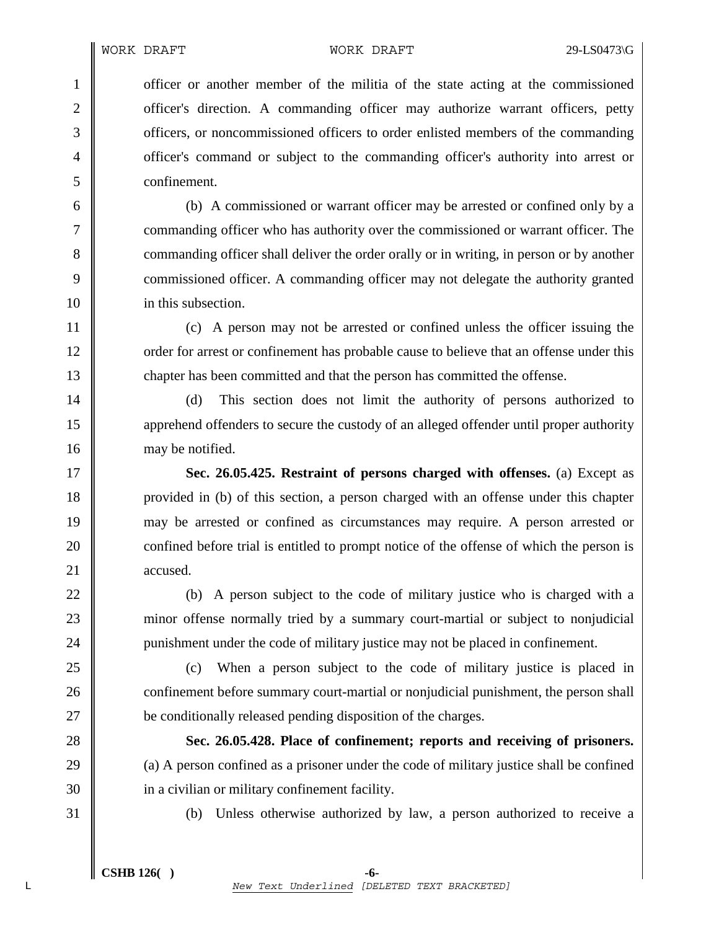1 officer or another member of the militia of the state acting at the commissioned 2 cofficer's direction. A commanding officer may authorize warrant officers, petty 3 **officers**, or noncommissioned officers to order enlisted members of the commanding 4 officer's command or subject to the commanding officer's authority into arrest or 5 confinement.

6 (b) A commissioned or warrant officer may be arrested or confined only by a 7 commanding officer who has authority over the commissioned or warrant officer. The 8 commanding officer shall deliver the order orally or in writing, in person or by another 9 commissioned officer. A commanding officer may not delegate the authority granted 10 **i** in this subsection.

11 (c) A person may not be arrested or confined unless the officer issuing the 12 corder for arrest or confinement has probable cause to believe that an offense under this 13 chapter has been committed and that the person has committed the offense.

14 (d) This section does not limit the authority of persons authorized to 15 apprehend offenders to secure the custody of an alleged offender until proper authority 16 may be notified.

17 **Sec. 26.05.425. Restraint of persons charged with offenses.** (a) Except as 18 provided in (b) of this section, a person charged with an offense under this chapter 19 may be arrested or confined as circumstances may require. A person arrested or 20 confined before trial is entitled to prompt notice of the offense of which the person is 21 accused.

22 (b) A person subject to the code of military justice who is charged with a 23 minor offense normally tried by a summary court-martial or subject to nonjudicial 24 punishment under the code of military justice may not be placed in confinement.

25 (c) When a person subject to the code of military justice is placed in 26 confinement before summary court-martial or nonjudicial punishment, the person shall 27 be conditionally released pending disposition of the charges.

28 **Sec. 26.05.428. Place of confinement; reports and receiving of prisoners.**  29  $\parallel$  (a) A person confined as a prisoner under the code of military justice shall be confined 30 **i** in a civilian or military confinement facility.

31 (b) Unless otherwise authorized by law, a person authorized to receive a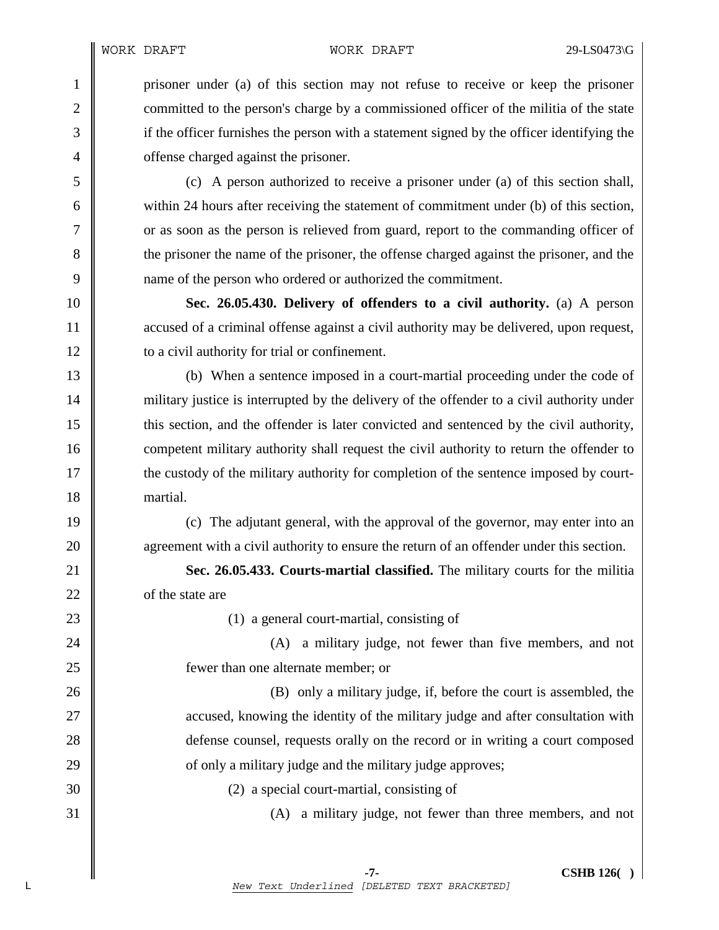1 prisoner under (a) of this section may not refuse to receive or keep the prisoner 2 committed to the person's charge by a commissioned officer of the militia of the state 3 if the officer furnishes the person with a statement signed by the officer identifying the 4 **o** offense charged against the prisoner.

5 (c) A person authorized to receive a prisoner under (a) of this section shall, 6 within 24 hours after receiving the statement of commitment under (b) of this section, 7 compared T or as soon as the person is relieved from guard, report to the commanding officer of 8 the prisoner the name of the prisoner, the offense charged against the prisoner, and the 9 name of the person who ordered or authorized the commitment.

10 **Sec. 26.05.430. Delivery of offenders to a civil authority.** (a) A person 11 accused of a criminal offense against a civil authority may be delivered, upon request, 12 **lack** to a civil authority for trial or confinement.

13 (b) When a sentence imposed in a court-martial proceeding under the code of 14 military justice is interrupted by the delivery of the offender to a civil authority under 15 this section, and the offender is later convicted and sentenced by the civil authority, 16 competent military authority shall request the civil authority to return the offender to 17 the custody of the military authority for completion of the sentence imposed by court-18 | martial.

19 (c) The adjutant general, with the approval of the governor, may enter into an 20 **agreement with a civil authority to ensure the return of an offender under this section.** 

21 **Sec. 26.05.433. Courts-martial classified.** The military courts for the militia 22 of the state are

23 (1) a general court-martial, consisting of

24 || (A) a military judge, not fewer than five members, and not 25 **f**ewer than one alternate member; or

26 (B) only a military judge, if, before the court is assembled, the 27 || accused, knowing the identity of the military judge and after consultation with 28 defense counsel, requests orally on the record or in writing a court composed  $29 \parallel$  of only a military judge and the military judge approves;

30 (2) a special court-martial, consisting of

 $31 \parallel$  (A) a military judge, not fewer than three members, and not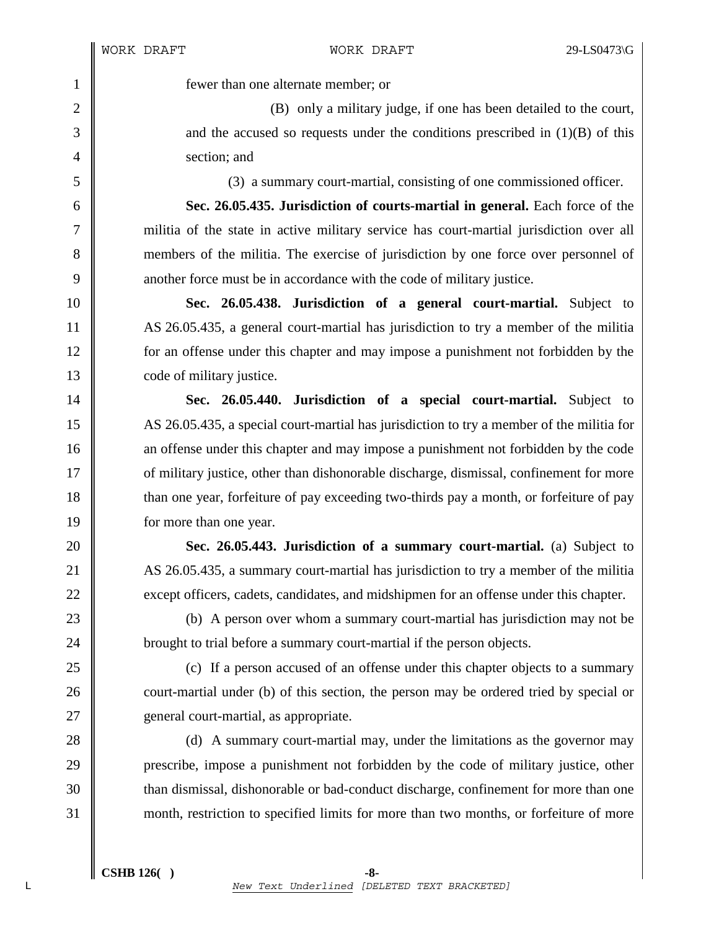1 fewer than one alternate member; or

2 (B) only a military judge, if one has been detailed to the court,  $3 \parallel$  and the accused so requests under the conditions prescribed in (1)(B) of this 4 || section; and

5 (3) a summary court-martial, consisting of one commissioned officer.

6 **Sec. 26.05.435. Jurisdiction of courts-martial in general.** Each force of the 7 militia of the state in active military service has court-martial jurisdiction over all 8 members of the militia. The exercise of jurisdiction by one force over personnel of 9 another force must be in accordance with the code of military justice.

10 **Sec. 26.05.438. Jurisdiction of a general court-martial.** Subject to 11 AS 26.05.435, a general court-martial has jurisdiction to try a member of the militia 12 for an offense under this chapter and may impose a punishment not forbidden by the 13 **code of military justice.** 

14 **Sec. 26.05.440. Jurisdiction of a special court-martial.** Subject to 15 AS 26.05.435, a special court-martial has jurisdiction to try a member of the militia for 16 an offense under this chapter and may impose a punishment not forbidden by the code 17 **or** of military justice, other than dishonorable discharge, dismissal, confinement for more 18 than one year, forfeiture of pay exceeding two-thirds pay a month, or forfeiture of pay 19 **for more than one year.** 

20 **Sec. 26.05.443. Jurisdiction of a summary court-martial.** (a) Subject to 21 AS 26.05.435, a summary court-martial has jurisdiction to try a member of the militia 22 except officers, cadets, candidates, and midshipmen for an offense under this chapter.

23 (b) A person over whom a summary court-martial has jurisdiction may not be 24 **brought to trial before a summary court-martial if the person objects.** 

25 (c) If a person accused of an offense under this chapter objects to a summary 26 court-martial under (b) of this section, the person may be ordered tried by special or 27 **general court-martial, as appropriate.** 

28 (d) A summary court-martial may, under the limitations as the governor may 29 prescribe, impose a punishment not forbidden by the code of military justice, other 30  $\parallel$  than dismissal, dishonorable or bad-conduct discharge, confinement for more than one 31 month, restriction to specified limits for more than two months, or forfeiture of more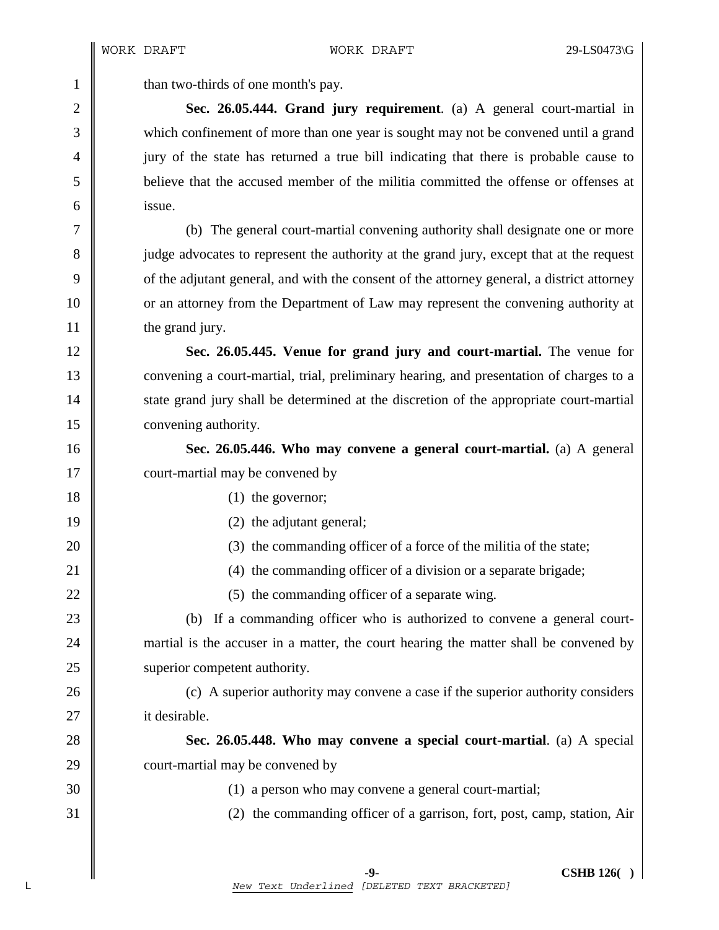1  $\parallel$  than two-thirds of one month's pay.

2 **Sec. 26.05.444. Grand jury requirement**. (a) A general court-martial in 3 which confinement of more than one year is sought may not be convened until a grand 4 jury of the state has returned a true bill indicating that there is probable cause to 5 believe that the accused member of the militia committed the offense or offenses at 6 issue.

7 (b) The general court-martial convening authority shall designate one or more 8 judge advocates to represent the authority at the grand jury, except that at the request 9 of the adjutant general, and with the consent of the attorney general, a district attorney 10 or an attorney from the Department of Law may represent the convening authority at 11 the grand jury.

12 **Sec. 26.05.445. Venue for grand jury and court-martial.** The venue for 13 convening a court-martial, trial, preliminary hearing, and presentation of charges to a 14 State grand jury shall be determined at the discretion of the appropriate court-martial 15 **convening authority.** 

16 **Sec. 26.05.446. Who may convene a general court-martial.** (a) A general 17 court-martial may be convened by

- 18 (1) the governor;
- 19 || (2) the adjutant general;
- 20 (3) the commanding officer of a force of the militia of the state;
- 21 **(4)** the commanding officer of a division or a separate brigade;
- 22  $\parallel$  (5) the commanding officer of a separate wing.

23 (b) If a commanding officer who is authorized to convene a general court-24 martial is the accuser in a matter, the court hearing the matter shall be convened by 25 | superior competent authority.

26 (c) A superior authority may convene a case if the superior authority considers 27 | it desirable.

28 **Sec. 26.05.448. Who may convene a special court-martial**. (a) A special 29 court-martial may be convened by

30 (1) a person who may convene a general court-martial;

31 (2) the commanding officer of a garrison, fort, post, camp, station, Air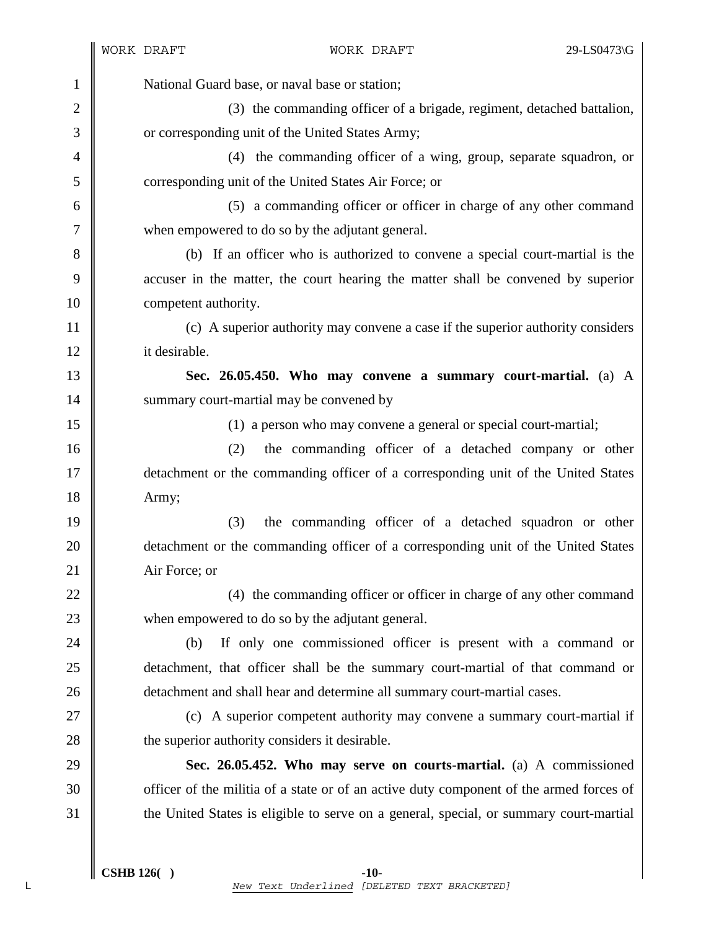1 National Guard base, or naval base or station; 2 (3) the commanding officer of a brigade, regiment, detached battalion, 3 **or** corresponding unit of the United States Army; 4 (4) the commanding officer of a wing, group, separate squadron, or 5 corresponding unit of the United States Air Force; or 6 (5) a commanding officer or officer in charge of any other command 7 when empowered to do so by the adjutant general. 8 (b) If an officer who is authorized to convene a special court-martial is the 9 accuser in the matter, the court hearing the matter shall be convened by superior 10 **competent authority.** 11 (c) A superior authority may convene a case if the superior authority considers 12 it desirable. 13 **Sec. 26.05.450. Who may convene a summary court-martial.** (a) A 14 | summary court-martial may be convened by 15 (1) a person who may convene a general or special court-martial; 16 (2) the commanding officer of a detached company or other 17 detachment or the commanding officer of a corresponding unit of the United States 18 | Army; 19 (3) the commanding officer of a detached squadron or other 20 detachment or the commanding officer of a corresponding unit of the United States 21 Air Force; or 22  $\parallel$  (4) the commanding officer or officer in charge of any other command 23 when empowered to do so by the adjutant general. 24 (b) If only one commissioned officer is present with a command or 25 detachment, that officer shall be the summary court-martial of that command or 26 detachment and shall hear and determine all summary court-martial cases. 27 || (c) A superior competent authority may convene a summary court-martial if 28 **the superior authority considers it desirable.** 29 **Sec. 26.05.452. Who may serve on courts-martial.** (a) A commissioned 30 Somet of the militia of a state or of an active duty component of the armed forces of 31 the United States is eligible to serve on a general, special, or summary court-martial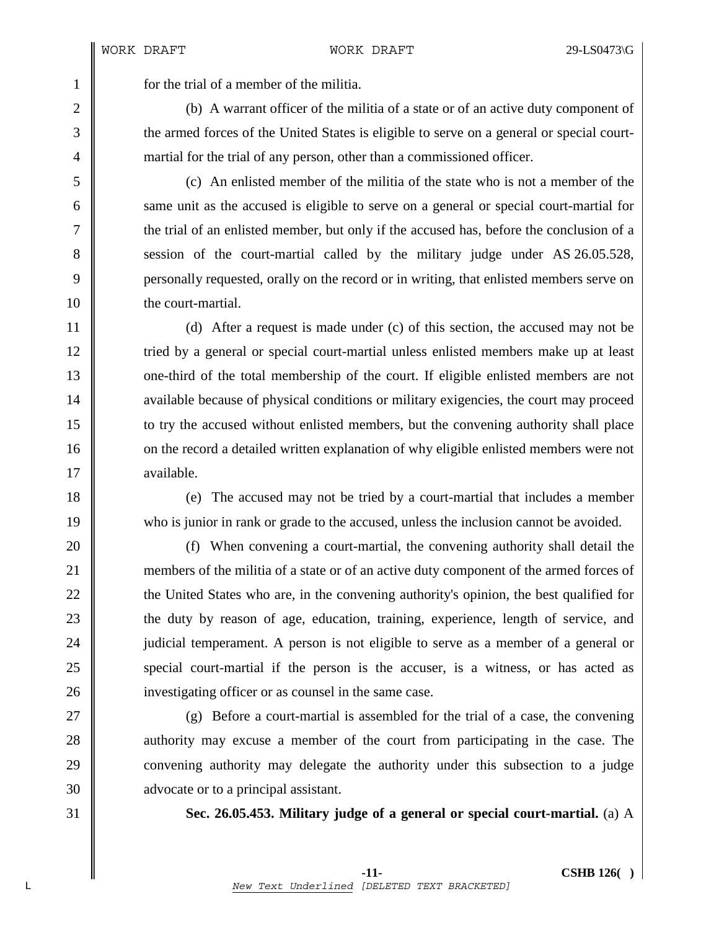1 for the trial of a member of the militia.

2 (b) A warrant officer of the militia of a state or of an active duty component of 3 the armed forces of the United States is eligible to serve on a general or special court-4 martial for the trial of any person, other than a commissioned officer.

5 (c) An enlisted member of the militia of the state who is not a member of the 6 same unit as the accused is eligible to serve on a general or special court-martial for 7 the trial of an enlisted member, but only if the accused has, before the conclusion of a 8 session of the court-martial called by the military judge under AS 26.05.528, 9 personally requested, orally on the record or in writing, that enlisted members serve on 10 **the court-martial.** 

11 (d) After a request is made under (c) of this section, the accused may not be 12 Tried by a general or special court-martial unless enlisted members make up at least 13 one-third of the total membership of the court. If eligible enlisted members are not 14 vailable because of physical conditions or military exigencies, the court may proceed 15 to try the accused without enlisted members, but the convening authority shall place 16 on the record a detailed written explanation of why eligible enlisted members were not 17 | available.

18 (e) The accused may not be tried by a court-martial that includes a member 19 who is junior in rank or grade to the accused, unless the inclusion cannot be avoided.

20 (f) When convening a court-martial, the convening authority shall detail the 21 members of the militia of a state or of an active duty component of the armed forces of 22 the United States who are, in the convening authority's opinion, the best qualified for 23 the duty by reason of age, education, training, experience, length of service, and 24 **judicial temperament.** A person is not eligible to serve as a member of a general or 25 special court-martial if the person is the accuser, is a witness, or has acted as 26 investigating officer or as counsel in the same case.

27 (g) Before a court-martial is assembled for the trial of a case, the convening 28 authority may excuse a member of the court from participating in the case. The 29 convening authority may delegate the authority under this subsection to a judge 30 **a** advocate or to a principal assistant.

31 **Sec. 26.05.453. Military judge of a general or special court-martial.** (a) A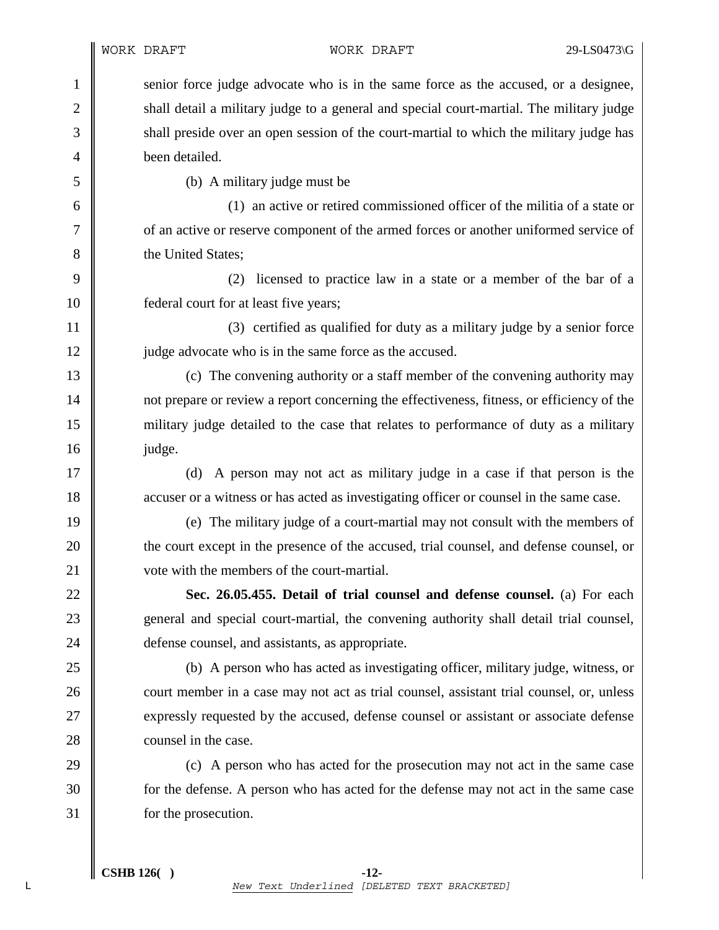1 senior force judge advocate who is in the same force as the accused, or a designee, 2 shall detail a military judge to a general and special court-martial. The military judge 3 shall preside over an open session of the court-martial to which the military judge has 4 **been** detailed.

 $5 \parallel$  (b) A military judge must be

6 (1) an active or retired commissioned officer of the militia of a state or 7 | of an active or reserve component of the armed forces or another uniformed service of 8 **b** the United States:

9 (2) licensed to practice law in a state or a member of the bar of a 10 **federal court for at least five years;** 

11 | (3) certified as qualified for duty as a military judge by a senior force 12 | judge advocate who is in the same force as the accused.

13 (c) The convening authority or a staff member of the convening authority may 14 not prepare or review a report concerning the effectiveness, fitness, or efficiency of the 15 military judge detailed to the case that relates to performance of duty as a military  $16$   $\parallel$  judge.

17 (d) A person may not act as military judge in a case if that person is the 18 accuser or a witness or has acted as investigating officer or counsel in the same case.

19 (e) The military judge of a court-martial may not consult with the members of 20 the court except in the presence of the accused, trial counsel, and defense counsel, or 21 | vote with the members of the court-martial.

22 **Sec. 26.05.455. Detail of trial counsel and defense counsel.** (a) For each 23 general and special court-martial, the convening authority shall detail trial counsel, 24 **defense counsel, and assistants, as appropriate.** 

25 (b) A person who has acted as investigating officer, military judge, witness, or 26 court member in a case may not act as trial counsel, assistant trial counsel, or, unless 27 expressly requested by the accused, defense counsel or assistant or associate defense 28 **counsel in the case.** 

29 (c) A person who has acted for the prosecution may not act in the same case 30 for the defense. A person who has acted for the defense may not act in the same case 31 for the prosecution.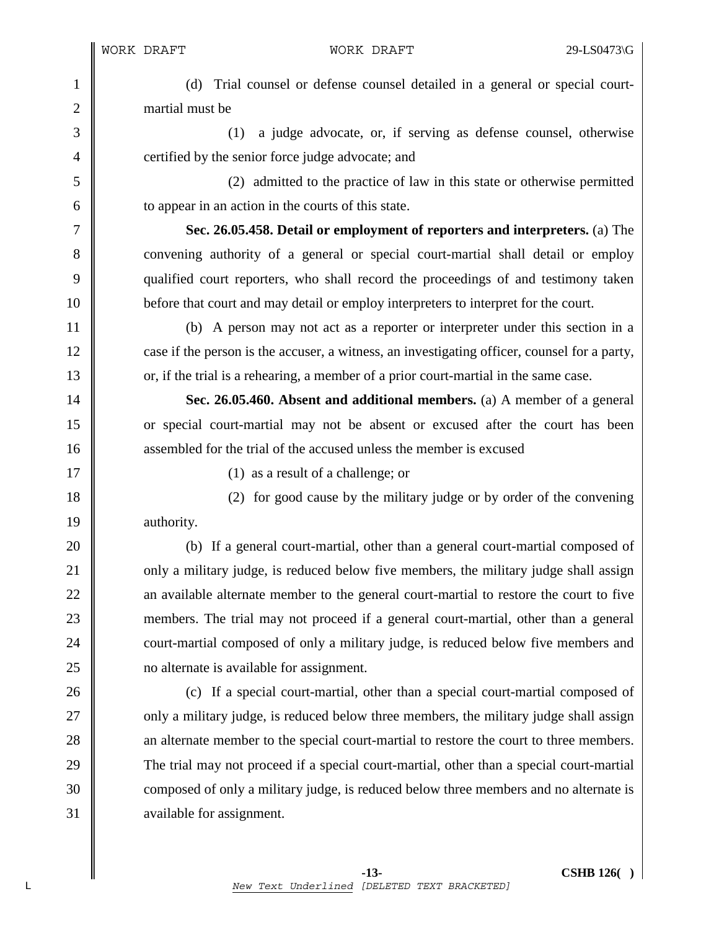1 (d) Trial counsel or defense counsel detailed in a general or special court-2 | martial must be

3 (1) a judge advocate, or, if serving as defense counsel, otherwise 4 **certified by the senior force judge advocate; and** 

5 (2) admitted to the practice of law in this state or otherwise permitted  $\begin{array}{c|c}\n6 & \text{to appear in an action in the courts of this state.}\n\end{array}$ 

7 **Sec. 26.05.458. Detail or employment of reporters and interpreters.** (a) The 8 convening authority of a general or special court-martial shall detail or employ 9 qualified court reporters, who shall record the proceedings of and testimony taken 10 **before that court and may detail or employ interpreters to interpret for the court.** 

11 (b) A person may not act as a reporter or interpreter under this section in a 12 case if the person is the accuser, a witness, an investigating officer, counsel for a party, 13 or, if the trial is a rehearing, a member of a prior court-martial in the same case.

14 **Sec. 26.05.460. Absent and additional members.** (a) A member of a general 15 or special court-martial may not be absent or excused after the court has been 16 **b** assembled for the trial of the accused unless the member is excused

17 || (1) as a result of a challenge; or

18 (2) for good cause by the military judge or by order of the convening 19 | authority.

20 (b) If a general court-martial, other than a general court-martial composed of 21 only a military judge, is reduced below five members, the military judge shall assign 22 an available alternate member to the general court-martial to restore the court to five 23 members. The trial may not proceed if a general court-martial, other than a general 24 court-martial composed of only a military judge, is reduced below five members and 25 | no alternate is available for assignment.

26 (c) If a special court-martial, other than a special court-martial composed of 27 **only a military judge, is reduced below three members, the military judge shall assign** 28 an alternate member to the special court-martial to restore the court to three members. 29 The trial may not proceed if a special court-martial, other than a special court-martial 30 composed of only a military judge, is reduced below three members and no alternate is 31 vailable for assignment.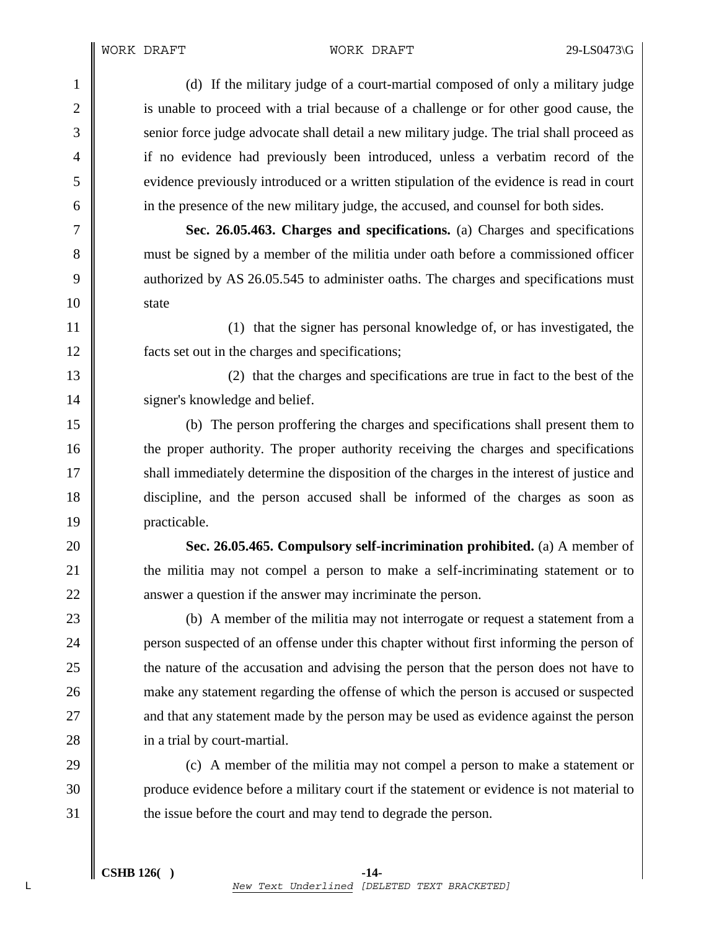1 (d) If the military judge of a court-martial composed of only a military judge 2 is unable to proceed with a trial because of a challenge or for other good cause, the 3 Senior force judge advocate shall detail a new military judge. The trial shall proceed as 4 if no evidence had previously been introduced, unless a verbatim record of the 5 evidence previously introduced or a written stipulation of the evidence is read in court 6 in the presence of the new military judge, the accused, and counsel for both sides.

7 **Sec. 26.05.463. Charges and specifications.** (a) Charges and specifications 8 must be signed by a member of the militia under oath before a commissioned officer 9 authorized by AS 26.05.545 to administer oaths. The charges and specifications must 10 state

11 || 12 facts set out in the charges and specifications;

13 (2) that the charges and specifications are true in fact to the best of the 14 | signer's knowledge and belief.

15 (b) The person proffering the charges and specifications shall present them to 16 the proper authority. The proper authority receiving the charges and specifications 17  $\parallel$  shall immediately determine the disposition of the charges in the interest of justice and 18 discipline, and the person accused shall be informed of the charges as soon as 19 | practicable.

20 **Sec. 26.05.465. Compulsory self-incrimination prohibited.** (a) A member of 21 the militia may not compel a person to make a self-incriminating statement or to 22 answer a question if the answer may incriminate the person.

23 || (b) A member of the militia may not interrogate or request a statement from a 24 **person suspected of an offense under this chapter without first informing the person of** 25 the nature of the accusation and advising the person that the person does not have to 26 make any statement regarding the offense of which the person is accused or suspected 27 and that any statement made by the person may be used as evidence against the person 28 **i** in a trial by court-martial.

29 (c) A member of the militia may not compel a person to make a statement or 30 | produce evidence before a military court if the statement or evidence is not material to 31  $\parallel$  the issue before the court and may tend to degrade the person.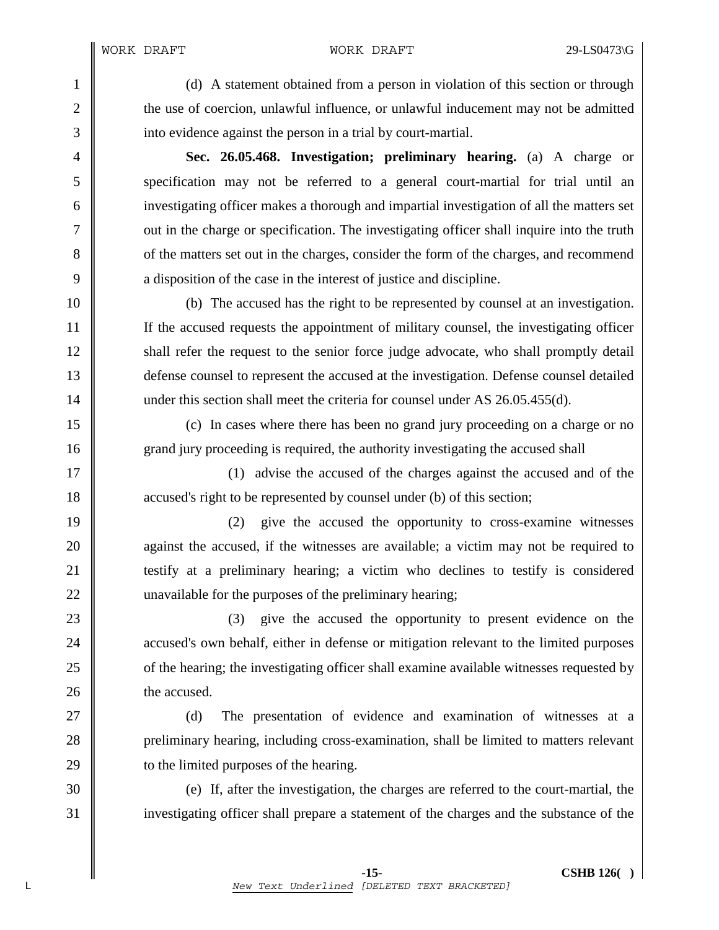1 (d) A statement obtained from a person in violation of this section or through 2 the use of coercion, unlawful influence, or unlawful inducement may not be admitted 3 into evidence against the person in a trial by court-martial.

4 **Sec. 26.05.468. Investigation; preliminary hearing.** (a) A charge or 5 specification may not be referred to a general court-martial for trial until an 6 investigating officer makes a thorough and impartial investigation of all the matters set 7 out in the charge or specification. The investigating officer shall inquire into the truth 8 of the matters set out in the charges, consider the form of the charges, and recommend 9 a disposition of the case in the interest of justice and discipline.

10 (b) The accused has the right to be represented by counsel at an investigation. 11 If the accused requests the appointment of military counsel, the investigating officer 12 Shall refer the request to the senior force judge advocate, who shall promptly detail 13 defense counsel to represent the accused at the investigation. Defense counsel detailed 14 under this section shall meet the criteria for counsel under AS 26.05.455(d).

15 (c) In cases where there has been no grand jury proceeding on a charge or no 16 grand jury proceeding is required, the authority investigating the accused shall

17 || (1) advise the accused of the charges against the accused and of the 18  $\parallel$  accused's right to be represented by counsel under (b) of this section;

19 (2) give the accused the opportunity to cross-examine witnesses 20 **against the accused, if the witnesses are available; a victim may not be required to** 21 testify at a preliminary hearing; a victim who declines to testify is considered 22 unavailable for the purposes of the preliminary hearing;

23 (3) give the accused the opportunity to present evidence on the 24 **accused's own behalf, either in defense or mitigation relevant to the limited purposes** 25 of the hearing; the investigating officer shall examine available witnesses requested by 26 **the accused.** 

27 || (d) The presentation of evidence and examination of witnesses at a 28 preliminary hearing, including cross-examination, shall be limited to matters relevant 29 **b** to the limited purposes of the hearing.

30 (e) If, after the investigation, the charges are referred to the court-martial, the 31 investigating officer shall prepare a statement of the charges and the substance of the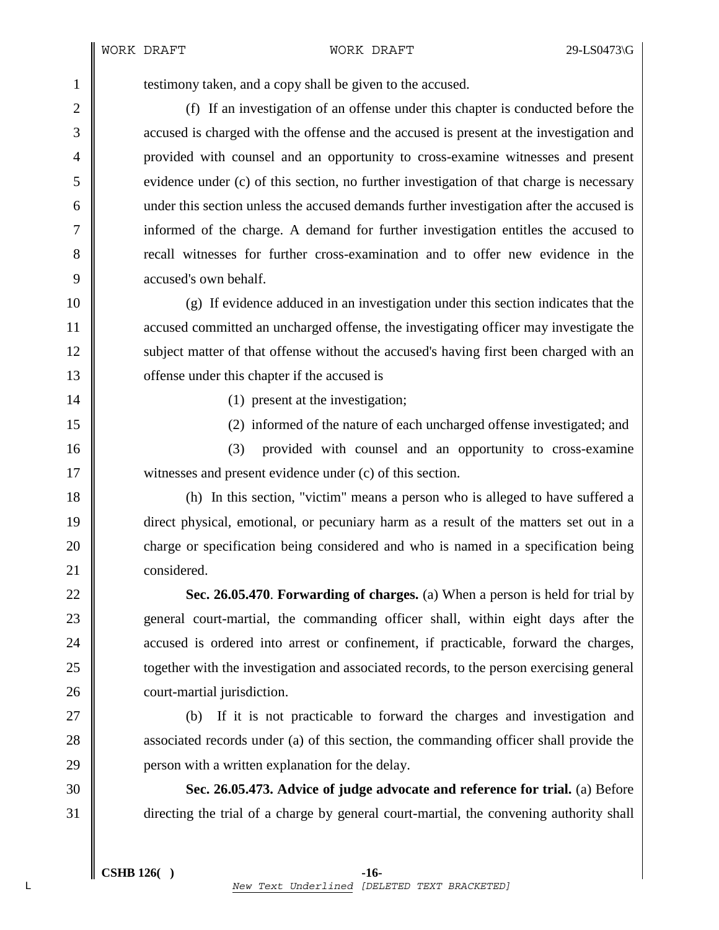1 testimony taken, and a copy shall be given to the accused.

2 (f) If an investigation of an offense under this chapter is conducted before the 3 accused is charged with the offense and the accused is present at the investigation and 4 provided with counsel and an opportunity to cross-examine witnesses and present  $5 \parallel$  evidence under (c) of this section, no further investigation of that charge is necessary 6 under this section unless the accused demands further investigation after the accused is 7 informed of the charge. A demand for further investigation entitles the accused to 8 recall witnesses for further cross-examination and to offer new evidence in the 9 **accused's own behalf.** 

10 (g) If evidence adduced in an investigation under this section indicates that the 11 accused committed an uncharged offense, the investigating officer may investigate the 12 | subject matter of that offense without the accused's having first been charged with an 13 **offense** under this chapter if the accused is

14 || (1) present at the investigation;

15 (2) informed of the nature of each uncharged offense investigated; and

16 || (3) provided with counsel and an opportunity to cross-examine 17 witnesses and present evidence under (c) of this section.

18 (h) In this section, "victim" means a person who is alleged to have suffered a 19 direct physical, emotional, or pecuniary harm as a result of the matters set out in a 20 charge or specification being considered and who is named in a specification being 21 considered.

22 **Sec. 26.05.470**. **Forwarding of charges.** (a) When a person is held for trial by 23 general court-martial, the commanding officer shall, within eight days after the 24 **accused is ordered into arrest or confinement, if practicable, forward the charges,** 25 **together with the investigation and associated records, to the person exercising general** 26 court-martial jurisdiction.

27 (b) If it is not practicable to forward the charges and investigation and 28 associated records under (a) of this section, the commanding officer shall provide the 29 **person with a written explanation for the delay.** 

30 **Sec. 26.05.473. Advice of judge advocate and reference for trial.** (a) Before 31 directing the trial of a charge by general court-martial, the convening authority shall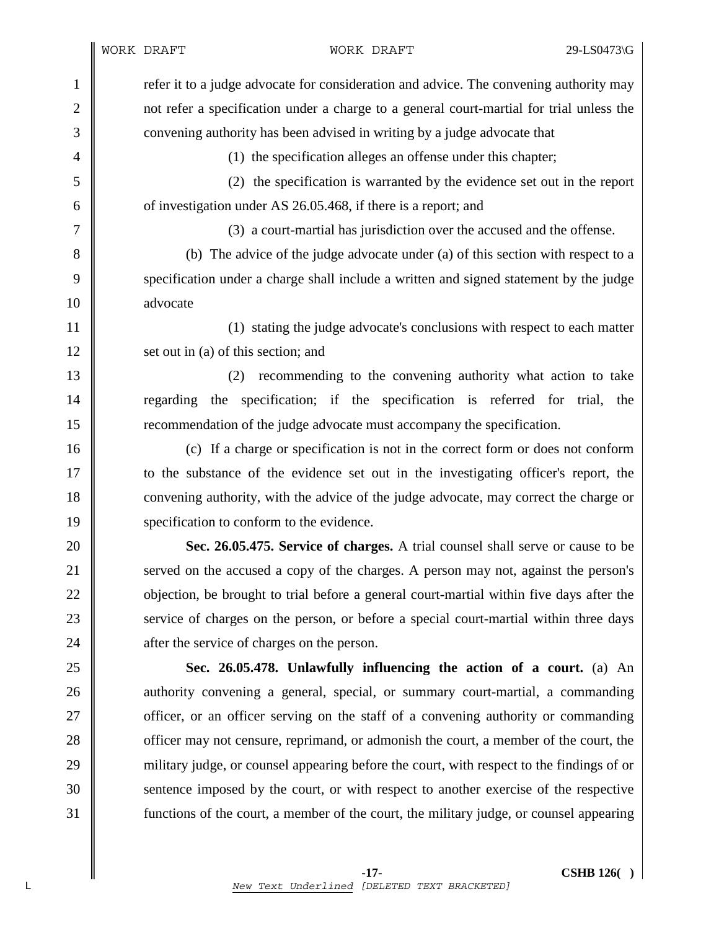1 formulate 1 refer it to a judge advocate for consideration and advice. The convening authority may 2 not refer a specification under a charge to a general court-martial for trial unless the 3 convening authority has been advised in writing by a judge advocate that

4 (1) the specification alleges an offense under this chapter;

5 (2) the specification is warranted by the evidence set out in the report 6  $\parallel$  of investigation under AS 26.05.468, if there is a report; and

7 (3) a court-martial has jurisdiction over the accused and the offense.

8 (b) The advice of the judge advocate under (a) of this section with respect to a 9 specification under a charge shall include a written and signed statement by the judge 10 advocate

11 | (1) stating the judge advocate's conclusions with respect to each matter 12 set out in (a) of this section; and

13 (2) recommending to the convening authority what action to take 14 Terred for trial, the specification; if the specification is referred for trial, the 15 recommendation of the judge advocate must accompany the specification.

16 (c) If a charge or specification is not in the correct form or does not conform 17 to the substance of the evidence set out in the investigating officer's report, the 18 convening authority, with the advice of the judge advocate, may correct the charge or 19 specification to conform to the evidence.

20 **Sec. 26.05.475. Service of charges.** A trial counsel shall serve or cause to be 21 Served on the accused a copy of the charges. A person may not, against the person's 22 objection, be brought to trial before a general court-martial within five days after the 23 Service of charges on the person, or before a special court-martial within three days 24 **a** after the service of charges on the person.

25 **Sec. 26.05.478. Unlawfully influencing the action of a court.** (a) An 26 authority convening a general, special, or summary court-martial, a commanding 27 **officer**, or an officer serving on the staff of a convening authority or commanding 28 cofficer may not censure, reprimand, or admonish the court, a member of the court, the 29 military judge, or counsel appearing before the court, with respect to the findings of or 30 Sentence imposed by the court, or with respect to another exercise of the respective 31 functions of the court, a member of the court, the military judge, or counsel appearing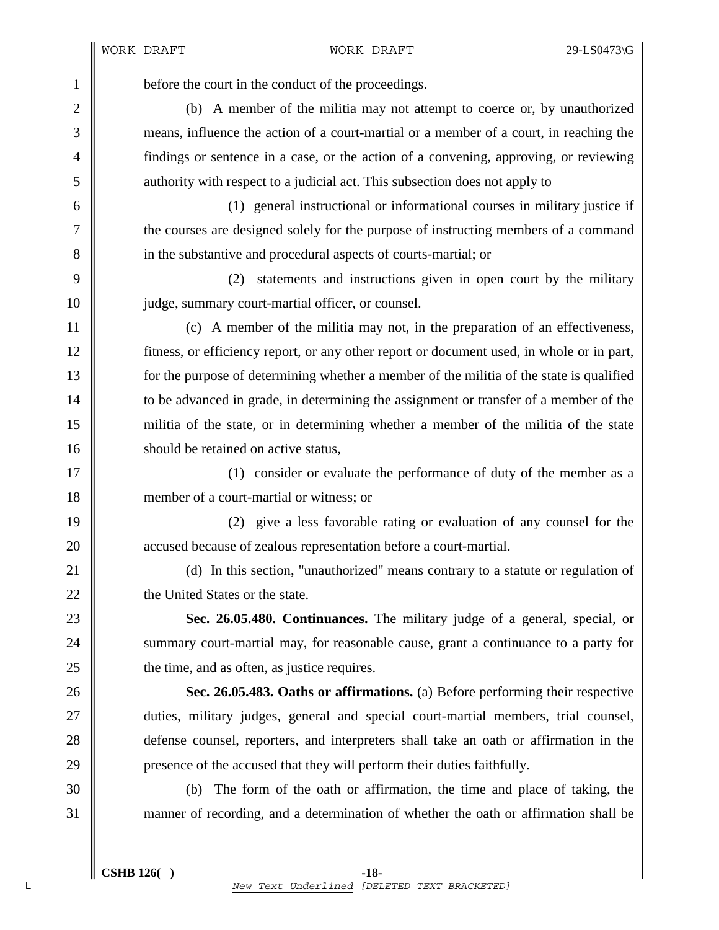1 before the court in the conduct of the proceedings.

2 (b) A member of the militia may not attempt to coerce or, by unauthorized 3 means, influence the action of a court-martial or a member of a court, in reaching the 4 findings or sentence in a case, or the action of a convening, approving, or reviewing 5 authority with respect to a judicial act. This subsection does not apply to

6 (1) general instructional or informational courses in military justice if 7 the courses are designed solely for the purpose of instructing members of a command 8 in the substantive and procedural aspects of courts-martial; or

9 (2) statements and instructions given in open court by the military 10 **judge, summary court-martial officer, or counsel.** 

11 (c) A member of the militia may not, in the preparation of an effectiveness, 12 fitness, or efficiency report, or any other report or document used, in whole or in part, 13 for the purpose of determining whether a member of the militia of the state is qualified 14 to be advanced in grade, in determining the assignment or transfer of a member of the 15 militia of the state, or in determining whether a member of the militia of the state 16 **should be retained on active status.** 

17 || (1) consider or evaluate the performance of duty of the member as a 18 member of a court-martial or witness; or

19 (2) give a less favorable rating or evaluation of any counsel for the 20 accused because of zealous representation before a court-martial.

21 (d) In this section, "unauthorized" means contrary to a statute or regulation of 22 **the United States or the state.** 

23 **Sec. 26.05.480. Continuances.** The military judge of a general, special, or 24 Summary court-martial may, for reasonable cause, grant a continuance to a party for 25  $\parallel$  the time, and as often, as justice requires.

26 **Sec. 26.05.483. Oaths or affirmations.** (a) Before performing their respective 27 duties, military judges, general and special court-martial members, trial counsel, 28 defense counsel, reporters, and interpreters shall take an oath or affirmation in the 29 **presence of the accused that they will perform their duties faithfully.** 

30 (b) The form of the oath or affirmation, the time and place of taking, the 31 manner of recording, and a determination of whether the oath or affirmation shall be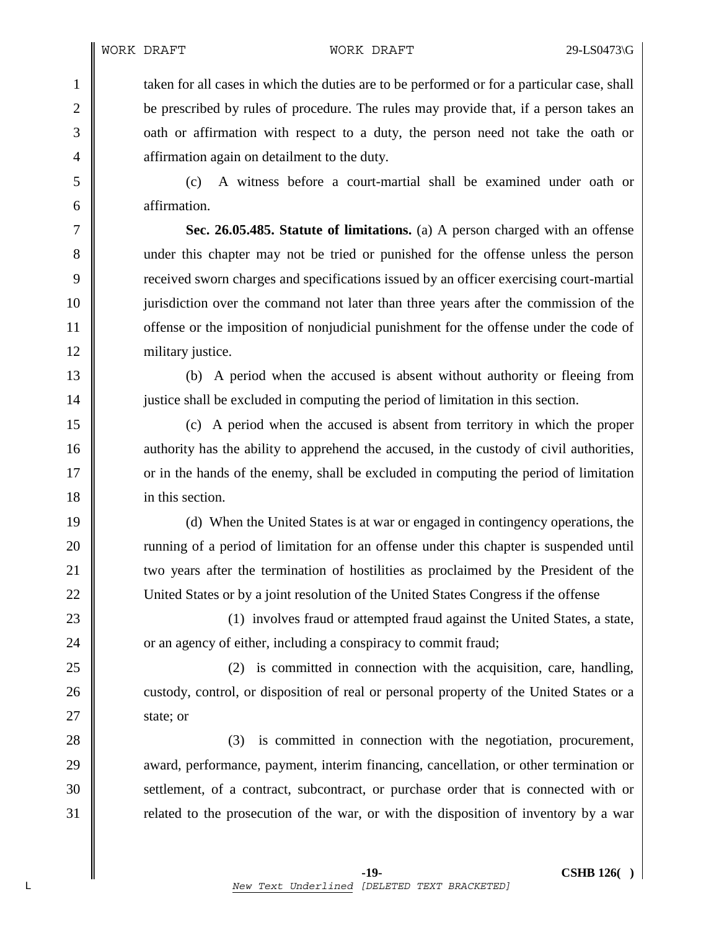1 taken for all cases in which the duties are to be performed or for a particular case, shall 2 be prescribed by rules of procedure. The rules may provide that, if a person takes an 3 oath or affirmation with respect to a duty, the person need not take the oath or 4 **a** affirmation again on detailment to the duty.

5 (c) A witness before a court-martial shall be examined under oath or 6 affirmation.

7 **Sec. 26.05.485. Statute of limitations.** (a) A person charged with an offense 8 under this chapter may not be tried or punished for the offense unless the person 9 received sworn charges and specifications issued by an officer exercising court-martial 10 jurisdiction over the command not later than three years after the commission of the 11 **offense** or the imposition of nonjudicial punishment for the offense under the code of 12 | military justice.

13 (b) A period when the accused is absent without authority or fleeing from 14 justice shall be excluded in computing the period of limitation in this section.

15 (c) A period when the accused is absent from territory in which the proper 16 authority has the ability to apprehend the accused, in the custody of civil authorities, 17 or in the hands of the enemy, shall be excluded in computing the period of limitation 18 in this section.

19 (d) When the United States is at war or engaged in contingency operations, the 20 Tunning of a period of limitation for an offense under this chapter is suspended until 21 vullet us two years after the termination of hostilities as proclaimed by the President of the 22 United States or by a joint resolution of the United States Congress if the offense

23 || (1) involves fraud or attempted fraud against the United States, a state, 24 **or an** agency of either, including a conspiracy to commit fraud;

 $25 \parallel$  (2) is committed in connection with the acquisition, care, handling, 26 custody, control, or disposition of real or personal property of the United States or a 27  $\parallel$  state; or

28 (3) is committed in connection with the negotiation, procurement, 29 award, performance, payment, interim financing, cancellation, or other termination or 30 Settlement, of a contract, subcontract, or purchase order that is connected with or  $31$  related to the prosecution of the war, or with the disposition of inventory by a war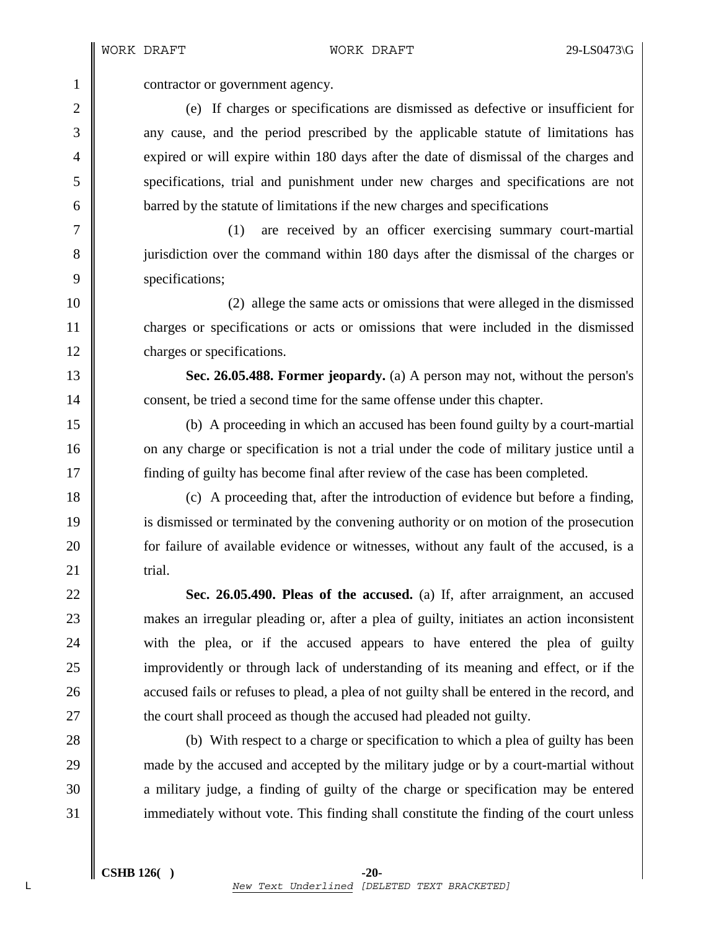1 contractor or government agency.

2 (e) If charges or specifications are dismissed as defective or insufficient for 3 any cause, and the period prescribed by the applicable statute of limitations has 4 expired or will expire within 180 days after the date of dismissal of the charges and 5 specifications, trial and punishment under new charges and specifications are not 6 barred by the statute of limitations if the new charges and specifications

7 (1) are received by an officer exercising summary court-martial 8 jurisdiction over the command within 180 days after the dismissal of the charges or 9 specifications;

10 (2) allege the same acts or omissions that were alleged in the dismissed 11 charges or specifications or acts or omissions that were included in the dismissed 12 | charges or specifications.

13 **Sec. 26.05.488. Former jeopardy.** (a) A person may not, without the person's 14 consent, be tried a second time for the same offense under this chapter.

15 (b) A proceeding in which an accused has been found guilty by a court-martial 16 on any charge or specification is not a trial under the code of military justice until a 17 finding of guilty has become final after review of the case has been completed.

18 (c) A proceeding that, after the introduction of evidence but before a finding, 19 is dismissed or terminated by the convening authority or on motion of the prosecution 20 **for failure of available evidence or witnesses, without any fault of the accused, is a** 21  $\parallel$  trial.

22 **Sec. 26.05.490. Pleas of the accused.** (a) If, after arraignment, an accused 23 makes an irregular pleading or, after a plea of guilty, initiates an action inconsistent 24 with the plea, or if the accused appears to have entered the plea of guilty 25 improvidently or through lack of understanding of its meaning and effect, or if the 26 **accused fails or refuses to plead, a plea of not guilty shall be entered in the record, and** 27  $\parallel$  the court shall proceed as though the accused had pleaded not guilty.

28 (b) With respect to a charge or specification to which a plea of guilty has been 29 made by the accused and accepted by the military judge or by a court-martial without 30 **a** military judge, a finding of guilty of the charge or specification may be entered 31 immediately without vote. This finding shall constitute the finding of the court unless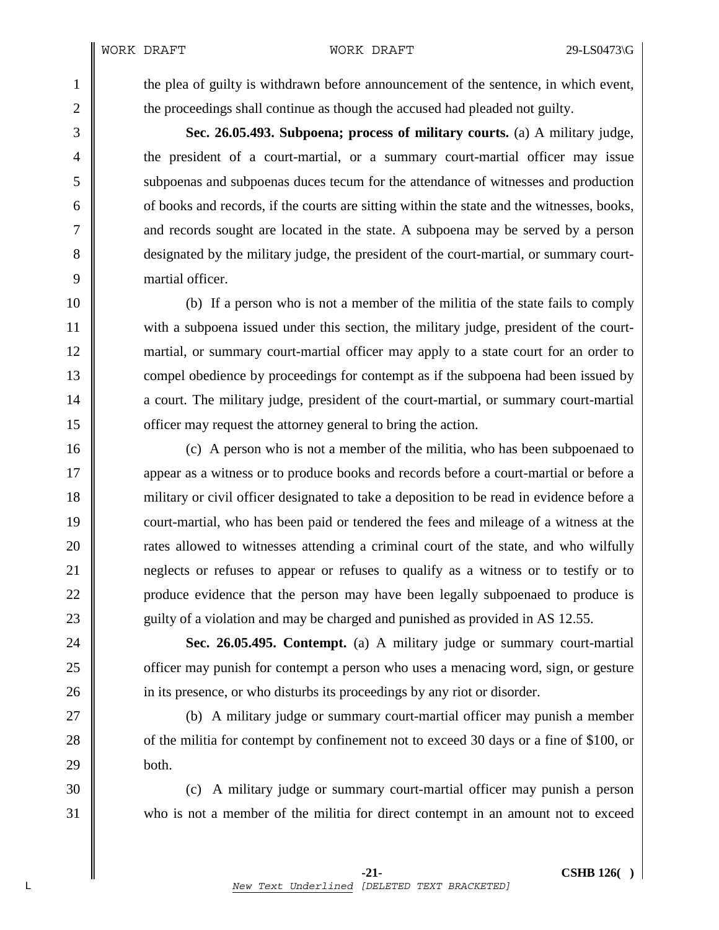1 the plea of guilty is withdrawn before announcement of the sentence, in which event, 2 the proceedings shall continue as though the accused had pleaded not guilty.

3 **Sec. 26.05.493. Subpoena; process of military courts.** (a) A military judge, 4 the president of a court-martial, or a summary court-martial officer may issue 5 subpoenas and subpoenas duces tecum for the attendance of witnesses and production  $6 \parallel$  of books and records, if the courts are sitting within the state and the witnesses, books, 7 and records sought are located in the state. A subpoena may be served by a person 8 designated by the military judge, the president of the court-martial, or summary court-9 martial officer.

10 (b) If a person who is not a member of the militia of the state fails to comply 11 with a subpoena issued under this section, the military judge, president of the court-12 martial, or summary court-martial officer may apply to a state court for an order to 13 compel obedience by proceedings for contempt as if the subpoena had been issued by 14 a court. The military judge, president of the court-martial, or summary court-martial 15 **officer may request the attorney general to bring the action.** 

16 (c) A person who is not a member of the militia, who has been subpoenaed to 17 **a** appear as a witness or to produce books and records before a court-martial or before a 18 military or civil officer designated to take a deposition to be read in evidence before a 19 court-martial, who has been paid or tendered the fees and mileage of a witness at the 20 **rates allowed to witnesses attending a criminal court of the state, and who wilfully** 21 **neglects** or refuses to appear or refuses to qualify as a witness or to testify or to 22 | produce evidence that the person may have been legally subpoenaed to produce is 23 guilty of a violation and may be charged and punished as provided in AS 12.55.

24 **Sec. 26.05.495. Contempt.** (a) A military judge or summary court-martial 25 **officer may punish for contempt a person who uses a menacing word, sign, or gesture** 26 **i** in its presence, or who disturbs its proceedings by any riot or disorder.

27 (b) A military judge or summary court-martial officer may punish a member 28 of the militia for contempt by confinement not to exceed 30 days or a fine of \$100, or  $29$  **both.** 

30 (c) A military judge or summary court-martial officer may punish a person 31 who is not a member of the militia for direct contempt in an amount not to exceed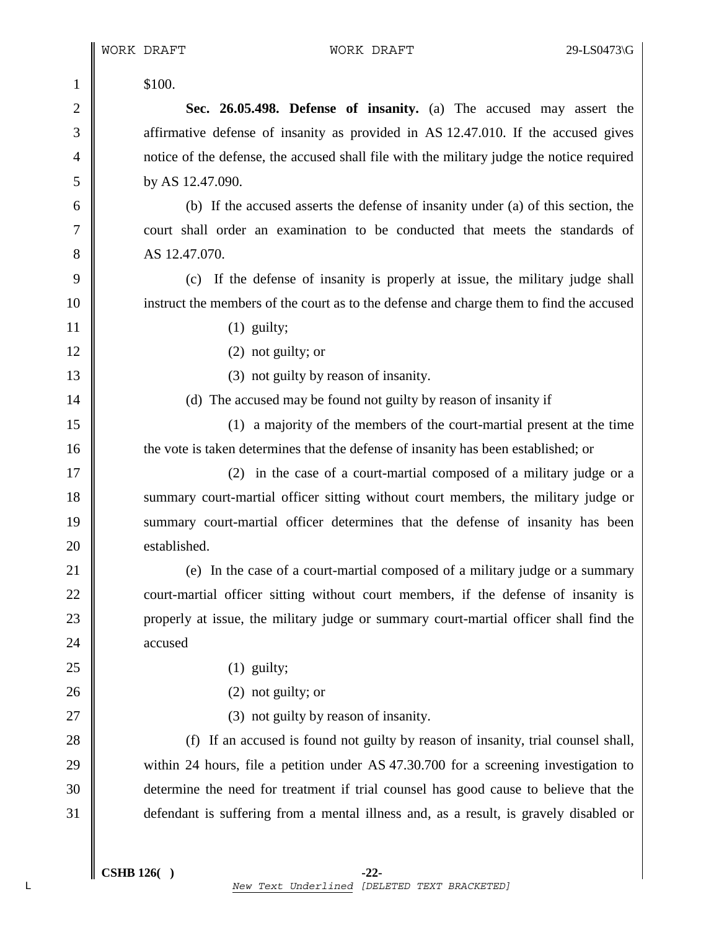| 1              | \$100.                                                                                    |
|----------------|-------------------------------------------------------------------------------------------|
| $\overline{2}$ | Sec. 26.05.498. Defense of insanity. (a) The accused may assert the                       |
| $\mathfrak{Z}$ | affirmative defense of insanity as provided in AS 12.47.010. If the accused gives         |
| $\overline{4}$ | notice of the defense, the accused shall file with the military judge the notice required |
| 5              | by AS 12.47.090.                                                                          |
| 6              | (b) If the accused asserts the defense of insanity under (a) of this section, the         |
| 7              | court shall order an examination to be conducted that meets the standards of              |
| 8              | AS 12.47.070.                                                                             |
| 9              | (c) If the defense of insanity is properly at issue, the military judge shall             |
| 10             | instruct the members of the court as to the defense and charge them to find the accused   |
| 11             | $(1)$ guilty;                                                                             |
| 12             | $(2)$ not guilty; or                                                                      |
| 13             | (3) not guilty by reason of insanity.                                                     |
| 14             | (d) The accused may be found not guilty by reason of insanity if                          |
| 15             | (1) a majority of the members of the court-martial present at the time                    |
| 16             | the vote is taken determines that the defense of insanity has been established; or        |
| 17             | (2) in the case of a court-martial composed of a military judge or a                      |
| 18             | summary court-martial officer sitting without court members, the military judge or        |
| 19             | summary court-martial officer determines that the defense of insanity has been            |
| 20             | established.                                                                              |
| 21             | (e) In the case of a court-martial composed of a military judge or a summary              |
| 22             | court-martial officer sitting without court members, if the defense of insanity is        |
| 23             | properly at issue, the military judge or summary court-martial officer shall find the     |
| 24             | accused                                                                                   |
| 25             | $(1)$ guilty;                                                                             |
| 26             | $(2)$ not guilty; or                                                                      |
| 27             | (3) not guilty by reason of insanity.                                                     |
| 28             | (f) If an accused is found not guilty by reason of insanity, trial counsel shall,         |
| 29             | within 24 hours, file a petition under AS 47.30.700 for a screening investigation to      |
| 30             | determine the need for treatment if trial counsel has good cause to believe that the      |
| 31             | defendant is suffering from a mental illness and, as a result, is gravely disabled or     |

20

24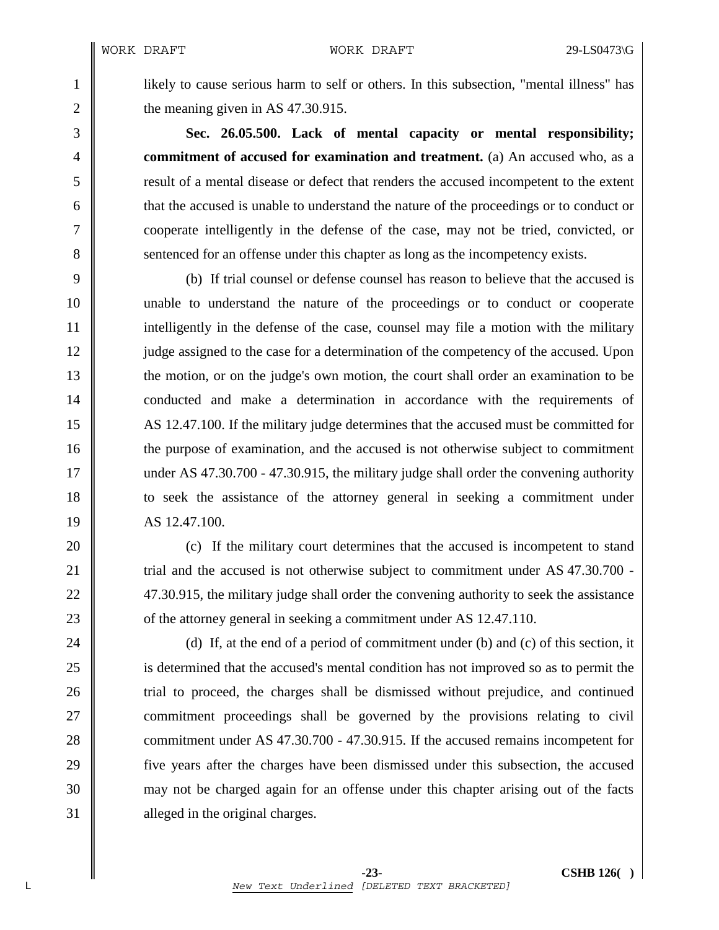1 likely to cause serious harm to self or others. In this subsection, "mental illness" has 2  $\parallel$  the meaning given in AS 47.30.915.

3 **Sec. 26.05.500. Lack of mental capacity or mental responsibility;**  4 **commitment of accused for examination and treatment.** (a) An accused who, as a 5 result of a mental disease or defect that renders the accused incompetent to the extent 6 that the accused is unable to understand the nature of the proceedings or to conduct or 7 cooperate intelligently in the defense of the case, may not be tried, convicted, or 8 Supersum 8 sentenced for an offense under this chapter as long as the incompetency exists.

9 (b) If trial counsel or defense counsel has reason to believe that the accused is 10 unable to understand the nature of the proceedings or to conduct or cooperate 11 intelligently in the defense of the case, counsel may file a motion with the military 12 judge assigned to the case for a determination of the competency of the accused. Upon 13 the motion, or on the judge's own motion, the court shall order an examination to be 14 conducted and make a determination in accordance with the requirements of 15 AS 12.47.100. If the military judge determines that the accused must be committed for 16 the purpose of examination, and the accused is not otherwise subject to commitment 17 under AS 47.30.700 - 47.30.915, the military judge shall order the convening authority 18 to seek the assistance of the attorney general in seeking a commitment under 19 AS 12.47.100.

20 **(c)** If the military court determines that the accused is incompetent to stand 21 Trial and the accused is not otherwise subject to commitment under AS 47.30.700 -22 47.30.915, the military judge shall order the convening authority to seek the assistance 23 **of the attorney general in seeking a commitment under AS 12.47.110.** 

24  $\parallel$  (d) If, at the end of a period of commitment under (b) and (c) of this section, it 25 is determined that the accused's mental condition has not improved so as to permit the 26 trial to proceed, the charges shall be dismissed without prejudice, and continued 27 **commitment** proceedings shall be governed by the provisions relating to civil 28 commitment under AS 47.30.700 - 47.30.915. If the accused remains incompetent for 29 five years after the charges have been dismissed under this subsection, the accused 30 may not be charged again for an offense under this chapter arising out of the facts 31 alleged in the original charges.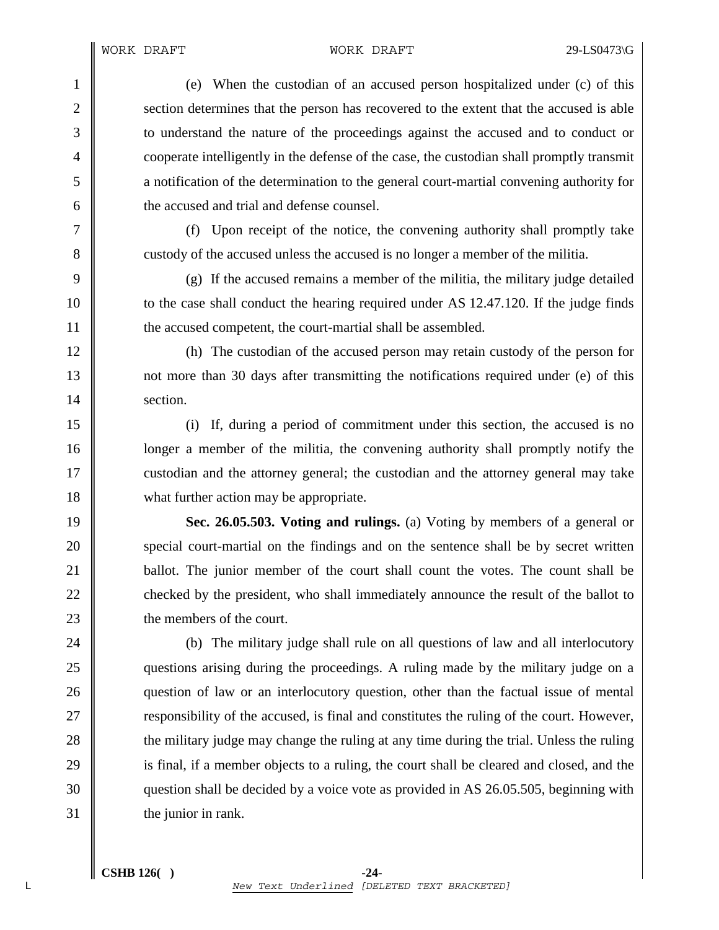1 (e) When the custodian of an accused person hospitalized under (c) of this 2 section determines that the person has recovered to the extent that the accused is able 3 to understand the nature of the proceedings against the accused and to conduct or 4 cooperate intelligently in the defense of the case, the custodian shall promptly transmit 5 a notification of the determination to the general court-martial convening authority for 6  $\parallel$  the accused and trial and defense counsel.

7 (f) Upon receipt of the notice, the convening authority shall promptly take 8 custody of the accused unless the accused is no longer a member of the militia.

9  $\parallel$  (g) If the accused remains a member of the militia, the military judge detailed 10 to the case shall conduct the hearing required under AS 12.47.120. If the judge finds 11 **the accused competent, the court-martial shall be assembled.** 

12 (h) The custodian of the accused person may retain custody of the person for 13 not more than 30 days after transmitting the notifications required under (e) of this 14 Section.

15 (i) If, during a period of commitment under this section, the accused is no 16 **leap is up a** longer a member of the militia, the convening authority shall promptly notify the 17 custodian and the attorney general; the custodian and the attorney general may take 18 what further action may be appropriate.

19 **Sec. 26.05.503. Voting and rulings.** (a) Voting by members of a general or 20 special court-martial on the findings and on the sentence shall be by secret written 21 **ballot.** The junior member of the court shall count the votes. The count shall be 22 checked by the president, who shall immediately announce the result of the ballot to 23 **the members of the court.** 

24 (b) The military judge shall rule on all questions of law and all interlocutory 25 questions arising during the proceedings. A ruling made by the military judge on a 26 question of law or an interlocutory question, other than the factual issue of mental 27 **T** responsibility of the accused, is final and constitutes the ruling of the court. However, 28 the military judge may change the ruling at any time during the trial. Unless the ruling 29 is final, if a member objects to a ruling, the court shall be cleared and closed, and the 30 question shall be decided by a voice vote as provided in AS 26.05.505, beginning with  $31$  the junior in rank.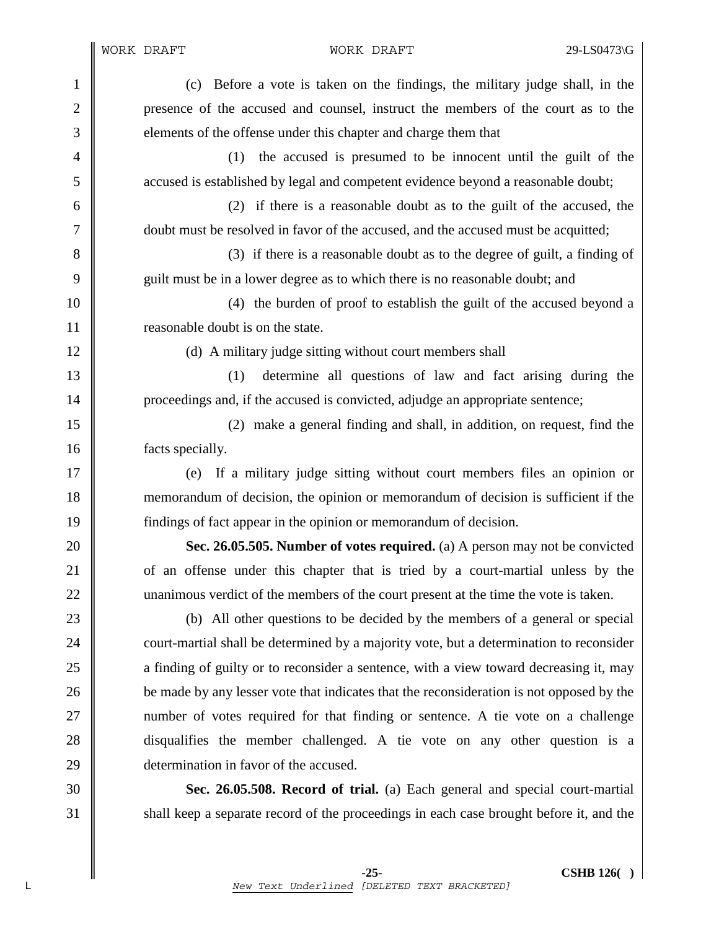1 (c) Before a vote is taken on the findings, the military judge shall, in the 2 presence of the accused and counsel, instruct the members of the court as to the 3 elements of the offense under this chapter and charge them that 4 (1) the accused is presumed to be innocent until the guilt of the 5 accused is established by legal and competent evidence beyond a reasonable doubt; 6 (2) if there is a reasonable doubt as to the guilt of the accused, the 7 doubt must be resolved in favor of the accused, and the accused must be acquitted; 8 (3) if there is a reasonable doubt as to the degree of guilt, a finding of 9 guilt must be in a lower degree as to which there is no reasonable doubt; and 10 (4) the burden of proof to establish the guilt of the accused beyond a 11 **I** reasonable doubt is on the state. 12 (d) A military judge sitting without court members shall 13 (1) determine all questions of law and fact arising during the 14 | proceedings and, if the accused is convicted, adjudge an appropriate sentence; 15 (2) make a general finding and shall, in addition, on request, find the 16 facts specially. 17 (e) If a military judge sitting without court members files an opinion or 18 memorandum of decision, the opinion or memorandum of decision is sufficient if the 19 findings of fact appear in the opinion or memorandum of decision. 20 **Sec. 26.05.505. Number of votes required.** (a) A person may not be convicted 21 of an offense under this chapter that is tried by a court-martial unless by the 22 unanimous verdict of the members of the court present at the time the vote is taken. 23 (b) All other questions to be decided by the members of a general or special 24 court-martial shall be determined by a majority vote, but a determination to reconsider 25 a finding of guilty or to reconsider a sentence, with a view toward decreasing it, may 26 **b**e made by any lesser vote that indicates that the reconsideration is not opposed by the 27 number of votes required for that finding or sentence. A tie vote on a challenge 28 disqualifies the member challenged. A tie vote on any other question is a 29 determination in favor of the accused. 30 **Sec. 26.05.508. Record of trial.** (a) Each general and special court-martial 31 Shall keep a separate record of the proceedings in each case brought before it, and the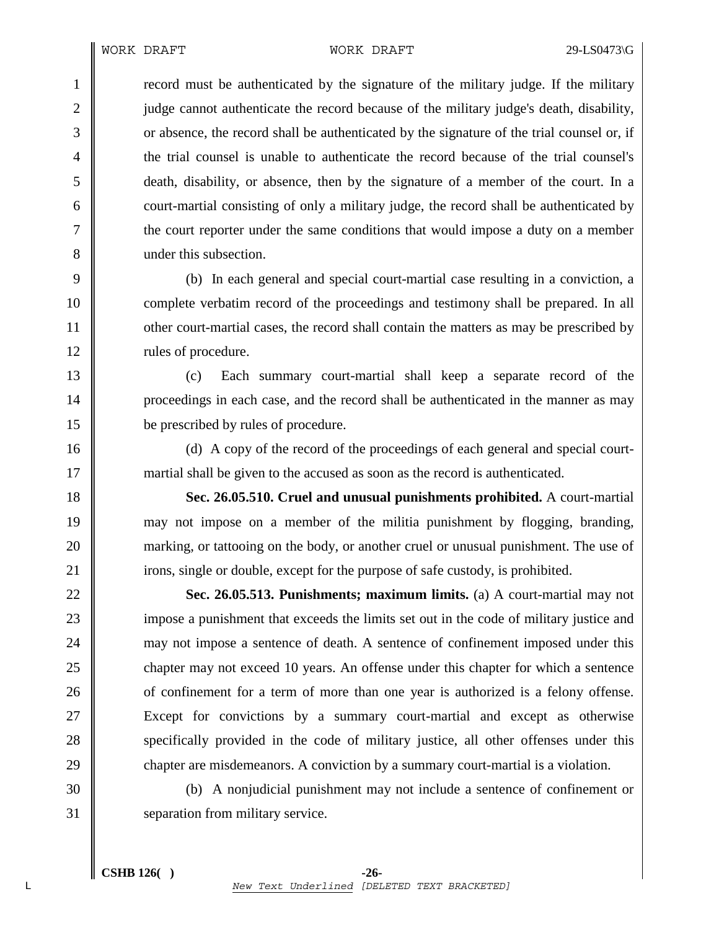1 record must be authenticated by the signature of the military judge. If the military 2 judge cannot authenticate the record because of the military judge's death, disability, 3 or absence, the record shall be authenticated by the signature of the trial counsel or, if 4 the trial counsel is unable to authenticate the record because of the trial counsel's 5 death, disability, or absence, then by the signature of a member of the court. In a 6 court-martial consisting of only a military judge, the record shall be authenticated by 7 the court reporter under the same conditions that would impose a duty on a member 8 **under this subsection.** 

9 (b) In each general and special court-martial case resulting in a conviction, a 10 complete verbatim record of the proceedings and testimony shall be prepared. In all 11 other court-martial cases, the record shall contain the matters as may be prescribed by 12 | rules of procedure.

13 (c) Each summary court-martial shall keep a separate record of the 14 **proceedings in each case, and the record shall be authenticated in the manner as may** 15 be prescribed by rules of procedure.

16 (d) A copy of the record of the proceedings of each general and special court-17 martial shall be given to the accused as soon as the record is authenticated.

18 **Sec. 26.05.510. Cruel and unusual punishments prohibited.** A court-martial 19 may not impose on a member of the militia punishment by flogging, branding, 20 marking, or tattooing on the body, or another cruel or unusual punishment. The use of 21 irons, single or double, except for the purpose of safe custody, is prohibited.

22 **Sec. 26.05.513. Punishments; maximum limits.** (a) A court-martial may not 23 impose a punishment that exceeds the limits set out in the code of military justice and 24 may not impose a sentence of death. A sentence of confinement imposed under this 25 chapter may not exceed 10 years. An offense under this chapter for which a sentence 26 **o** of confinement for a term of more than one year is authorized is a felony offense. 27 Except for convictions by a summary court-martial and except as otherwise 28 specifically provided in the code of military justice, all other offenses under this 29 chapter are misdemeanors. A conviction by a summary court-martial is a violation.

30 (b) A nonjudicial punishment may not include a sentence of confinement or 31 separation from military service.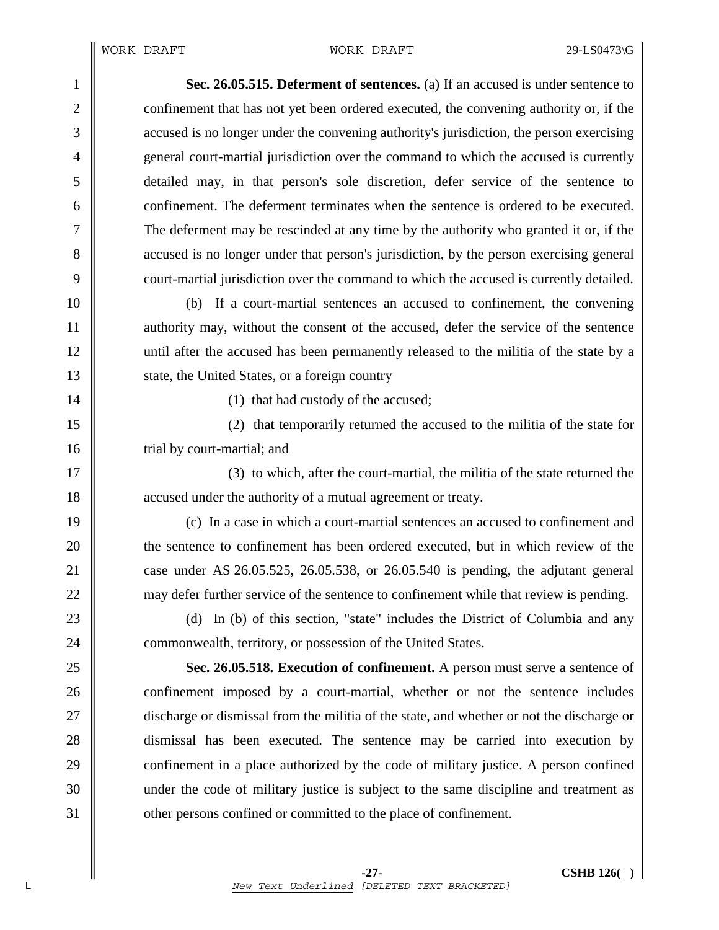1 **Sec. 26.05.515. Deferment of sentences.** (a) If an accused is under sentence to 2 confinement that has not yet been ordered executed, the convening authority or, if the 3 cacused is no longer under the convening authority's jurisdiction, the person exercising 4 general court-martial jurisdiction over the command to which the accused is currently 5 detailed may, in that person's sole discretion, defer service of the sentence to 6 confinement. The deferment terminates when the sentence is ordered to be executed. 7 The deferment may be rescinded at any time by the authority who granted it or, if the 8 accused is no longer under that person's jurisdiction, by the person exercising general 9 court-martial jurisdiction over the command to which the accused is currently detailed.

10 (b) If a court-martial sentences an accused to confinement, the convening 11 authority may, without the consent of the accused, defer the service of the sentence 12 until after the accused has been permanently released to the militia of the state by a 13 State, the United States, or a foreign country

14 | (1) that had custody of the accused;

15 (2) that temporarily returned the accused to the militia of the state for 16 **trial by court-martial; and** 

17 || (3) to which, after the court-martial, the militia of the state returned the 18 **a** accused under the authority of a mutual agreement or treaty.

19 (c) In a case in which a court-martial sentences an accused to confinement and 20 **the sentence to confinement has been ordered executed, but in which review of the** 21 case under AS 26.05.525, 26.05.538, or 26.05.540 is pending, the adjutant general 22 may defer further service of the sentence to confinement while that review is pending.

23 (d) In (b) of this section, "state" includes the District of Columbia and any 24 **commonwealth, territory, or possession of the United States.** 

25 **Sec. 26.05.518. Execution of confinement.** A person must serve a sentence of 26 confinement imposed by a court-martial, whether or not the sentence includes 27 discharge or dismissal from the militia of the state, and whether or not the discharge or 28 dismissal has been executed. The sentence may be carried into execution by 29 **confinement** in a place authorized by the code of military justice. A person confined 30 under the code of military justice is subject to the same discipline and treatment as 31 **other persons confined or committed to the place of confinement.**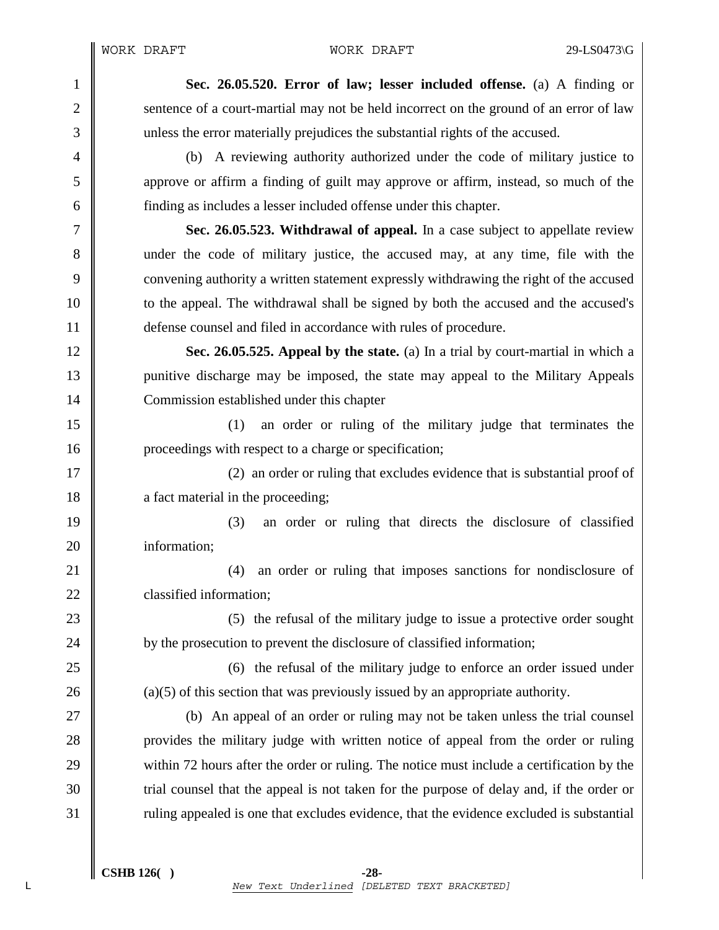1 **Sec. 26.05.520. Error of law; lesser included offense.** (a) A finding or 2 Sentence of a court-martial may not be held incorrect on the ground of an error of law 3 unless the error materially prejudices the substantial rights of the accused.

4 (b) A reviewing authority authorized under the code of military justice to 5 approve or affirm a finding of guilt may approve or affirm, instead, so much of the 6 finding as includes a lesser included offense under this chapter.

7 **Sec. 26.05.523. Withdrawal of appeal.** In a case subject to appellate review 8 under the code of military justice, the accused may, at any time, file with the 9 convening authority a written statement expressly withdrawing the right of the accused 10 **to the appeal.** The withdrawal shall be signed by both the accused and the accused's 11 defense counsel and filed in accordance with rules of procedure.

12 **Sec. 26.05.525. Appeal by the state.** (a) In a trial by court-martial in which a 13 punitive discharge may be imposed, the state may appeal to the Military Appeals 14 Commission established under this chapter

15 (1) an order or ruling of the military judge that terminates the 16 **proceedings with respect to a charge or specification;** 

17  $\parallel$  (2) an order or ruling that excludes evidence that is substantial proof of 18 **a** fact material in the proceeding;

19 (3) an order or ruling that directs the disclosure of classified 20 | information:

21 **21** (4) an order or ruling that imposes sanctions for nondisclosure of 22 **classified information;** 

23 (5) the refusal of the military judge to issue a protective order sought 24 by the prosecution to prevent the disclosure of classified information;

25 (6) the refusal of the military judge to enforce an order issued under 26 (a)(5) of this section that was previously issued by an appropriate authority.

27 (b) An appeal of an order or ruling may not be taken unless the trial counsel 28 provides the military judge with written notice of appeal from the order or ruling 29 within 72 hours after the order or ruling. The notice must include a certification by the 30 Trial counsel that the appeal is not taken for the purpose of delay and, if the order or 31 Tuling appealed is one that excludes evidence, that the evidence excluded is substantial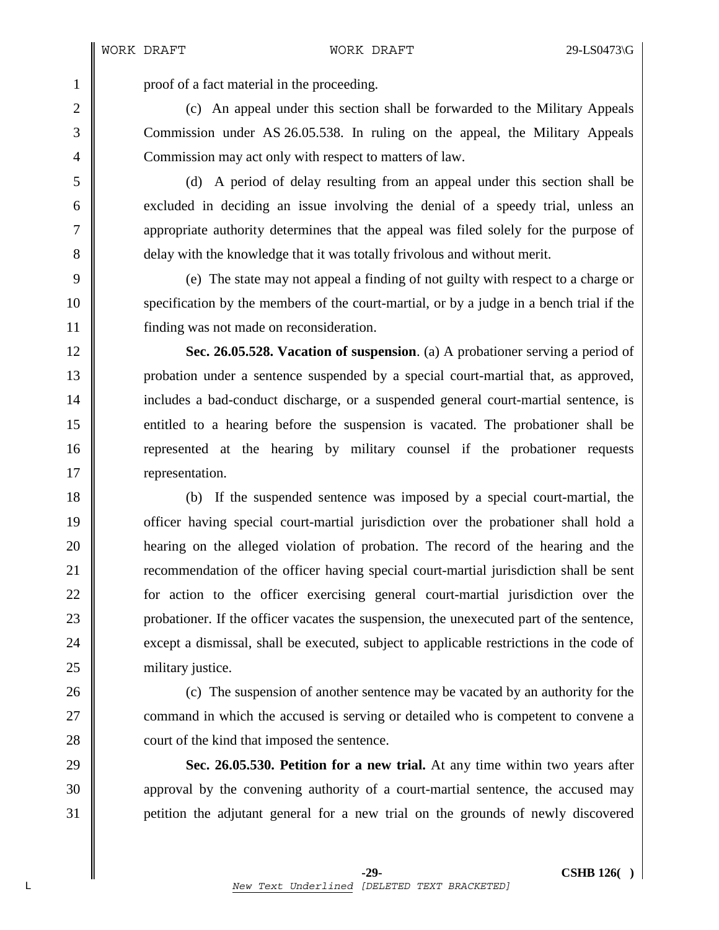1 proof of a fact material in the proceeding.

2 (c) An appeal under this section shall be forwarded to the Military Appeals 3 Commission under AS 26.05.538. In ruling on the appeal, the Military Appeals 4 Commission may act only with respect to matters of law.

5 (d) A period of delay resulting from an appeal under this section shall be 6 excluded in deciding an issue involving the denial of a speedy trial, unless an 7 appropriate authority determines that the appeal was filed solely for the purpose of 8 delay with the knowledge that it was totally frivolous and without merit.

9 (e) The state may not appeal a finding of not guilty with respect to a charge or 10 specification by the members of the court-martial, or by a judge in a bench trial if the 11 finding was not made on reconsideration.

12 **Sec. 26.05.528. Vacation of suspension**. (a) A probationer serving a period of 13 probation under a sentence suspended by a special court-martial that, as approved, 14 includes a bad-conduct discharge, or a suspended general court-martial sentence, is 15 entitled to a hearing before the suspension is vacated. The probationer shall be 16 Term 16 represented at the hearing by military counsel if the probationer requests 17 **representation.** 

18 (b) If the suspended sentence was imposed by a special court-martial, the 19 **officer having special court-martial jurisdiction over the probationer shall hold a** 20 hearing on the alleged violation of probation. The record of the hearing and the 21 **Term** extends 21 **recommendation of the officer having special court-martial jurisdiction shall be sent** 22 **for** action to the officer exercising general court-martial jurisdiction over the 23 probationer. If the officer vacates the suspension, the unexecuted part of the sentence, 24 except a dismissal, shall be executed, subject to applicable restrictions in the code of 25 | military justice.

26 (c) The suspension of another sentence may be vacated by an authority for the 27 **command in which the accused is serving or detailed who is competent to convene a** 28 **court of the kind that imposed the sentence.** 

29 **Sec. 26.05.530. Petition for a new trial.** At any time within two years after 30 approval by the convening authority of a court-martial sentence, the accused may 31 petition the adjutant general for a new trial on the grounds of newly discovered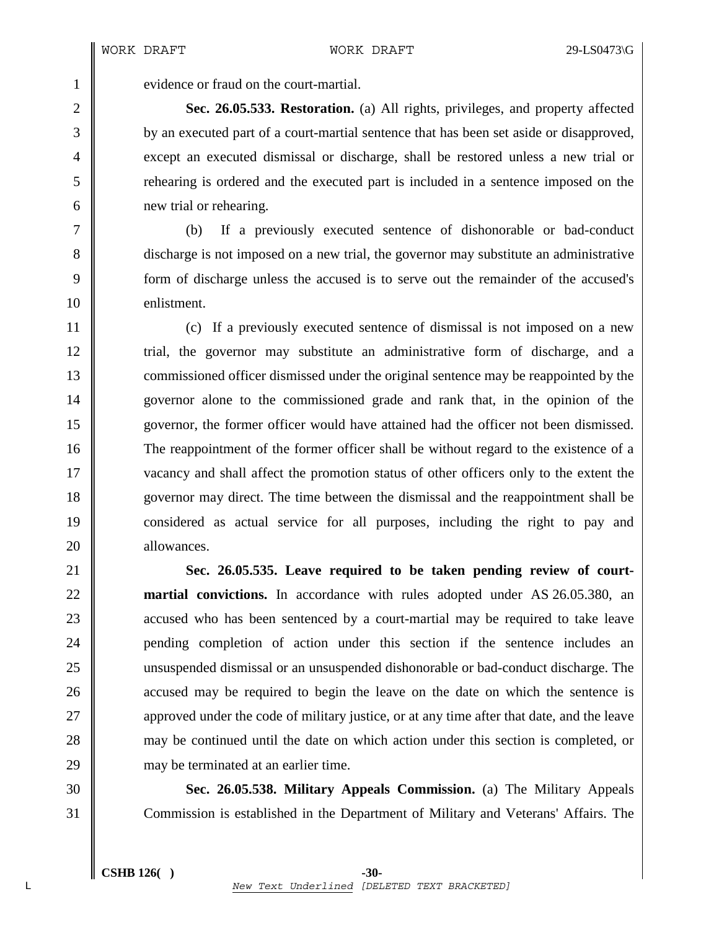1 vevidence or fraud on the court-martial.

2 **Sec. 26.05.533. Restoration.** (a) All rights, privileges, and property affected 3 by an executed part of a court-martial sentence that has been set aside or disapproved, 4 except an executed dismissal or discharge, shall be restored unless a new trial or 5 rehearing is ordered and the executed part is included in a sentence imposed on the 6 new trial or rehearing.

7 (b) If a previously executed sentence of dishonorable or bad-conduct 8 discharge is not imposed on a new trial, the governor may substitute an administrative 9 form of discharge unless the accused is to serve out the remainder of the accused's 10 enlistment.

11 (c) If a previously executed sentence of dismissal is not imposed on a new 12 trial, the governor may substitute an administrative form of discharge, and a 13 commissioned officer dismissed under the original sentence may be reappointed by the 14 governor alone to the commissioned grade and rank that, in the opinion of the 15 governor, the former officer would have attained had the officer not been dismissed. 16 The reappointment of the former officer shall be without regard to the existence of a 17 vacancy and shall affect the promotion status of other officers only to the extent the 18 governor may direct. The time between the dismissal and the reappointment shall be 19 considered as actual service for all purposes, including the right to pay and 20 **b** allowances.

21 **Sec. 26.05.535. Leave required to be taken pending review of court-**22 **martial convictions.** In accordance with rules adopted under AS 26.05.380, an 23 **a** accused who has been sentenced by a court-martial may be required to take leave 24 || pending completion of action under this section if the sentence includes an 25 unsuspended dismissal or an unsuspended dishonorable or bad-conduct discharge. The 26 accused may be required to begin the leave on the date on which the sentence is 27 approved under the code of military justice, or at any time after that date, and the leave 28 may be continued until the date on which action under this section is completed, or 29 may be terminated at an earlier time.

30 **Sec. 26.05.538. Military Appeals Commission.** (a) The Military Appeals 31 Commission is established in the Department of Military and Veterans' Affairs. The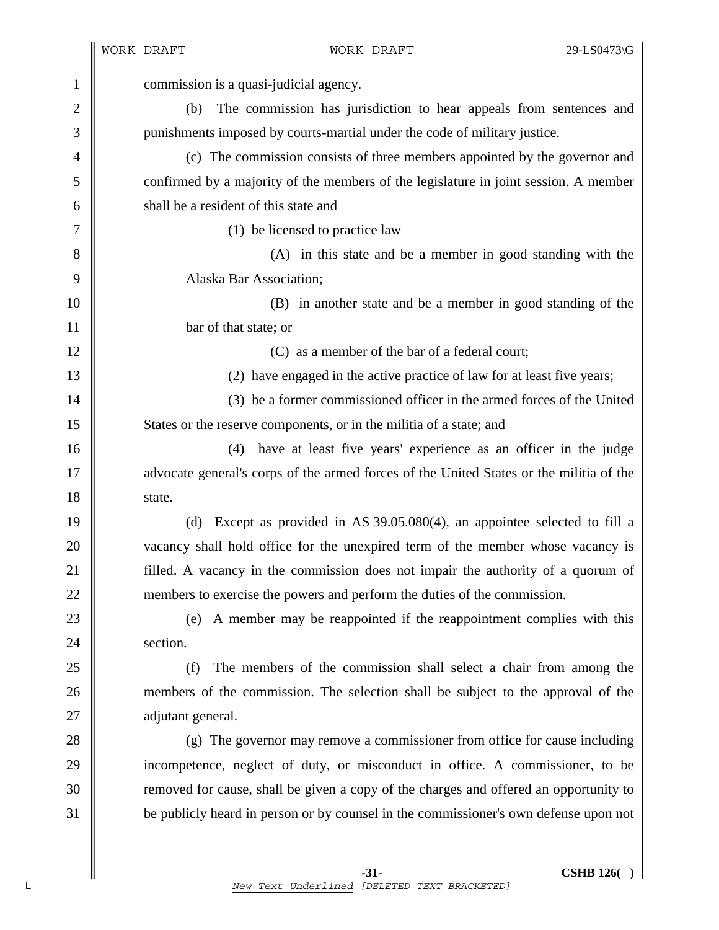|                | WORK DRAFT<br>WORK DRAFT                                                                | 29-LS0473\G |
|----------------|-----------------------------------------------------------------------------------------|-------------|
| $\mathbf{1}$   | commission is a quasi-judicial agency.                                                  |             |
| $\overline{c}$ | The commission has jurisdiction to hear appeals from sentences and<br>(b)               |             |
| 3              | punishments imposed by courts-martial under the code of military justice.               |             |
| $\overline{4}$ | (c) The commission consists of three members appointed by the governor and              |             |
| 5              | confirmed by a majority of the members of the legislature in joint session. A member    |             |
| 6              | shall be a resident of this state and                                                   |             |
| 7              | (1) be licensed to practice law                                                         |             |
| 8              | (A) in this state and be a member in good standing with the                             |             |
| 9              | Alaska Bar Association;                                                                 |             |
| 10             | (B) in another state and be a member in good standing of the                            |             |
| 11             | bar of that state; or                                                                   |             |
| 12             | (C) as a member of the bar of a federal court;                                          |             |
| 13             | (2) have engaged in the active practice of law for at least five years;                 |             |
| 14             | (3) be a former commissioned officer in the armed forces of the United                  |             |
| 15             | States or the reserve components, or in the militia of a state; and                     |             |
| 16             | have at least five years' experience as an officer in the judge<br>(4)                  |             |
| 17             | advocate general's corps of the armed forces of the United States or the militia of the |             |
| 18             | state.                                                                                  |             |
| 19             | Except as provided in AS $39.05.080(4)$ , an appointee selected to fill a<br>(d)        |             |
| 20             | vacancy shall hold office for the unexpired term of the member whose vacancy is         |             |
| 21             | filled. A vacancy in the commission does not impair the authority of a quorum of        |             |
| 22             | members to exercise the powers and perform the duties of the commission.                |             |
| 23             | A member may be reappointed if the reappointment complies with this<br>(e)              |             |
| 24             | section.                                                                                |             |
| 25             | (f)<br>The members of the commission shall select a chair from among the                |             |
| 26             | members of the commission. The selection shall be subject to the approval of the        |             |
| 27             | adjutant general.                                                                       |             |
| 28             | (g) The governor may remove a commissioner from office for cause including              |             |
| 29             | incompetence, neglect of duty, or misconduct in office. A commissioner, to be           |             |
| 30             | removed for cause, shall be given a copy of the charges and offered an opportunity to   |             |
| 31             | be publicly heard in person or by counsel in the commissioner's own defense upon not    |             |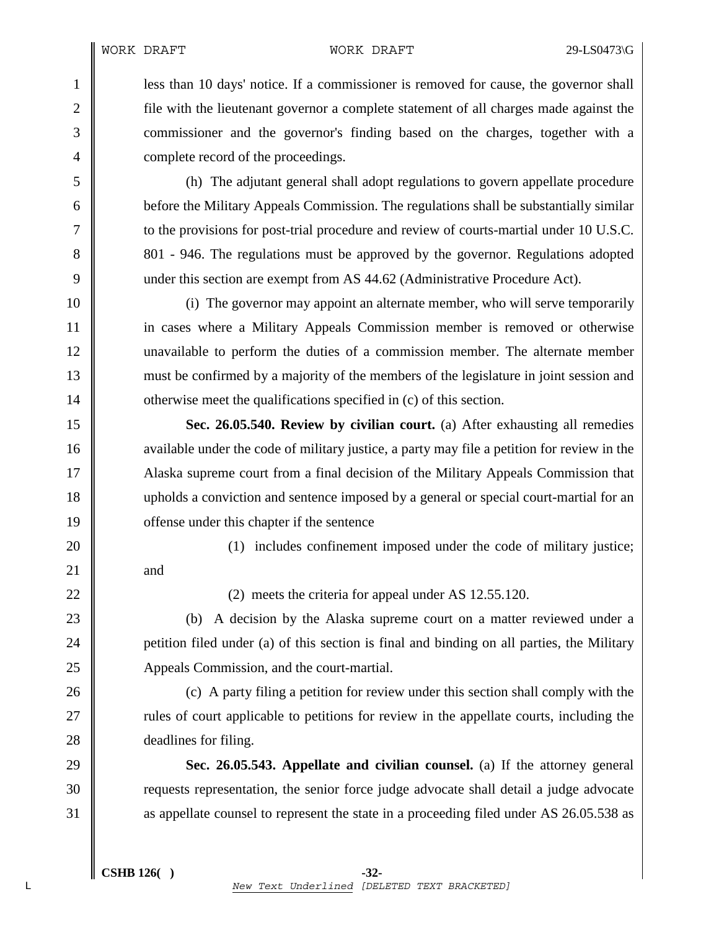**less than 10 days' notice.** If a commissioner is removed for cause, the governor shall **file** with the lieutenant governor a complete statement of all charges made against the 3 commissioner and the governor's finding based on the charges, together with a **complete record of the proceedings.** 

5 (h) The adjutant general shall adopt regulations to govern appellate procedure 6 before the Military Appeals Commission. The regulations shall be substantially similar 7 to the provisions for post-trial procedure and review of courts-martial under 10 U.S.C. 8 801 - 946. The regulations must be approved by the governor. Regulations adopted 9 under this section are exempt from AS 44.62 (Administrative Procedure Act).

10 (i) The governor may appoint an alternate member, who will serve temporarily 11 in cases where a Military Appeals Commission member is removed or otherwise 12 unavailable to perform the duties of a commission member. The alternate member 13 must be confirmed by a majority of the members of the legislature in joint session and 14  $\parallel$  otherwise meet the qualifications specified in (c) of this section.

15 **Sec. 26.05.540. Review by civilian court.** (a) After exhausting all remedies 16 available under the code of military justice, a party may file a petition for review in the 17 Alaska supreme court from a final decision of the Military Appeals Commission that 18 upholds a conviction and sentence imposed by a general or special court-martial for an 19 **offense** under this chapter if the sentence

20 || (1) includes confinement imposed under the code of military justice;

22  $\parallel$  (2) meets the criteria for appeal under AS 12.55.120.

23 (b) A decision by the Alaska supreme court on a matter reviewed under a 24 **petition filed under (a) of this section is final and binding on all parties, the Military** 25 Appeals Commission, and the court-martial.

26 (c) A party filing a petition for review under this section shall comply with the 27 || rules of court applicable to petitions for review in the appellate courts, including the 28 **deadlines for filing.** 

29 **Sec. 26.05.543. Appellate and civilian counsel.** (a) If the attorney general 30 Tequests representation, the senior force judge advocate shall detail a judge advocate 31 as appellate counsel to represent the state in a proceeding filed under AS 26.05.538 as

 $21$  and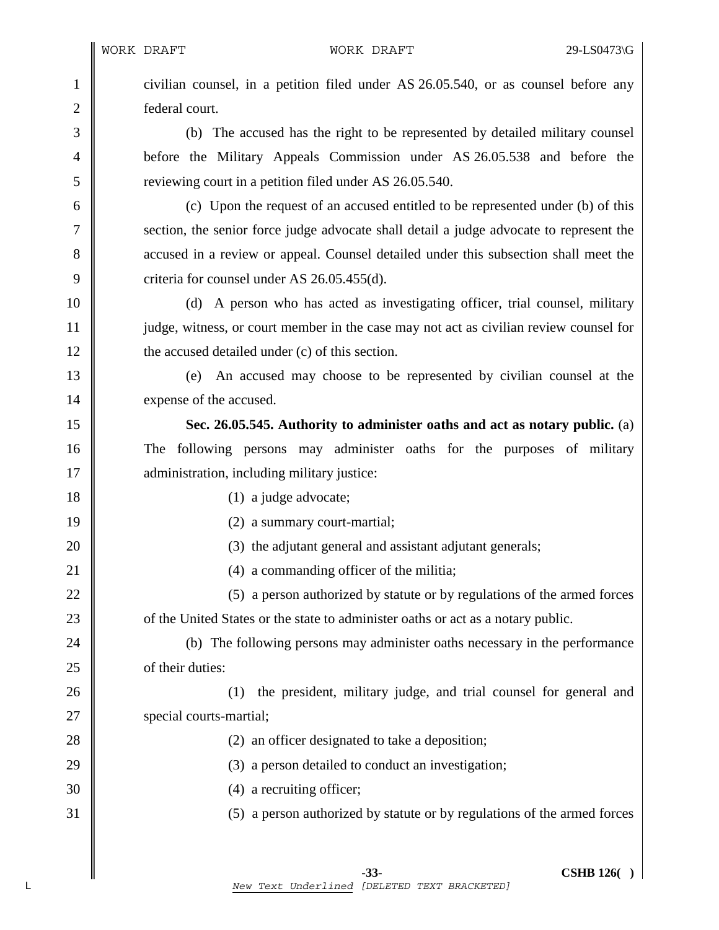1 civilian counsel, in a petition filed under AS 26.05.540, or as counsel before any 2 **detect** 2 **federal** court.

3 (b) The accused has the right to be represented by detailed military counsel 4 before the Military Appeals Commission under AS 26.05.538 and before the 5 Superior 1 reviewing court in a petition filed under AS 26.05.540.

6 (c) Upon the request of an accused entitled to be represented under (b) of this 7 section, the senior force judge advocate shall detail a judge advocate to represent the 8 accused in a review or appeal. Counsel detailed under this subsection shall meet the 9 criteria for counsel under AS  $26.05.455(d)$ .

10 (d) A person who has acted as investigating officer, trial counsel, military 11 judge, witness, or court member in the case may not act as civilian review counsel for 12 **the accused detailed under (c) of this section.** 

13 (e) An accused may choose to be represented by civilian counsel at the 14 expense of the accused.

15 **Sec. 26.05.545. Authority to administer oaths and act as notary public.** (a) 16 The following persons may administer oaths for the purposes of military 17 **administration**, including military justice:

18 (1) a judge advocate;

19 || (2) a summary court-martial;

20 **(3)** the adjutant general and assistant adjutant generals;

21 | (4) a commanding officer of the militia;

22  $\parallel$  (5) a person authorized by statute or by regulations of the armed forces 23 **of the United States or the state to administer oaths or act as a notary public.** 

24 (b) The following persons may administer oaths necessary in the performance 25 **b** of their duties:

26 (1) the president, military judge, and trial counsel for general and 27 | special courts-martial;

28 || (2) an officer designated to take a deposition;

- 29  $\parallel$  (3) a person detailed to conduct an investigation;
- 30 (4) a recruiting officer;
- 31 (5) a person authorized by statute or by regulations of the armed forces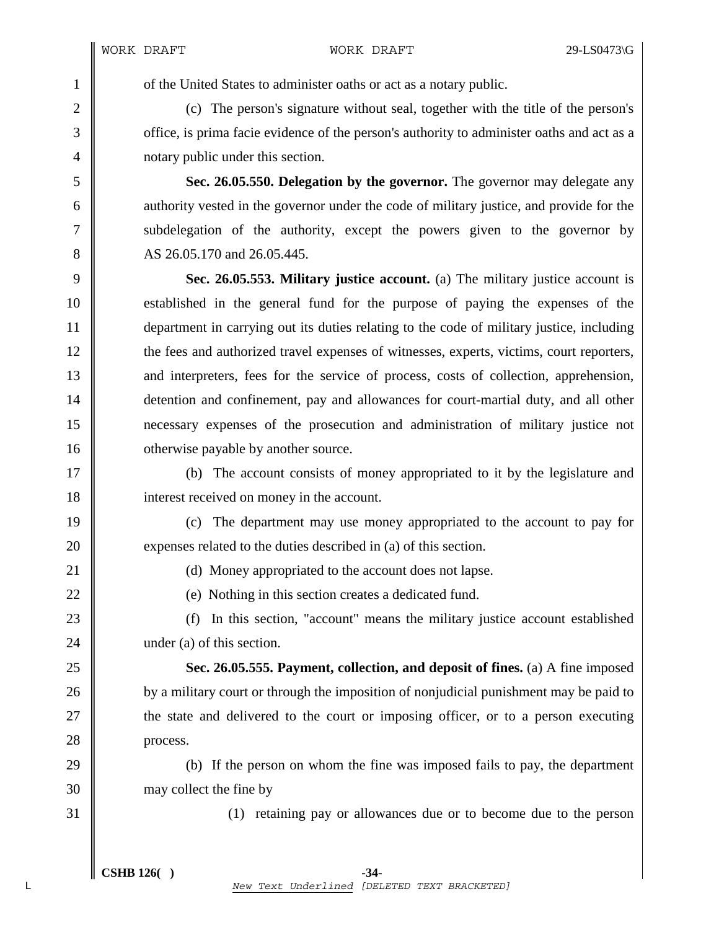1 of the United States to administer oaths or act as a notary public.

2 (c) The person's signature without seal, together with the title of the person's 3 office, is prima facie evidence of the person's authority to administer oaths and act as a 4 | notary public under this section.

5 **Sec. 26.05.550. Delegation by the governor.** The governor may delegate any 6 authority vested in the governor under the code of military justice, and provide for the 7 Subdelegation of the authority, except the powers given to the governor by 8 AS 26.05.170 and 26.05.445.

9 **Sec. 26.05.553. Military justice account.** (a) The military justice account is 10 established in the general fund for the purpose of paying the expenses of the 11 department in carrying out its duties relating to the code of military justice, including 12 the fees and authorized travel expenses of witnesses, experts, victims, court reporters, 13 and interpreters, fees for the service of process, costs of collection, apprehension, 14 detention and confinement, pay and allowances for court-martial duty, and all other 15 necessary expenses of the prosecution and administration of military justice not 16 **our** otherwise payable by another source.

17 (b) The account consists of money appropriated to it by the legislature and 18 | interest received on money in the account.

19 (c) The department may use money appropriated to the account to pay for 20 **expenses related to the duties described in** (a) of this section.

21 (d) Money appropriated to the account does not lapse.

22 (e) Nothing in this section creates a dedicated fund.

23 (f) In this section, "account" means the military justice account established 24 under (a) of this section.

25 **Sec. 26.05.555. Payment, collection, and deposit of fines.** (a) A fine imposed 26 by a military court or through the imposition of nonjudicial punishment may be paid to 27 **the state and delivered to the court or imposing officer, or to a person executing** 28 | process.

29 (b) If the person on whom the fine was imposed fails to pay, the department 30 may collect the fine by

31 (1) retaining pay or allowances due or to become due to the person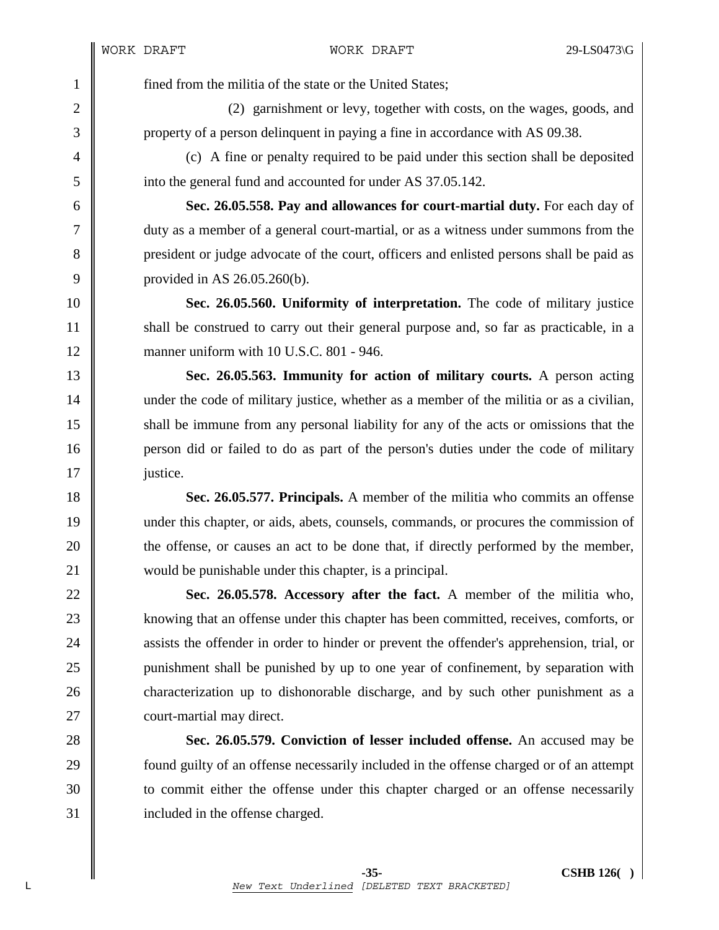1 fined from the militia of the state or the United States;

2 (2) garnishment or levy, together with costs, on the wages, goods, and 3 property of a person delinquent in paying a fine in accordance with AS 09.38.

4 (c) A fine or penalty required to be paid under this section shall be deposited 5 \| into the general fund and accounted for under AS 37.05.142.

6 **Sec. 26.05.558. Pay and allowances for court-martial duty.** For each day of 7 duty as a member of a general court-martial, or as a witness under summons from the 8 president or judge advocate of the court, officers and enlisted persons shall be paid as 9 | provided in AS 26.05.260(b).

10 **Sec. 26.05.560. Uniformity of interpretation.** The code of military justice 11 Shall be construed to carry out their general purpose and, so far as practicable, in a 12 **manner uniform with 10 U.S.C. 801 - 946.** 

13 **Sec. 26.05.563. Immunity for action of military courts.** A person acting 14 under the code of military justice, whether as a member of the militia or as a civilian, 15 shall be immune from any personal liability for any of the acts or omissions that the 16 person did or failed to do as part of the person's duties under the code of military 17 **justice**.

18 **Sec. 26.05.577. Principals.** A member of the militia who commits an offense 19 under this chapter, or aids, abets, counsels, commands, or procures the commission of 20 the offense, or causes an act to be done that, if directly performed by the member, 21 would be punishable under this chapter, is a principal.

22 **Sec. 26.05.578. Accessory after the fact.** A member of the militia who, 23 | knowing that an offense under this chapter has been committed, receives, comforts, or 24 assists the offender in order to hinder or prevent the offender's apprehension, trial, or 25 punishment shall be punished by up to one year of confinement, by separation with 26 characterization up to dishonorable discharge, and by such other punishment as a 27 **court-martial may direct.** 

28 **Sec. 26.05.579. Conviction of lesser included offense.** An accused may be 29 **found guilty of an offense necessarily included in the offense charged or of an attempt** 30 to commit either the offense under this chapter charged or an offense necessarily 31 included in the offense charged.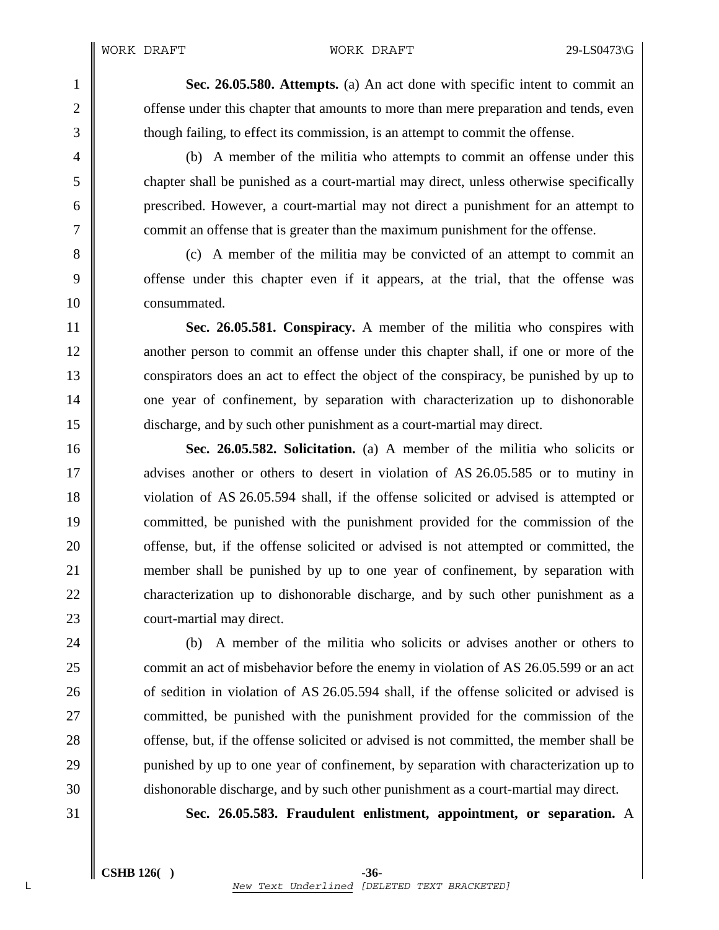1 **Sec. 26.05.580. Attempts.** (a) An act done with specific intent to commit an 2 coffense under this chapter that amounts to more than mere preparation and tends, even 3 though failing, to effect its commission, is an attempt to commit the offense.

4 (b) A member of the militia who attempts to commit an offense under this 5 chapter shall be punished as a court-martial may direct, unless otherwise specifically 6 prescribed. However, a court-martial may not direct a punishment for an attempt to 7 commit an offense that is greater than the maximum punishment for the offense.

8 (c) A member of the militia may be convicted of an attempt to commit an 9 offense under this chapter even if it appears, at the trial, that the offense was 10 **consummated.** 

11 **Sec. 26.05.581. Conspiracy.** A member of the militia who conspires with 12 another person to commit an offense under this chapter shall, if one or more of the 13 conspirators does an act to effect the object of the conspiracy, be punished by up to 14 one year of confinement, by separation with characterization up to dishonorable 15 discharge, and by such other punishment as a court-martial may direct.

16 **Sec. 26.05.582. Solicitation.** (a) A member of the militia who solicits or 17 **a** advises another or others to desert in violation of AS 26.05.585 or to mutiny in 18 violation of AS 26.05.594 shall, if the offense solicited or advised is attempted or 19 committed, be punished with the punishment provided for the commission of the 20 **offense**, but, if the offense solicited or advised is not attempted or committed, the 21 member shall be punished by up to one year of confinement, by separation with 22 characterization up to dishonorable discharge, and by such other punishment as a 23 **court-martial may direct.** 

24 (b) A member of the militia who solicits or advises another or others to 25 commit an act of misbehavior before the enemy in violation of AS 26.05.599 or an act 26 of sedition in violation of AS 26.05.594 shall, if the offense solicited or advised is 27 **committed, be punished with the punishment provided for the commission of the** 28 **offense**, but, if the offense solicited or advised is not committed, the member shall be 29 punished by up to one year of confinement, by separation with characterization up to 30 dishonorable discharge, and by such other punishment as a court-martial may direct.

31 **Sec. 26.05.583. Fraudulent enlistment, appointment, or separation.** A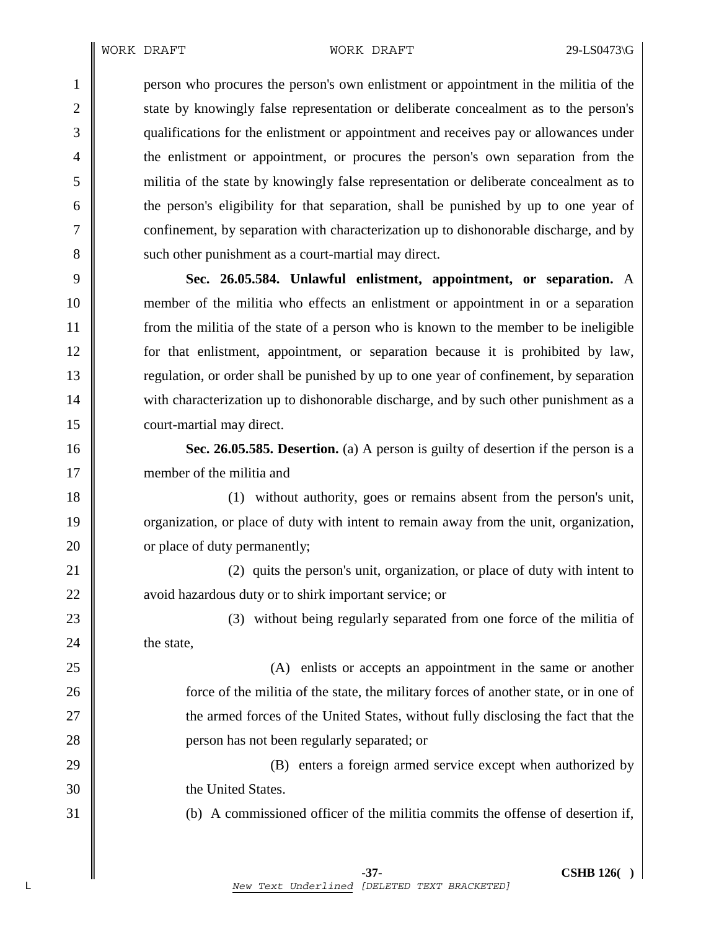1 person who procures the person's own enlistment or appointment in the militia of the 2 state by knowingly false representation or deliberate concealment as to the person's 3 qualifications for the enlistment or appointment and receives pay or allowances under 4 the enlistment or appointment, or procures the person's own separation from the 5 militia of the state by knowingly false representation or deliberate concealment as to 6 the person's eligibility for that separation, shall be punished by up to one year of 7 confinement, by separation with characterization up to dishonorable discharge, and by 8 such other punishment as a court-martial may direct.

9 **Sec. 26.05.584. Unlawful enlistment, appointment, or separation.** A 10 member of the militia who effects an enlistment or appointment in or a separation 11 from the militia of the state of a person who is known to the member to be ineligible 12 for that enlistment, appointment, or separation because it is prohibited by law, 13 regulation, or order shall be punished by up to one year of confinement, by separation 14 with characterization up to dishonorable discharge, and by such other punishment as a 15 **court-martial may direct.** 

16 **Sec. 26.05.585. Desertion.** (a) A person is guilty of desertion if the person is a 17 member of the militia and

18 (1) without authority, goes or remains absent from the person's unit, 19 organization, or place of duty with intent to remain away from the unit, organization, 20 **c** or place of duty permanently;

21 (2) quits the person's unit, organization, or place of duty with intent to 22 **a**void hazardous duty or to shirk important service; or

23 (3) without being regularly separated from one force of the militia of  $24 \parallel$  the state,

  $\parallel$  (A) enlists or accepts an appointment in the same or another **force** of the militia of the state, the military forces of another state, or in one of  $\parallel$  the armed forces of the United States, without fully disclosing the fact that the **||** person has not been regularly separated; or

29 (B) enters a foreign armed service except when authorized by 30 the United States.

31 (b) A commissioned officer of the militia commits the offense of desertion if,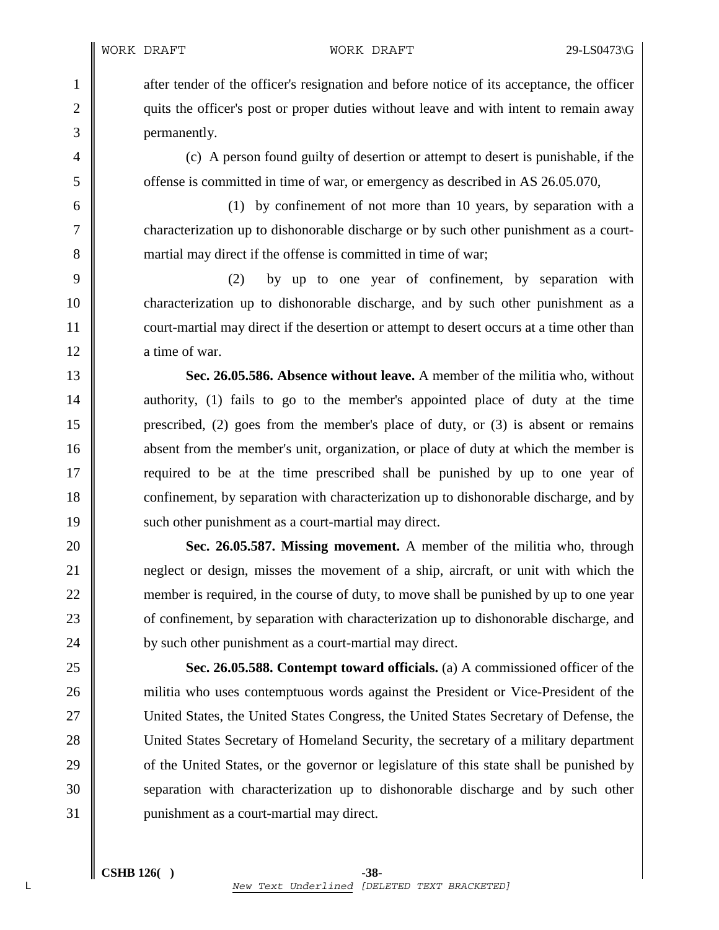1 after tender of the officer's resignation and before notice of its acceptance, the officer 2 quits the officer's post or proper duties without leave and with intent to remain away 3 permanently.

4 (c) A person found guilty of desertion or attempt to desert is punishable, if the 5 offense is committed in time of war, or emergency as described in AS 26.05.070,

6 (1) by confinement of not more than 10 years, by separation with a 7 characterization up to dishonorable discharge or by such other punishment as a court-8 martial may direct if the offense is committed in time of war;

9 (2) by up to one year of confinement, by separation with 10 characterization up to dishonorable discharge, and by such other punishment as a 11 court-martial may direct if the desertion or attempt to desert occurs at a time other than 12 a time of war.

13 **Sec. 26.05.586. Absence without leave.** A member of the militia who, without 14 authority, (1) fails to go to the member's appointed place of duty at the time 15 prescribed, (2) goes from the member's place of duty, or (3) is absent or remains 16 absent from the member's unit, organization, or place of duty at which the member is 17 **required to be at the time prescribed shall be punished by up to one year of** 18 confinement, by separation with characterization up to dishonorable discharge, and by 19 | such other punishment as a court-martial may direct.

**Sec. 26.05.587. Missing movement.** A member of the militia who, through **neglect** or design, misses the movement of a ship, aircraft, or unit with which the 22 member is required, in the course of duty, to move shall be punished by up to one year **of confinement**, by separation with characterization up to dishonorable discharge, and **by** such other punishment as a court-martial may direct.

25 **Sec. 26.05.588. Contempt toward officials.** (a) A commissioned officer of the 26 militia who uses contemptuous words against the President or Vice-President of the 27 United States, the United States Congress, the United States Secretary of Defense, the 28 United States Secretary of Homeland Security, the secretary of a military department 29 comparison of the United States, or the governor or legislature of this state shall be punished by 30 separation with characterization up to dishonorable discharge and by such other 31 | punishment as a court-martial may direct.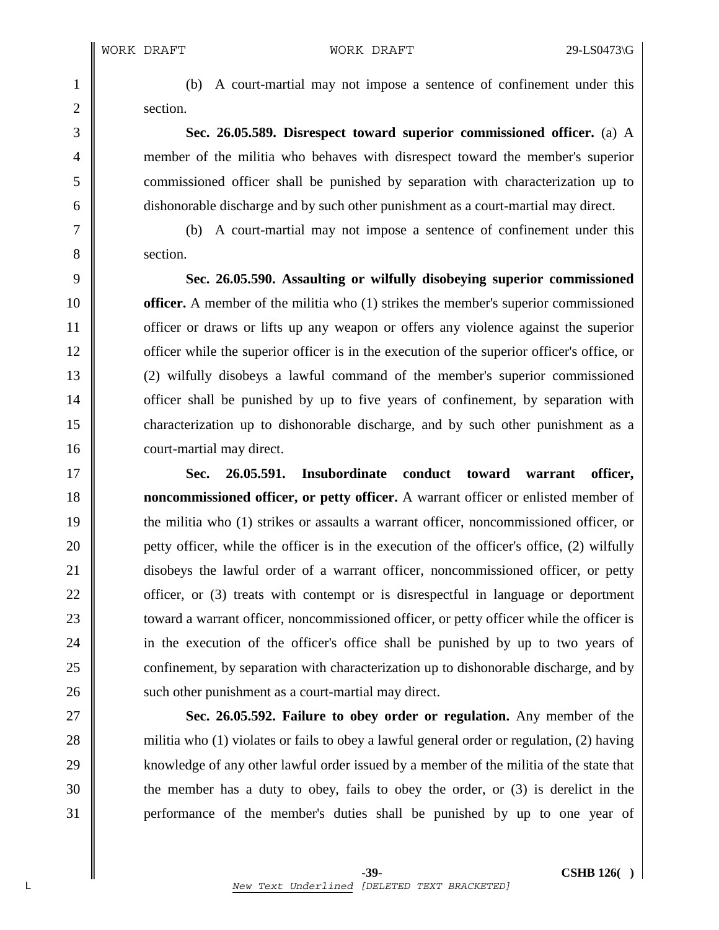2 section.

1 (b) A court-martial may not impose a sentence of confinement under this

3 **Sec. 26.05.589. Disrespect toward superior commissioned officer.** (a) A 4 member of the militia who behaves with disrespect toward the member's superior 5 commissioned officer shall be punished by separation with characterization up to 6 dishonorable discharge and by such other punishment as a court-martial may direct.

7 (b) A court-martial may not impose a sentence of confinement under this 8 section.

9 **Sec. 26.05.590. Assaulting or wilfully disobeying superior commissioned**  10 **officer.** A member of the militia who (1) strikes the member's superior commissioned 11 officer or draws or lifts up any weapon or offers any violence against the superior 12 **officer while the superior officer is in the execution of the superior officer's office, or** 13 (2) wilfully disobeys a lawful command of the member's superior commissioned 14 **officer** shall be punished by up to five years of confinement, by separation with 15 characterization up to dishonorable discharge, and by such other punishment as a 16 court-martial may direct.

17 **Sec. 26.05.591. Insubordinate conduct toward warrant officer,**  18 **noncommissioned officer, or petty officer.** A warrant officer or enlisted member of 19 the militia who (1) strikes or assaults a warrant officer, noncommissioned officer, or 20 **petty officer, while the officer is in the execution of the officer's office, (2) wilfully** 21 disobeys the lawful order of a warrant officer, noncommissioned officer, or petty 22  $\parallel$  officer, or (3) treats with contempt or is disrespectful in language or deportment 23 **u** toward a warrant officer, noncommissioned officer, or petty officer while the officer is 24 in the execution of the officer's office shall be punished by up to two years of 25 confinement, by separation with characterization up to dishonorable discharge, and by 26 Such other punishment as a court-martial may direct.

27 **Sec. 26.05.592. Failure to obey order or regulation.** Any member of the 28 militia who (1) violates or fails to obey a lawful general order or regulation, (2) having 29 | knowledge of any other lawful order issued by a member of the militia of the state that 30 the member has a duty to obey, fails to obey the order, or (3) is derelict in the 31 performance of the member's duties shall be punished by up to one year of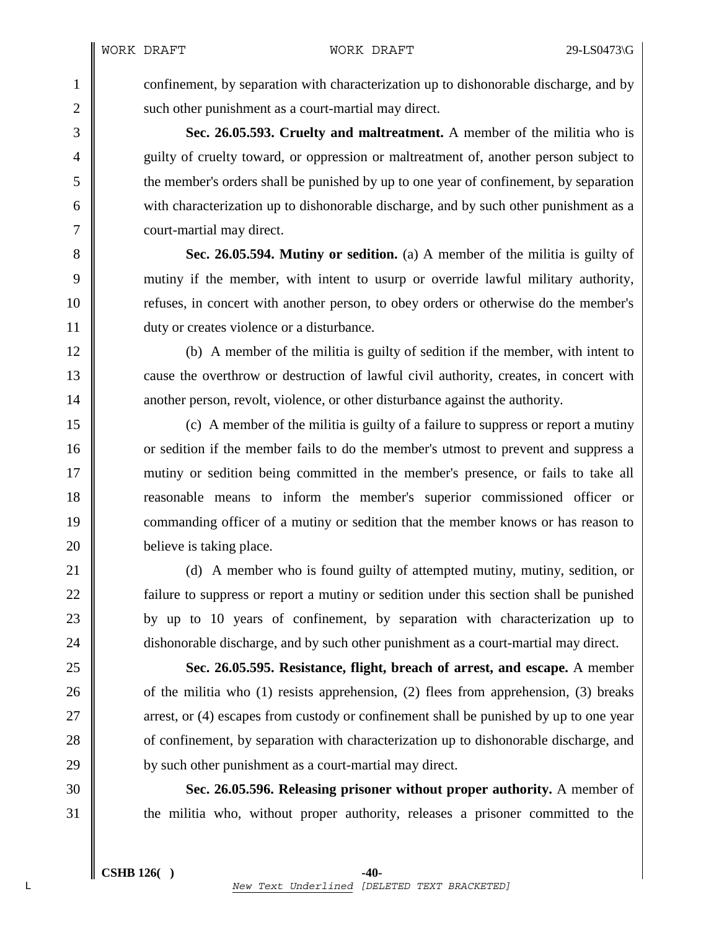1 confinement, by separation with characterization up to dishonorable discharge, and by 2 | such other punishment as a court-martial may direct.

3 **Sec. 26.05.593. Cruelty and maltreatment.** A member of the militia who is 4 guilty of cruelty toward, or oppression or maltreatment of, another person subject to 5 the member's orders shall be punished by up to one year of confinement, by separation 6 with characterization up to dishonorable discharge, and by such other punishment as a 7 | court-martial may direct.

8 **Sec. 26.05.594. Mutiny or sedition.** (a) A member of the militia is guilty of 9 mutiny if the member, with intent to usurp or override lawful military authority, 10 Tefuses, in concert with another person, to obey orders or otherwise do the member's 11 duty or creates violence or a disturbance.

12 (b) A member of the militia is guilty of sedition if the member, with intent to 13 cause the overthrow or destruction of lawful civil authority, creates, in concert with 14 another person, revolt, violence, or other disturbance against the authority.

15 (c) A member of the militia is guilty of a failure to suppress or report a mutiny 16 or sedition if the member fails to do the member's utmost to prevent and suppress a 17 mutiny or sedition being committed in the member's presence, or fails to take all 18 reasonable means to inform the member's superior commissioned officer or 19 commanding officer of a mutiny or sedition that the member knows or has reason to 20 **believe** is taking place.

21 (d) A member who is found guilty of attempted mutiny, mutiny, sedition, or 22 **failure to suppress or report a mutiny or sedition under this section shall be punished** 23 by up to 10 years of confinement, by separation with characterization up to 24 dishonorable discharge, and by such other punishment as a court-martial may direct.

25 **Sec. 26.05.595. Resistance, flight, breach of arrest, and escape.** A member 26  $\parallel$  of the militia who (1) resists apprehension, (2) flees from apprehension, (3) breaks 27 arrest, or (4) escapes from custody or confinement shall be punished by up to one year 28 of confinement, by separation with characterization up to dishonorable discharge, and 29 **by such other punishment as a court-martial may direct.** 

30 **Sec. 26.05.596. Releasing prisoner without proper authority.** A member of 31 the militia who, without proper authority, releases a prisoner committed to the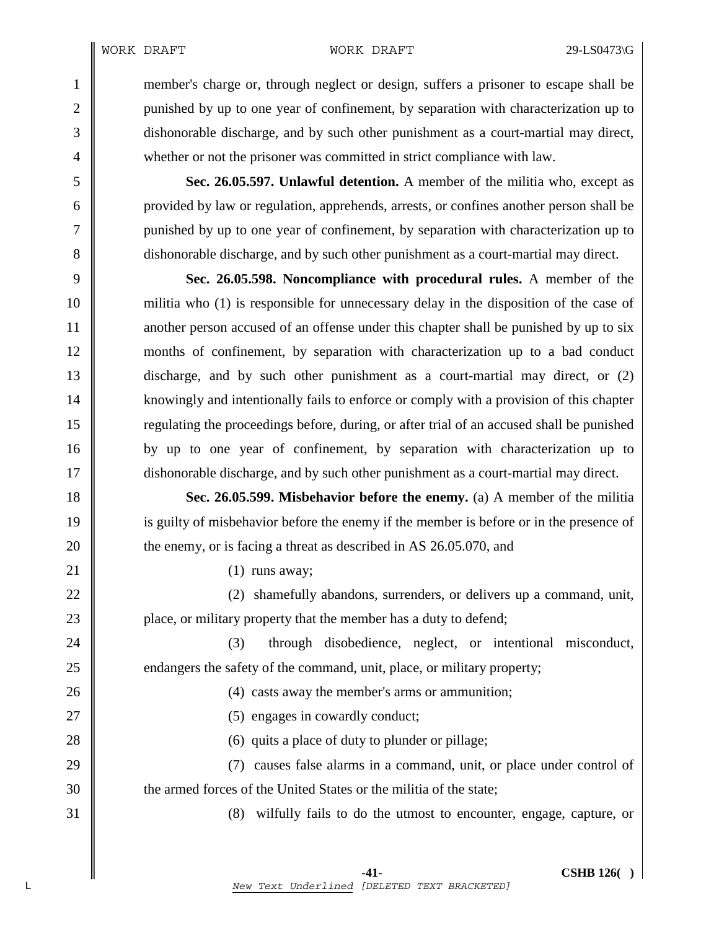1 member's charge or, through neglect or design, suffers a prisoner to escape shall be 2 we punished by up to one year of confinement, by separation with characterization up to 3 dishonorable discharge, and by such other punishment as a court-martial may direct, 4 whether or not the prisoner was committed in strict compliance with law.

5 **Sec. 26.05.597. Unlawful detention.** A member of the militia who, except as 6 provided by law or regulation, apprehends, arrests, or confines another person shall be 7 punished by up to one year of confinement, by separation with characterization up to 8 dishonorable discharge, and by such other punishment as a court-martial may direct.

9 **Sec. 26.05.598. Noncompliance with procedural rules.** A member of the 10 militia who (1) is responsible for unnecessary delay in the disposition of the case of 11 another person accused of an offense under this chapter shall be punished by up to six 12 months of confinement, by separation with characterization up to a bad conduct 13 discharge, and by such other punishment as a court-martial may direct, or (2) 14 | knowingly and intentionally fails to enforce or comply with a provision of this chapter 15 regulating the proceedings before, during, or after trial of an accused shall be punished 16 by up to one year of confinement, by separation with characterization up to 17 dishonorable discharge, and by such other punishment as a court-martial may direct.

18 **Sec. 26.05.599. Misbehavior before the enemy.** (a) A member of the militia 19 is guilty of misbehavior before the enemy if the member is before or in the presence of 20 the enemy, or is facing a threat as described in AS 26.05.070, and

21  $\parallel$  (1) runs away;

22 (2) shamefully abandons, surrenders, or delivers up a command, unit, 23 **place**, or military property that the member has a duty to defend;

24 (3) through disobedience, neglect, or intentional misconduct, 25 endangers the safety of the command, unit, place, or military property;

26 (4) casts away the member's arms or ammunition;

27 || (5) engages in cowardly conduct;

28 (6) quits a place of duty to plunder or pillage;

29 (7) causes false alarms in a command, unit, or place under control of 30  $\parallel$  the armed forces of the United States or the militia of the state;

31 (8) wilfully fails to do the utmost to encounter, engage, capture, or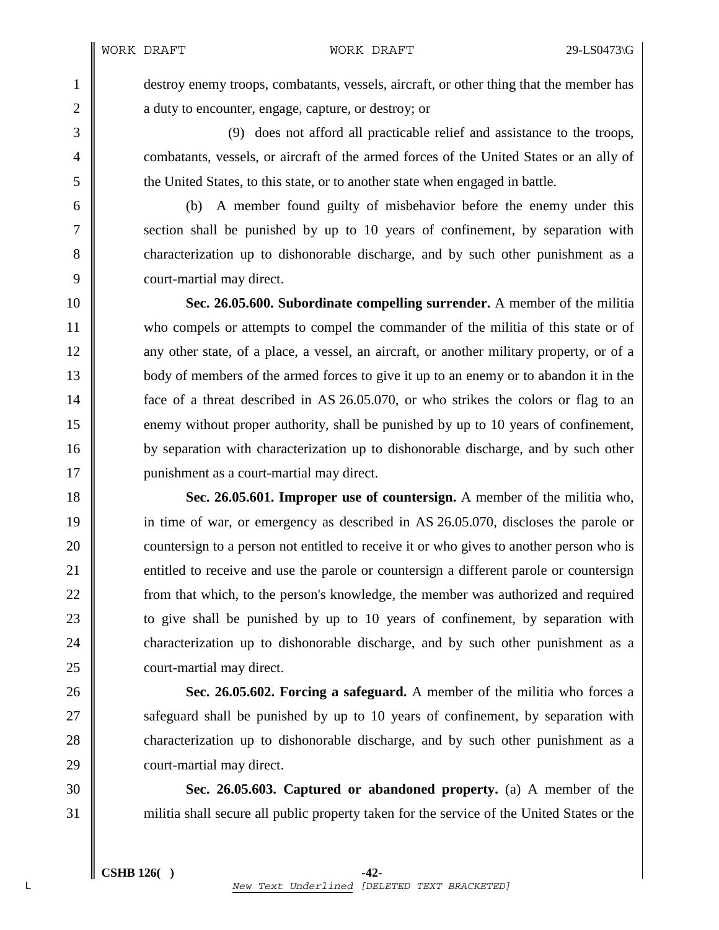1 destroy enemy troops, combatants, vessels, aircraft, or other thing that the member has 2 a duty to encounter, engage, capture, or destroy; or

3 (9) does not afford all practicable relief and assistance to the troops, 4 combatants, vessels, or aircraft of the armed forces of the United States or an ally of 5 the United States, to this state, or to another state when engaged in battle.

6 (b) A member found guilty of misbehavior before the enemy under this 7 Section shall be punished by up to 10 years of confinement, by separation with 8 characterization up to dishonorable discharge, and by such other punishment as a 9 court-martial may direct.

10 **Sec. 26.05.600. Subordinate compelling surrender.** A member of the militia 11 who compels or attempts to compel the commander of the militia of this state or of 12 any other state, of a place, a vessel, an aircraft, or another military property, or of a 13 body of members of the armed forces to give it up to an enemy or to abandon it in the 14  $\parallel$  face of a threat described in AS 26.05.070, or who strikes the colors or flag to an 15 enemy without proper authority, shall be punished by up to 10 years of confinement, 16 by separation with characterization up to dishonorable discharge, and by such other 17 | punishment as a court-martial may direct.

18 **Sec. 26.05.601. Improper use of countersign.** A member of the militia who, 19 in time of war, or emergency as described in AS 26.05.070, discloses the parole or 20 countersign to a person not entitled to receive it or who gives to another person who is 21 entitled to receive and use the parole or countersign a different parole or countersign 22 **from** that which, to the person's knowledge, the member was authorized and required 23 **to give shall be punished by up to 10 years of confinement, by separation with** 24 characterization up to dishonorable discharge, and by such other punishment as a 25 **court-martial may direct.** 

26 **Sec. 26.05.602. Forcing a safeguard.** A member of the militia who forces a 27 Safeguard shall be punished by up to 10 years of confinement, by separation with 28 characterization up to dishonorable discharge, and by such other punishment as a 29 **court-martial may direct.** 

30 **Sec. 26.05.603. Captured or abandoned property.** (a) A member of the 31 militia shall secure all public property taken for the service of the United States or the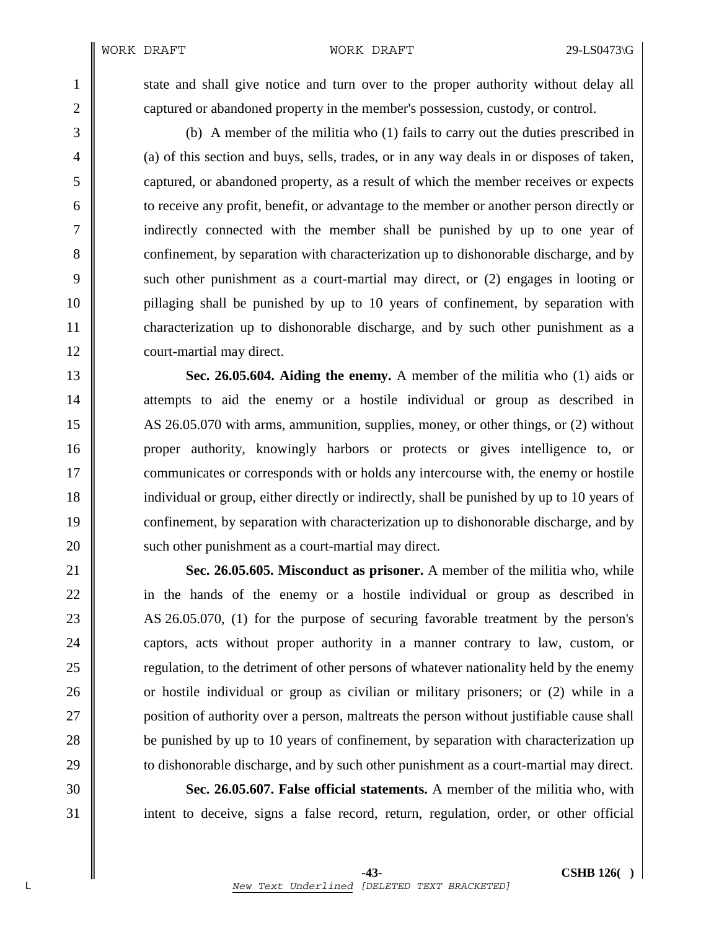1 state and shall give notice and turn over to the proper authority without delay all 2 captured or abandoned property in the member's possession, custody, or control.

3 (b) A member of the militia who (1) fails to carry out the duties prescribed in 4 (a) of this section and buys, sells, trades, or in any way deals in or disposes of taken, 5 captured, or abandoned property, as a result of which the member receives or expects 6 to receive any profit, benefit, or advantage to the member or another person directly or 7 indirectly connected with the member shall be punished by up to one year of 8 confinement, by separation with characterization up to dishonorable discharge, and by 9 such other punishment as a court-martial may direct, or (2) engages in looting or 10 pillaging shall be punished by up to 10 years of confinement, by separation with 11 characterization up to dishonorable discharge, and by such other punishment as a 12 **court-martial may direct.** 

13 **Sec. 26.05.604. Aiding the enemy.** A member of the militia who (1) aids or 14 attempts to aid the enemy or a hostile individual or group as described in 15 AS 26.05.070 with arms, ammunition, supplies, money, or other things, or (2) without 16 proper authority, knowingly harbors or protects or gives intelligence to, or 17 **communicates or corresponds with or holds any intercourse with, the enemy or hostile** 18 individual or group, either directly or indirectly, shall be punished by up to 10 years of 19 confinement, by separation with characterization up to dishonorable discharge, and by 20 **Such other punishment as a court-martial may direct.** 

21 **Sec. 26.05.605. Misconduct as prisoner.** A member of the militia who, while 22 in the hands of the enemy or a hostile individual or group as described in 23 AS 26.05.070, (1) for the purpose of securing favorable treatment by the person's 24 captors, acts without proper authority in a manner contrary to law, custom, or 25 **Figure 25** regulation, to the detriment of other persons of whatever nationality held by the enemy 26 or hostile individual or group as civilian or military prisoners; or (2) while in a 27 **position of authority over a person, maltreats the person without justifiable cause shall** 28 be punished by up to 10 years of confinement, by separation with characterization up 29 to dishonorable discharge, and by such other punishment as a court-martial may direct.

30 **Sec. 26.05.607. False official statements.** A member of the militia who, with 31 intent to deceive, signs a false record, return, regulation, order, or other official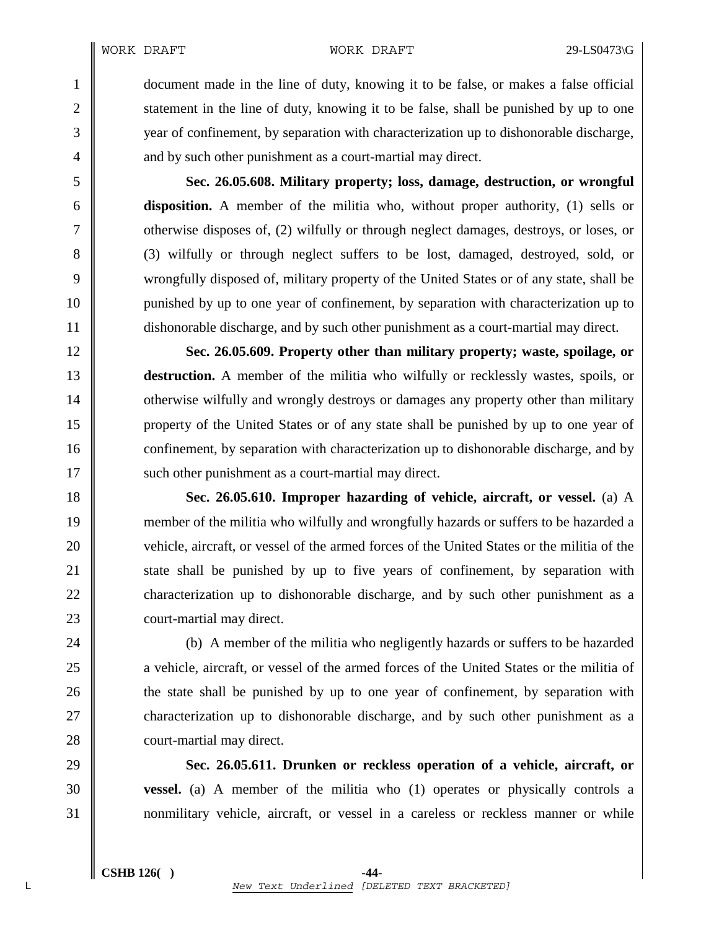1 document made in the line of duty, knowing it to be false, or makes a false official 2 statement in the line of duty, knowing it to be false, shall be punished by up to one 3 wear of confinement, by separation with characterization up to dishonorable discharge, 4  $\parallel$  and by such other punishment as a court-martial may direct.

5 **Sec. 26.05.608. Military property; loss, damage, destruction, or wrongful**  6 **disposition.** A member of the militia who, without proper authority, (1) sells or 7 contract damages, destroys, or loses, or  $\vert$  otherwise disposes of, (2) wilfully or through neglect damages, destroys, or loses, or 8 (3) wilfully or through neglect suffers to be lost, damaged, destroyed, sold, or 9 wrongfully disposed of, military property of the United States or of any state, shall be 10 || punished by up to one year of confinement, by separation with characterization up to 11 dishonorable discharge, and by such other punishment as a court-martial may direct.

12 **Sec. 26.05.609. Property other than military property; waste, spoilage, or**  13 **destruction.** A member of the militia who wilfully or recklessly wastes, spoils, or 14 **otherwise wilfully and wrongly destroys or damages any property other than military** 15 property of the United States or of any state shall be punished by up to one year of 16 confinement, by separation with characterization up to dishonorable discharge, and by 17 | such other punishment as a court-martial may direct.

18 **Sec. 26.05.610. Improper hazarding of vehicle, aircraft, or vessel.** (a) A 19 member of the militia who wilfully and wrongfully hazards or suffers to be hazarded a 20 vehicle, aircraft, or vessel of the armed forces of the United States or the militia of the 21 State shall be punished by up to five years of confinement, by separation with 22 characterization up to dishonorable discharge, and by such other punishment as a 23 **court-martial may direct.** 

24 (b) A member of the militia who negligently hazards or suffers to be hazarded 25 a vehicle, aircraft, or vessel of the armed forces of the United States or the militia of 26 **the state shall be punished by up to one year of confinement, by separation with** 27 **characterization up to dishonorable discharge, and by such other punishment as a** 28 **court-martial may direct.** 

29 **Sec. 26.05.611. Drunken or reckless operation of a vehicle, aircraft, or**  30 **vessel.** (a) A member of the militia who (1) operates or physically controls a 31 nonmilitary vehicle, aircraft, or vessel in a careless or reckless manner or while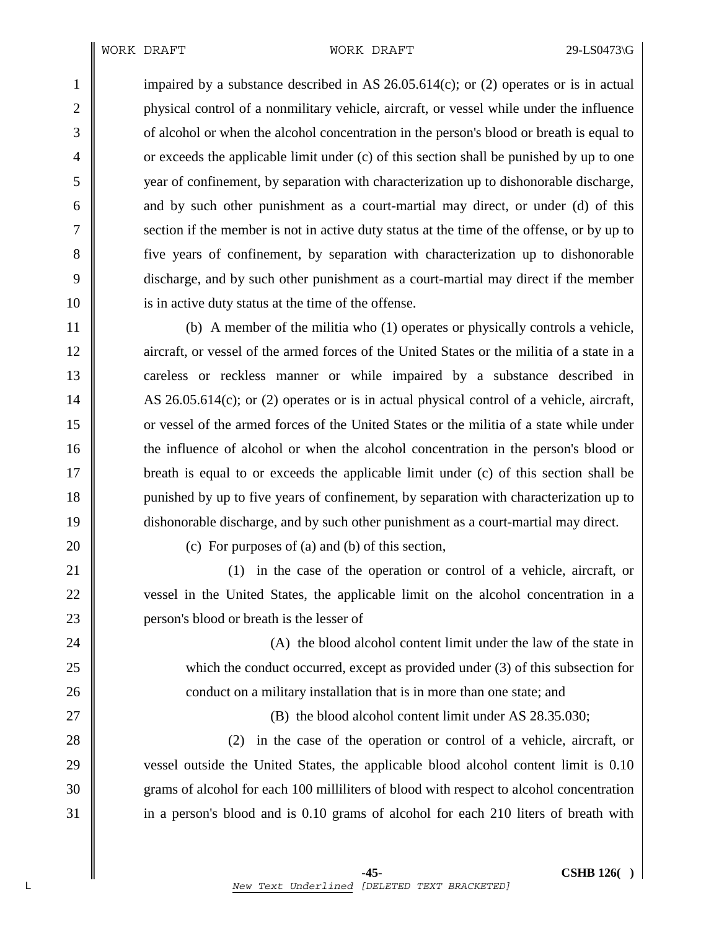1 impaired by a substance described in AS 26.05.614(c); or (2) operates or is in actual 2 physical control of a nonmilitary vehicle, aircraft, or vessel while under the influence 3 of alcohol or when the alcohol concentration in the person's blood or breath is equal to  $\downarrow$  or exceeds the applicable limit under (c) of this section shall be punished by up to one 5 year of confinement, by separation with characterization up to dishonorable discharge, 6 and by such other punishment as a court-martial may direct, or under (d) of this 7 Section if the member is not in active duty status at the time of the offense, or by up to 8 five years of confinement, by separation with characterization up to dishonorable 9 discharge, and by such other punishment as a court-martial may direct if the member 10 is in active duty status at the time of the offense.

11 (b) A member of the militia who (1) operates or physically controls a vehicle, 12 aircraft, or vessel of the armed forces of the United States or the militia of a state in a 13 careless or reckless manner or while impaired by a substance described in 14 AS 26.05.614(c); or (2) operates or is in actual physical control of a vehicle, aircraft, 15 or vessel of the armed forces of the United States or the militia of a state while under 16 the influence of alcohol or when the alcohol concentration in the person's blood or 17 breath is equal to or exceeds the applicable limit under (c) of this section shall be 18 punished by up to five years of confinement, by separation with characterization up to 19 dishonorable discharge, and by such other punishment as a court-martial may direct.

20  $\parallel$  (c) For purposes of (a) and (b) of this section,

21 (1) in the case of the operation or control of a vehicle, aircraft, or 22 vessel in the United States, the applicable limit on the alcohol concentration in a 23 **person's blood or breath is the lesser of** 

24 || (A) the blood alcohol content limit under the law of the state in 25 which the conduct occurred, except as provided under (3) of this subsection for 26 **conduct on a military installation that is in more than one state; and** 

27 **(B)** the blood alcohol content limit under AS 28.35.030;

28 (2) in the case of the operation or control of a vehicle, aircraft, or 29 vessel outside the United States, the applicable blood alcohol content limit is 0.10 30 grams of alcohol for each 100 milliliters of blood with respect to alcohol concentration 31 in a person's blood and is 0.10 grams of alcohol for each 210 liters of breath with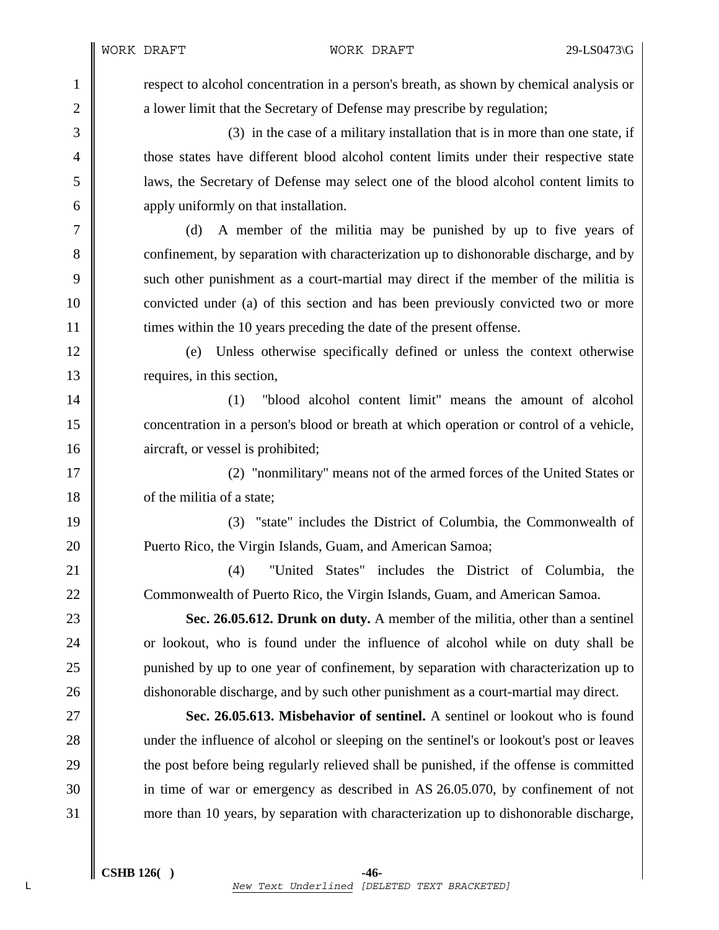1 respect to alcohol concentration in a person's breath, as shown by chemical analysis or 2 a lower limit that the Secretary of Defense may prescribe by regulation;

3 (3) in the case of a military installation that is in more than one state, if 4 those states have different blood alcohol content limits under their respective state 5 laws, the Secretary of Defense may select one of the blood alcohol content limits to 6 apply uniformly on that installation.

7 (d) A member of the militia may be punished by up to five years of 8 confinement, by separation with characterization up to dishonorable discharge, and by 9 such other punishment as a court-martial may direct if the member of the militia is 10 convicted under (a) of this section and has been previously convicted two or more 11  $\parallel$  times within the 10 years preceding the date of the present offense.

12 (e) Unless otherwise specifically defined or unless the context otherwise 13 **requires**, in this section,

14 (1) "blood alcohol content limit" means the amount of alcohol 15 concentration in a person's blood or breath at which operation or control of a vehicle, 16 **a**ircraft, or vessel is prohibited;

17 (2) "nonmilitary" means not of the armed forces of the United States or 18 of the militia of a state;

19 (3) "state" includes the District of Columbia, the Commonwealth of 20 **Puerto Rico, the Virgin Islands, Guam, and American Samoa;** 

21 **(4)** "United States" includes the District of Columbia, the 22 Commonwealth of Puerto Rico, the Virgin Islands, Guam, and American Samoa.

23 **Sec. 26.05.612. Drunk on duty.** A member of the militia, other than a sentinel 24 or lookout, who is found under the influence of alcohol while on duty shall be 25 punished by up to one year of confinement, by separation with characterization up to 26 dishonorable discharge, and by such other punishment as a court-martial may direct.

27 **Sec. 26.05.613. Misbehavior of sentinel.** A sentinel or lookout who is found 28 under the influence of alcohol or sleeping on the sentinel's or lookout's post or leaves 29 the post before being regularly relieved shall be punished, if the offense is committed 30 in time of war or emergency as described in AS 26.05.070, by confinement of not 31 more than 10 years, by separation with characterization up to dishonorable discharge,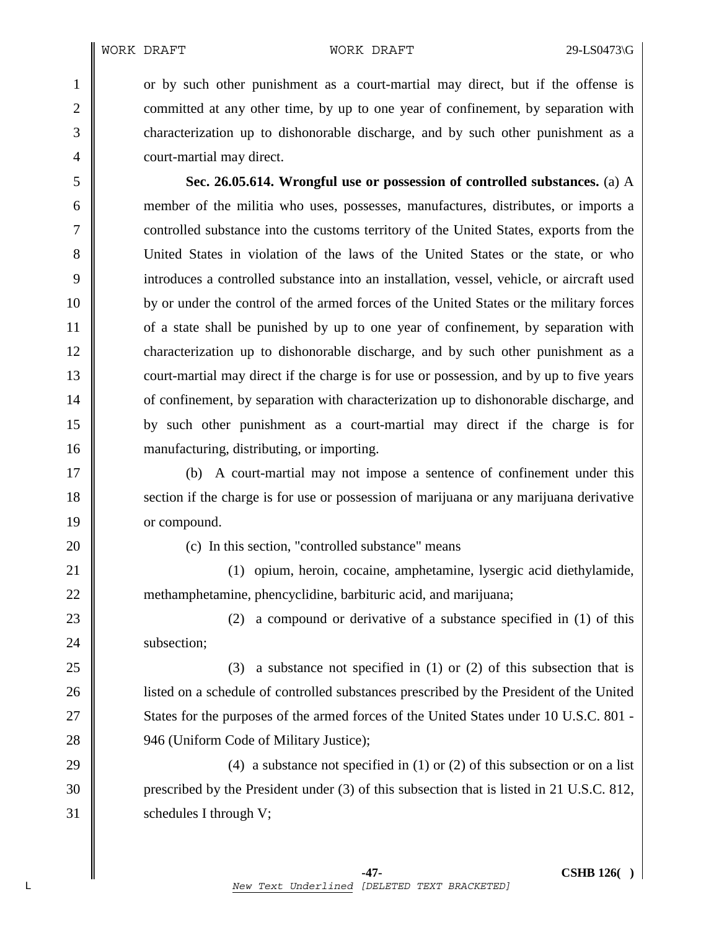1 or by such other punishment as a court-martial may direct, but if the offense is 2 committed at any other time, by up to one year of confinement, by separation with 3 characterization up to dishonorable discharge, and by such other punishment as a 4 **court-martial may direct.** 

5 **Sec. 26.05.614. Wrongful use or possession of controlled substances.** (a) A 6 member of the militia who uses, possesses, manufactures, distributes, or imports a 7 controlled substance into the customs territory of the United States, exports from the 8 United States in violation of the laws of the United States or the state, or who 9 introduces a controlled substance into an installation, vessel, vehicle, or aircraft used 10 by or under the control of the armed forces of the United States or the military forces 11 of a state shall be punished by up to one year of confinement, by separation with 12 characterization up to dishonorable discharge, and by such other punishment as a 13 court-martial may direct if the charge is for use or possession, and by up to five years 14 of confinement, by separation with characterization up to dishonorable discharge, and 15 by such other punishment as a court-martial may direct if the charge is for 16 manufacturing, distributing, or importing.

17 (b) A court-martial may not impose a sentence of confinement under this 18 section if the charge is for use or possession of marijuana or any marijuana derivative 19 or compound.

 $20$  || (c) In this section, "controlled substance" means

21 (1) opium, heroin, cocaine, amphetamine, lysergic acid diethylamide, 22 methamphetamine, phencyclidine, barbituric acid, and marijuana;

23  $\parallel$  (2) a compound or derivative of a substance specified in (1) of this 24 | subsection;

25 (3) a substance not specified in (1) or (2) of this subsection that is 26 **liceurs** listed on a schedule of controlled substances prescribed by the President of the United 27 States for the purposes of the armed forces of the United States under 10 U.S.C. 801 -28 **946** (Uniform Code of Military Justice);

29  $\parallel$  (4) a substance not specified in (1) or (2) of this subsection or on a list 30 prescribed by the President under (3) of this subsection that is listed in 21 U.S.C. 812, 31 Schedules I through V;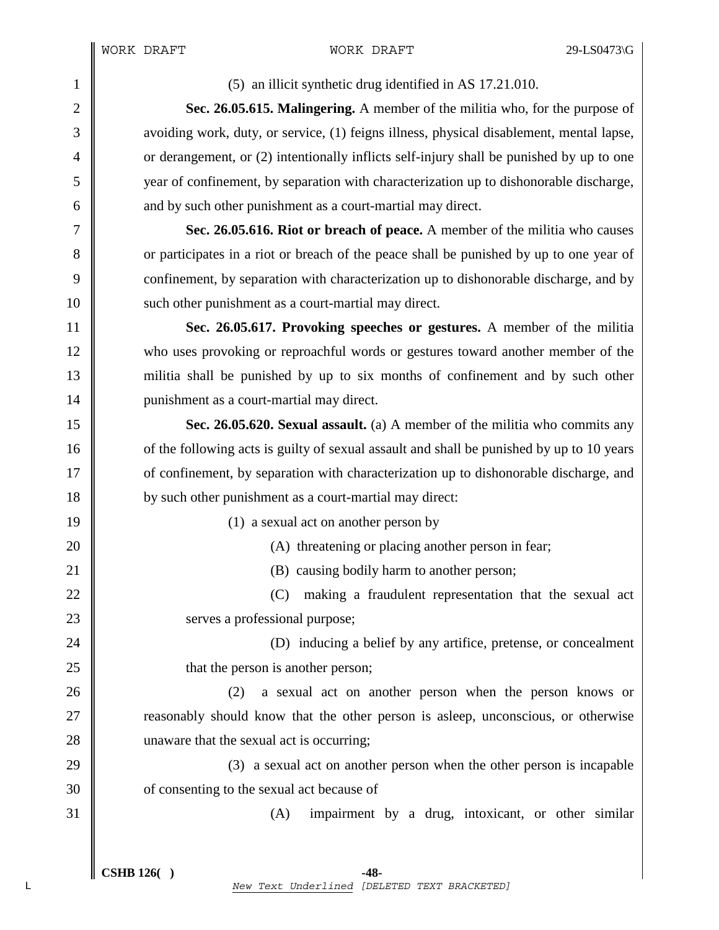1 (5) an illicit synthetic drug identified in AS 17.21.010.

2 **Sec. 26.05.615. Malingering.** A member of the militia who, for the purpose of 3 avoiding work, duty, or service, (1) feigns illness, physical disablement, mental lapse, 4  $\parallel$  or derangement, or (2) intentionally inflicts self-injury shall be punished by up to one 5 year of confinement, by separation with characterization up to dishonorable discharge, 6 and by such other punishment as a court-martial may direct.

7 **Sec. 26.05.616. Riot or breach of peace.** A member of the militia who causes 8 or participates in a riot or breach of the peace shall be punished by up to one year of 9 confinement, by separation with characterization up to dishonorable discharge, and by 10 such other punishment as a court-martial may direct.

11 **Sec. 26.05.617. Provoking speeches or gestures.** A member of the militia 12 who uses provoking or reproachful words or gestures toward another member of the 13 militia shall be punished by up to six months of confinement and by such other 14 | punishment as a court-martial may direct.

15 **Sec. 26.05.620. Sexual assault.** (a) A member of the militia who commits any 16 of the following acts is guilty of sexual assault and shall be punished by up to 10 years 17 of confinement, by separation with characterization up to dishonorable discharge, and 18 by such other punishment as a court-martial may direct:

19 | (1) a sexual act on another person by

20 (A) threatening or placing another person in fear;

21 **(B)** causing bodily harm to another person;

22  $\parallel$  (C) making a fraudulent representation that the sexual act 23 Serves a professional purpose;

24 || (D) inducing a belief by any artifice, pretense, or concealment 25 **that the person is another person;** 

26 (2) a sexual act on another person when the person knows or 27 **T** reasonably should know that the other person is asleep, unconscious, or otherwise 28 unaware that the sexual act is occurring;

29  $\parallel$  (3) a sexual act on another person when the other person is incapable 30 **o** of consenting to the sexual act because of

 $31 \parallel$  (A) impairment by a drug, intoxicant, or other similar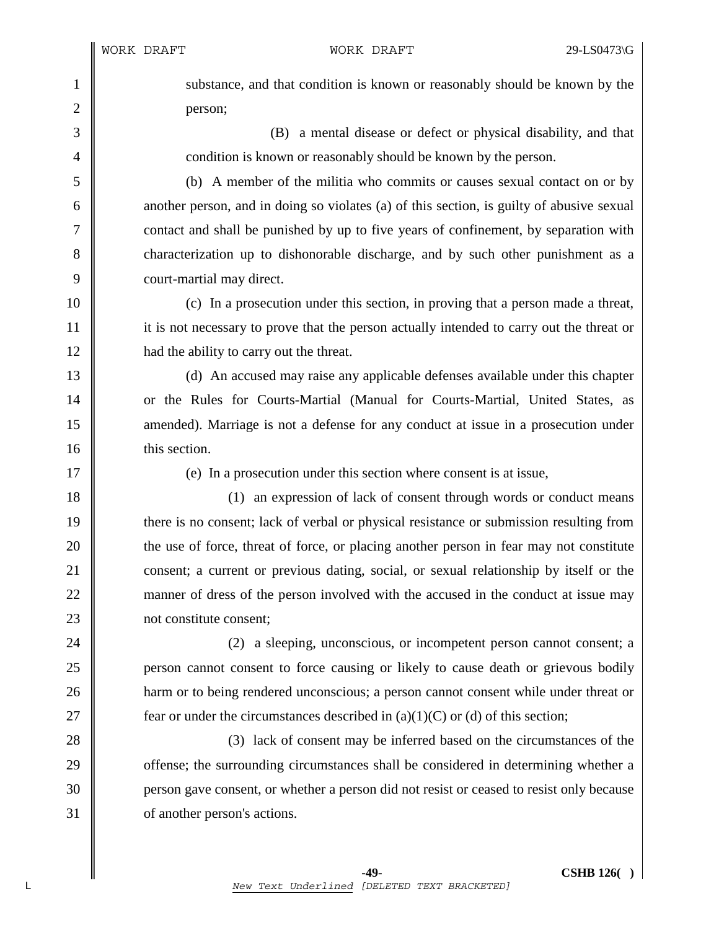1 substance, and that condition is known or reasonably should be known by the 2 **person**;

3 (B) a mental disease or defect or physical disability, and that 4 condition is known or reasonably should be known by the person.

5 (b) A member of the militia who commits or causes sexual contact on or by  $6 \parallel$  another person, and in doing so violates (a) of this section, is guilty of abusive sexual 7 | contact and shall be punished by up to five years of confinement, by separation with 8 characterization up to dishonorable discharge, and by such other punishment as a 9 court-martial may direct.

10 (c) In a prosecution under this section, in proving that a person made a threat, 11 it is not necessary to prove that the person actually intended to carry out the threat or 12 **had the ability to carry out the threat.** 

13 (d) An accused may raise any applicable defenses available under this chapter 14 or the Rules for Courts-Martial (Manual for Courts-Martial, United States, as 15 **amended**). Marriage is not a defense for any conduct at issue in a prosecution under 16 **I** this section.

17 (e) In a prosecution under this section where consent is at issue,

18 (1) an expression of lack of consent through words or conduct means 19 there is no consent; lack of verbal or physical resistance or submission resulting from 20 the use of force, threat of force, or placing another person in fear may not constitute 21 consent; a current or previous dating, social, or sexual relationship by itself or the 22 manner of dress of the person involved with the accused in the conduct at issue may 23 | not constitute consent:

24 (2) a sleeping, unconscious, or incompetent person cannot consent; a **person cannot consent to force causing or likely to cause death or grievous bodily harm** or to being rendered unconscious; a person cannot consent while under threat or  $\parallel$  fear or under the circumstances described in (a)(1)(C) or (d) of this section;

28 (3) lack of consent may be inferred based on the circumstances of the 29 **offense**; the surrounding circumstances shall be considered in determining whether a 30 person gave consent, or whether a person did not resist or ceased to resist only because 31 **o** of another person's actions.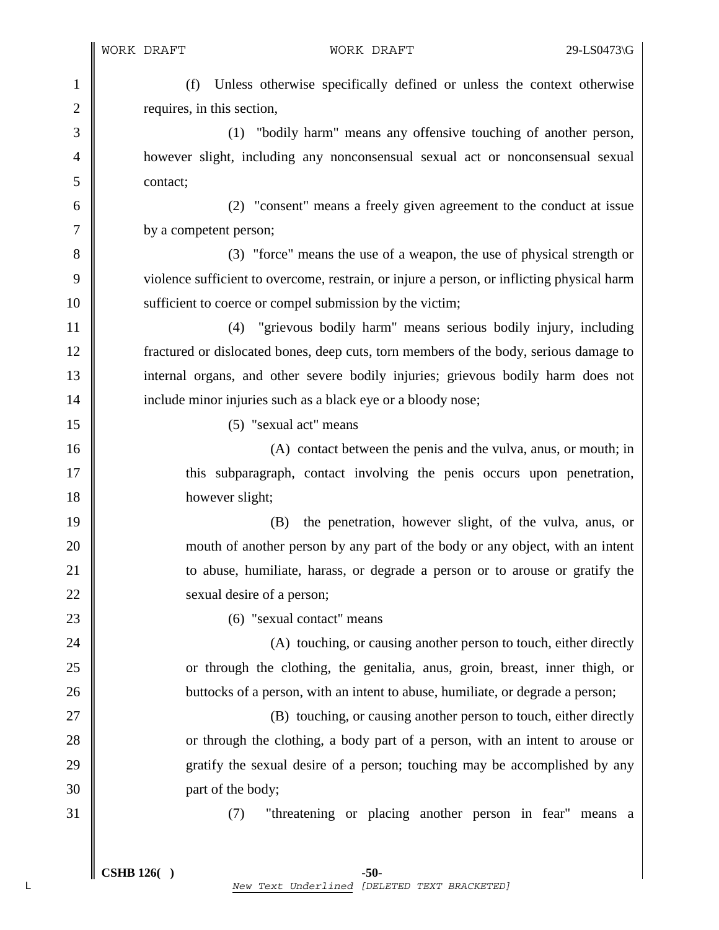1 (f) Unless otherwise specifically defined or unless the context otherwise 2 | requires, in this section,

3 (1) "bodily harm" means any offensive touching of another person, 4 however slight, including any nonconsensual sexual act or nonconsensual sexual 5 contact;

6 (2) "consent" means a freely given agreement to the conduct at issue 7 by a competent person;

8 (3) "force" means the use of a weapon, the use of physical strength or 9 violence sufficient to overcome, restrain, or injure a person, or inflicting physical harm 10 | sufficient to coerce or compel submission by the victim;

11 (4) "grievous bodily harm" means serious bodily injury, including 12 fractured or dislocated bones, deep cuts, torn members of the body, serious damage to 13 internal organs, and other severe bodily injuries; grievous bodily harm does not 14 | include minor injuries such as a black eye or a bloody nose;

15 (5) "sexual act" means

16 (A) contact between the penis and the vulva, anus, or mouth; in 17  $\parallel$  this subparagraph, contact involving the penis occurs upon penetration, 18 however slight;

19 (B) the penetration, however slight, of the vulva, anus, or 20 **mouth of another person by any part of the body or any object, with an intent** 21 **to abuse, humiliate, harass, or degrade a person or to arouse or gratify the** 22 Sexual desire of a person;

23 (6) "sexual contact" means

24 (A) touching, or causing another person to touch, either directly 25 or through the clothing, the genitalia, anus, groin, breast, inner thigh, or 26 **buttocks** of a person, with an intent to abuse, humiliate, or degrade a person;

27 || (B) touching, or causing another person to touch, either directly 28 or through the clothing, a body part of a person, with an intent to arouse or 29 gratify the sexual desire of a person; touching may be accomplished by any 30 part of the body;

31 (7) "threatening or placing another person in fear" means a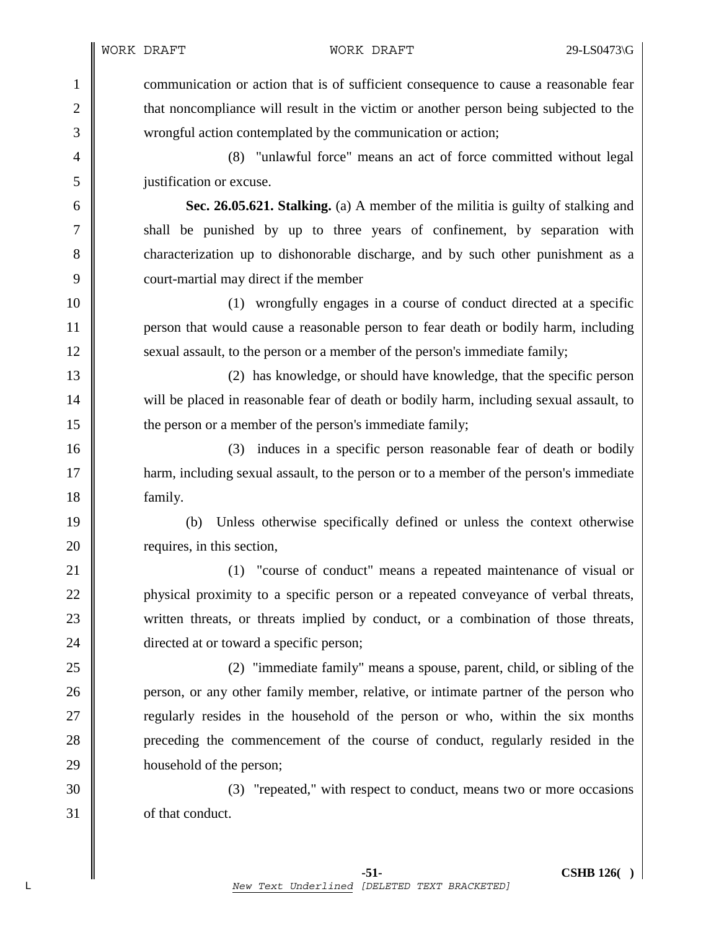1 communication or action that is of sufficient consequence to cause a reasonable fear 2 that noncompliance will result in the victim or another person being subjected to the 3 wrongful action contemplated by the communication or action;

4 (8) "unlawful force" means an act of force committed without legal 5 justification or excuse.

6 **Sec. 26.05.621. Stalking.** (a) A member of the militia is guilty of stalking and 7 || shall be punished by up to three years of confinement, by separation with 8 characterization up to dishonorable discharge, and by such other punishment as a 9 \\ court-martial may direct if the member

10 (1) wrongfully engages in a course of conduct directed at a specific 11 person that would cause a reasonable person to fear death or bodily harm, including 12 Sexual assault, to the person or a member of the person's immediate family;

13 (2) has knowledge, or should have knowledge, that the specific person 14 will be placed in reasonable fear of death or bodily harm, including sexual assault, to 15 **the person or a member of the person's immediate family;** 

16 (3) induces in a specific person reasonable fear of death or bodily 17 **harm, including sexual assault, to the person or to a member of the person's immediate** 18 | family.

19 (b) Unless otherwise specifically defined or unless the context otherwise 20 **c** requires, in this section,

21 **(1)** "course of conduct" means a repeated maintenance of visual or 22 physical proximity to a specific person or a repeated conveyance of verbal threats, 23 written threats, or threats implied by conduct, or a combination of those threats, 24 directed at or toward a specific person;

25 (2) "immediate family" means a spouse, parent, child, or sibling of the 26 **person**, or any other family member, relative, or intimate partner of the person who 27 **T** regularly resides in the household of the person or who, within the six months 28 preceding the commencement of the course of conduct, regularly resided in the 29 household of the person;

30 (3) "repeated," with respect to conduct, means two or more occasions 31 of that conduct.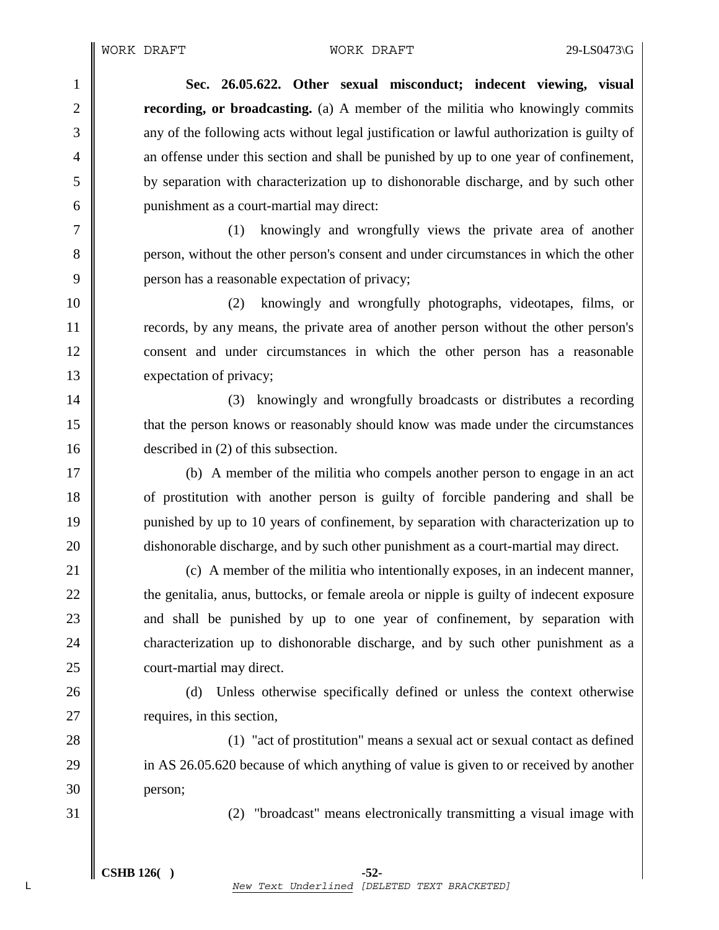1 **Sec. 26.05.622. Other sexual misconduct; indecent viewing, visual**  2 **recording, or broadcasting.** (a) A member of the militia who knowingly commits 3  $\parallel$  any of the following acts without legal justification or lawful authorization is guilty of 4 an offense under this section and shall be punished by up to one year of confinement, 5 by separation with characterization up to dishonorable discharge, and by such other 6 punishment as a court-martial may direct:

7 (1) knowingly and wrongfully views the private area of another 8 person, without the other person's consent and under circumstances in which the other 9 **person has a reasonable expectation of privacy;** 

10 (2) knowingly and wrongfully photographs, videotapes, films, or 11 records, by any means, the private area of another person without the other person's 12 consent and under circumstances in which the other person has a reasonable 13 xexpectation of privacy;

14 || (3) knowingly and wrongfully broadcasts or distributes a recording 15 that the person knows or reasonably should know was made under the circumstances 16 described in (2) of this subsection.

17 (b) A member of the militia who compels another person to engage in an act 18 **or** of prostitution with another person is guilty of forcible pandering and shall be 19 punished by up to 10 years of confinement, by separation with characterization up to 20 dishonorable discharge, and by such other punishment as a court-martial may direct.

21 (c) A member of the militia who intentionally exposes, in an indecent manner, 22 the genitalia, anus, buttocks, or female areola or nipple is guilty of indecent exposure 23 and shall be punished by up to one year of confinement, by separation with 24 characterization up to dishonorable discharge, and by such other punishment as a 25 **court-martial may direct.** 

26 (d) Unless otherwise specifically defined or unless the context otherwise 27  $\parallel$  requires, in this section,

28 (1) "act of prostitution" means a sexual act or sexual contact as defined 29 in AS 26.05.620 because of which anything of value is given to or received by another 30 person;

31 (2) "broadcast" means electronically transmitting a visual image with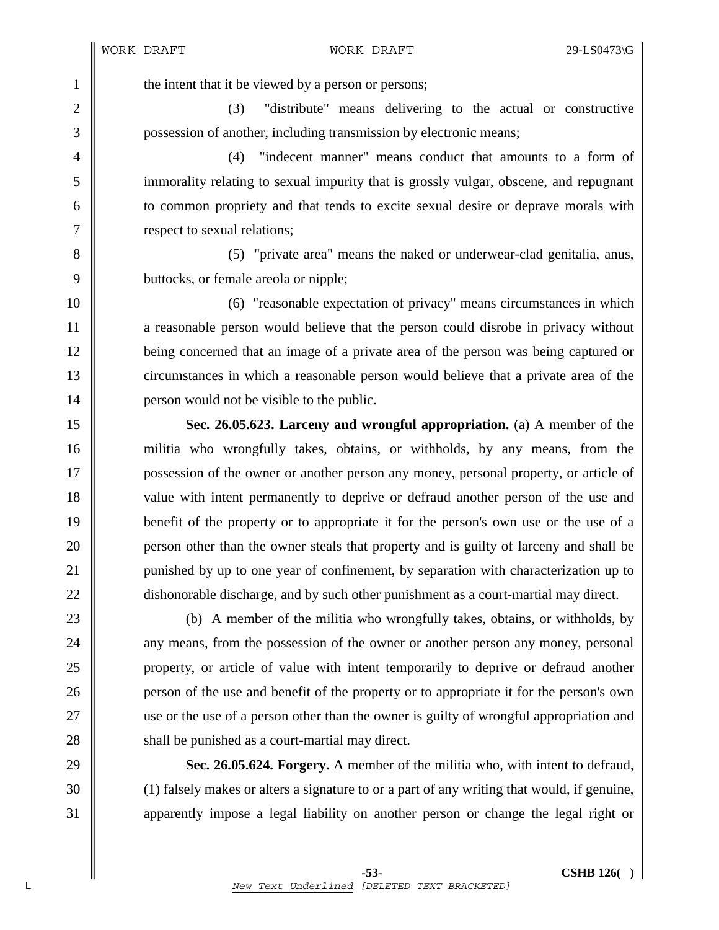1 the intent that it be viewed by a person or persons;

2 (3) "distribute" means delivering to the actual or constructive 3 possession of another, including transmission by electronic means;

4 (4) "indecent manner" means conduct that amounts to a form of 5 immorality relating to sexual impurity that is grossly vulgar, obscene, and repugnant 6 to common propriety and that tends to excite sexual desire or deprave morals with 7 **P** respect to sexual relations;

8 (5) "private area" means the naked or underwear-clad genitalia, anus, 9 buttocks, or female areola or nipple:

10 (6) "reasonable expectation of privacy" means circumstances in which 11 a reasonable person would believe that the person could disrobe in privacy without 12 being concerned that an image of a private area of the person was being captured or 13 circumstances in which a reasonable person would believe that a private area of the 14 **person would not be visible to the public.** 

15 **Sec. 26.05.623. Larceny and wrongful appropriation.** (a) A member of the 16 militia who wrongfully takes, obtains, or withholds, by any means, from the 17 possession of the owner or another person any money, personal property, or article of 18 value with intent permanently to deprive or defraud another person of the use and 19 benefit of the property or to appropriate it for the person's own use or the use of a 20 **person other than the owner steals that property and is guilty of larceny and shall be** 21 punished by up to one year of confinement, by separation with characterization up to 22 dishonorable discharge, and by such other punishment as a court-martial may direct.

23 (b) A member of the militia who wrongfully takes, obtains, or withholds, by 24 **a** any means, from the possession of the owner or another person any money, personal 25 property, or article of value with intent temporarily to deprive or defraud another 26 person of the use and benefit of the property or to appropriate it for the person's own 27 use or the use of a person other than the owner is guilty of wrongful appropriation and 28 **Shall be punished as a court-martial may direct.** 

29 **Sec. 26.05.624. Forgery.** A member of the militia who, with intent to defraud, 30 (1) falsely makes or alters a signature to or a part of any writing that would, if genuine, 31 apparently impose a legal liability on another person or change the legal right or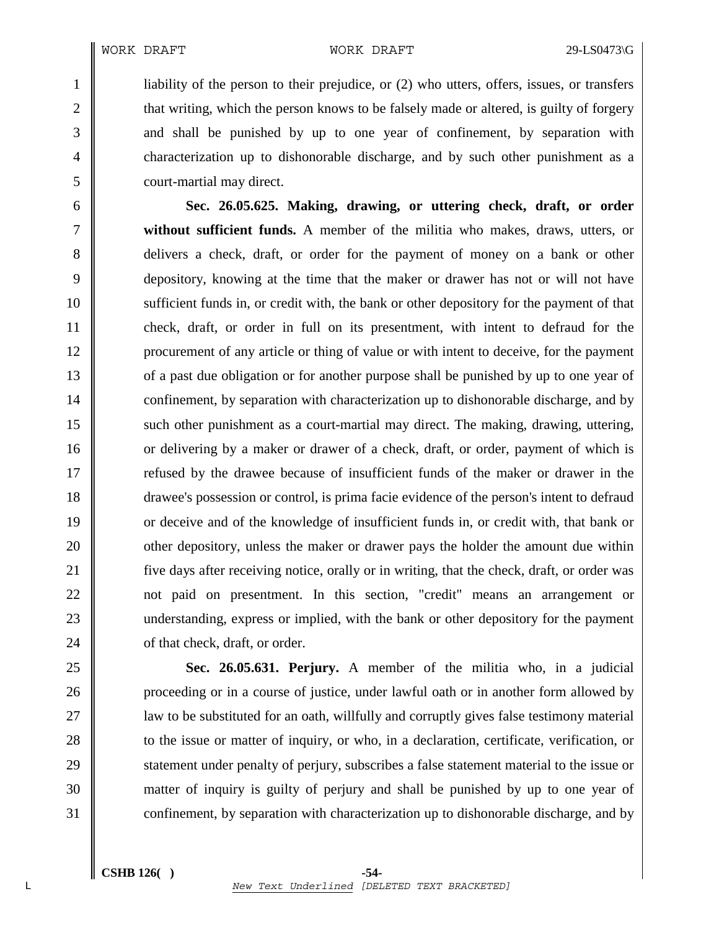1 iiability of the person to their prejudice, or (2) who utters, offers, issues, or transfers 2 that writing, which the person knows to be falsely made or altered, is guilty of forgery 3 and shall be punished by up to one year of confinement, by separation with 4 characterization up to dishonorable discharge, and by such other punishment as a 5 court-martial may direct.

6 **Sec. 26.05.625. Making, drawing, or uttering check, draft, or order**  7 **without sufficient funds.** A member of the militia who makes, draws, utters, or 8 delivers a check, draft, or order for the payment of money on a bank or other 9 depository, knowing at the time that the maker or drawer has not or will not have 10 sufficient funds in, or credit with, the bank or other depository for the payment of that 11 check, draft, or order in full on its presentment, with intent to defraud for the 12 procurement of any article or thing of value or with intent to deceive, for the payment 13 of a past due obligation or for another purpose shall be punished by up to one year of 14 confinement, by separation with characterization up to dishonorable discharge, and by 15 such other punishment as a court-martial may direct. The making, drawing, uttering, 16 or delivering by a maker or drawer of a check, draft, or order, payment of which is 17 **Figure 1** refused by the drawee because of insufficient funds of the maker or drawer in the 18 drawee's possession or control, is prima facie evidence of the person's intent to defraud 19 or deceive and of the knowledge of insufficient funds in, or credit with, that bank or 20 **oursel of the maker of drawer pays** the holder the amount due within 21 five days after receiving notice, orally or in writing, that the check, draft, or order was 22 || not paid on presentment. In this section, "credit" means an arrangement or 23 understanding, express or implied, with the bank or other depository for the payment 24 **o** of that check, draft, or order.

25 **Sec. 26.05.631. Perjury.** A member of the militia who, in a judicial 26 **proceeding or in a course of justice, under lawful oath or in another form allowed by** 27 | aux to be substituted for an oath, willfully and corruptly gives false testimony material 28 to the issue or matter of inquiry, or who, in a declaration, certificate, verification, or 29 Statement under penalty of perjury, subscribes a false statement material to the issue or 30 matter of inquiry is guilty of perjury and shall be punished by up to one year of 31 confinement, by separation with characterization up to dishonorable discharge, and by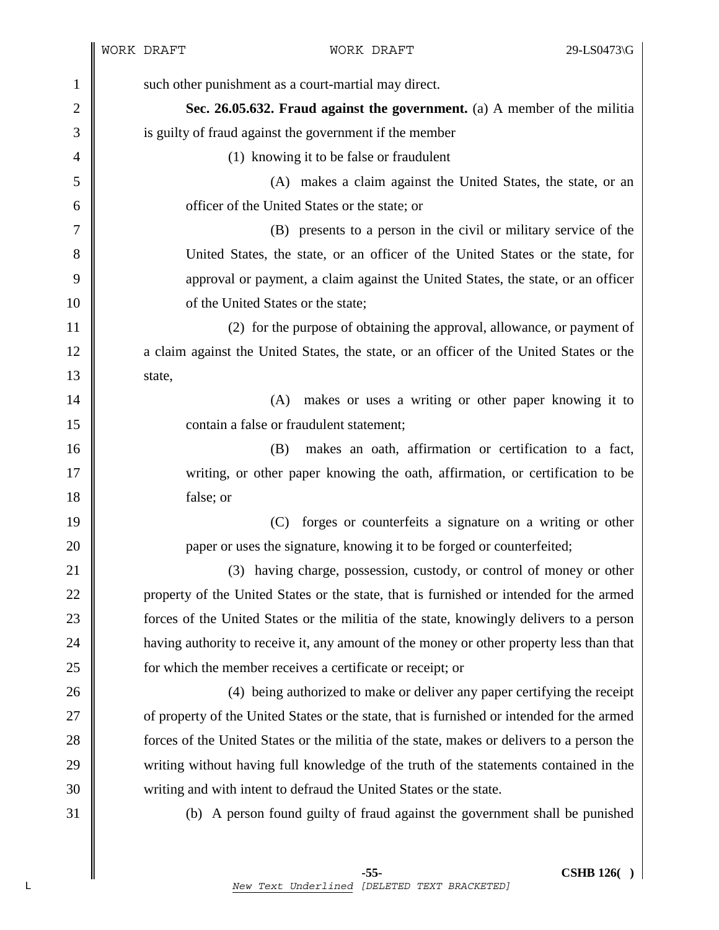| $\mathbf{1}$   | such other punishment as a court-martial may direct.                                       |
|----------------|--------------------------------------------------------------------------------------------|
| $\overline{2}$ | Sec. 26.05.632. Fraud against the government. (a) A member of the militia                  |
| 3              | is guilty of fraud against the government if the member                                    |
| $\overline{4}$ | (1) knowing it to be false or fraudulent                                                   |
| 5              | (A) makes a claim against the United States, the state, or an                              |
| 6              | officer of the United States or the state; or                                              |
| 7              | (B) presents to a person in the civil or military service of the                           |
| 8              | United States, the state, or an officer of the United States or the state, for             |
| 9              | approval or payment, a claim against the United States, the state, or an officer           |
| 10             | of the United States or the state;                                                         |
| 11             | (2) for the purpose of obtaining the approval, allowance, or payment of                    |
| 12             | a claim against the United States, the state, or an officer of the United States or the    |
| 13             | state,                                                                                     |
| 14             | makes or uses a writing or other paper knowing it to<br>(A)                                |
| 15             | contain a false or fraudulent statement;                                                   |
| 16             | makes an oath, affirmation or certification to a fact,<br>(B)                              |
| 17             | writing, or other paper knowing the oath, affirmation, or certification to be              |
| 18             | false; or                                                                                  |
| 19             | forges or counterfeits a signature on a writing or other<br>(C)                            |
| 20             | paper or uses the signature, knowing it to be forged or counterfeited;                     |
| 21             | (3) having charge, possession, custody, or control of money or other                       |
| 22             | property of the United States or the state, that is furnished or intended for the armed    |
| 23             | forces of the United States or the militia of the state, knowingly delivers to a person    |
| 24             | having authority to receive it, any amount of the money or other property less than that   |
| 25             | for which the member receives a certificate or receipt; or                                 |
| 26             | (4) being authorized to make or deliver any paper certifying the receipt                   |
| 27             | of property of the United States or the state, that is furnished or intended for the armed |
| 28             | forces of the United States or the militia of the state, makes or delivers to a person the |
| 29             | writing without having full knowledge of the truth of the statements contained in the      |
| 30             | writing and with intent to defraud the United States or the state.                         |
| 31             | (b) A person found guilty of fraud against the government shall be punished                |
|                |                                                                                            |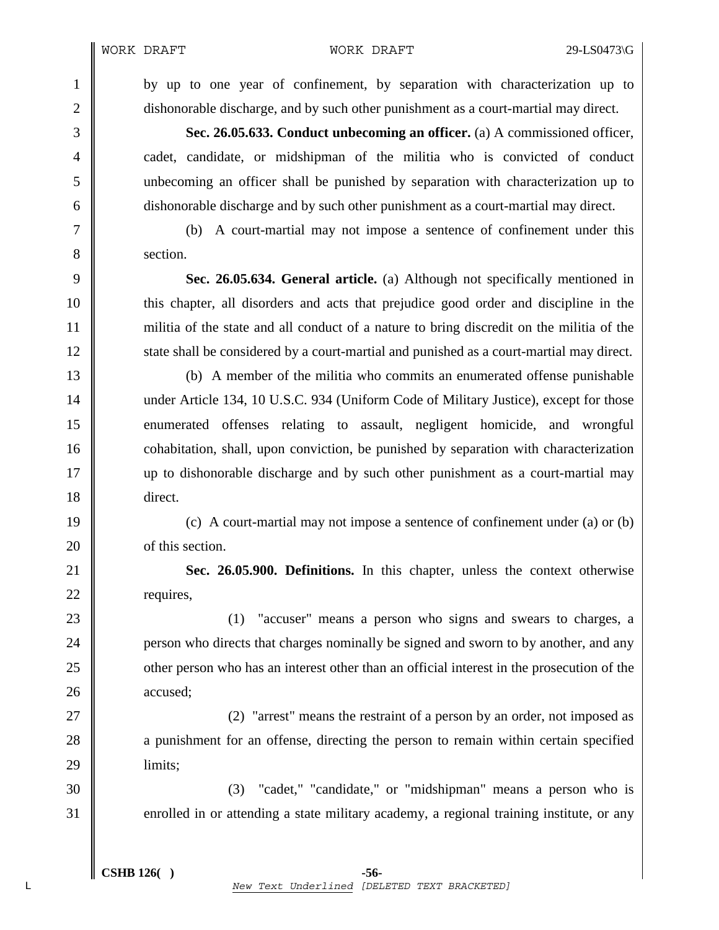1 by up to one year of confinement, by separation with characterization up to 2 dishonorable discharge, and by such other punishment as a court-martial may direct.

3 **Sec. 26.05.633. Conduct unbecoming an officer.** (a) A commissioned officer, 4 cadet, candidate, or midshipman of the militia who is convicted of conduct 5 unbecoming an officer shall be punished by separation with characterization up to 6 dishonorable discharge and by such other punishment as a court-martial may direct.

7 (b) A court-martial may not impose a sentence of confinement under this 8 section.

9 **Sec. 26.05.634. General article.** (a) Although not specifically mentioned in 10 this chapter, all disorders and acts that prejudice good order and discipline in the 11 militia of the state and all conduct of a nature to bring discredit on the militia of the 12 state shall be considered by a court-martial and punished as a court-martial may direct.

13 (b) A member of the militia who commits an enumerated offense punishable 14 under Article 134, 10 U.S.C. 934 (Uniform Code of Military Justice), except for those 15 enumerated offenses relating to assault, negligent homicide, and wrongful 16 cohabitation, shall, upon conviction, be punished by separation with characterization 17 up to dishonorable discharge and by such other punishment as a court-martial may 18 direct.

19 (c) A court-martial may not impose a sentence of confinement under (a) or (b) 20 **b** of this section.

21 **Sec. 26.05.900. Definitions.** In this chapter, unless the context otherwise 22 **c** requires,

23 (1) "accuser" means a person who signs and swears to charges, a 24 **person who directs that charges nominally be signed and sworn to by another, and any** 25 other person who has an interest other than an official interest in the prosecution of the 26 accused;

27 || (2) "arrest" means the restraint of a person by an order, not imposed as 28 a punishment for an offense, directing the person to remain within certain specified 29 | limits:

30 (3) "cadet," "candidate," or "midshipman" means a person who is 31 enrolled in or attending a state military academy, a regional training institute, or any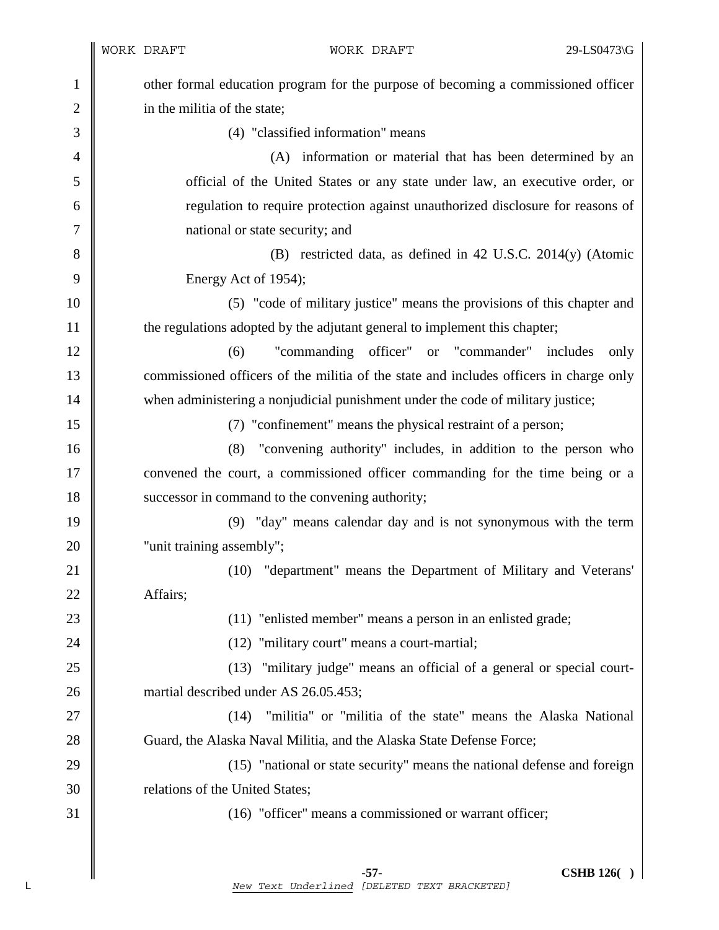| 1              | other formal education program for the purpose of becoming a commissioned officer      |  |  |  |
|----------------|----------------------------------------------------------------------------------------|--|--|--|
| $\overline{2}$ | in the militia of the state;                                                           |  |  |  |
| 3              | (4) "classified information" means                                                     |  |  |  |
| 4              | information or material that has been determined by an<br>(A)                          |  |  |  |
| 5              | official of the United States or any state under law, an executive order, or           |  |  |  |
| 6              | regulation to require protection against unauthorized disclosure for reasons of        |  |  |  |
| 7              | national or state security; and                                                        |  |  |  |
| 8              | (B) restricted data, as defined in 42 U.S.C. 2014(y) (Atomic                           |  |  |  |
| 9              | Energy Act of 1954);                                                                   |  |  |  |
| 10             | (5) "code of military justice" means the provisions of this chapter and                |  |  |  |
| 11             | the regulations adopted by the adjutant general to implement this chapter;             |  |  |  |
| 12             | "commanding officer" or "commander" includes<br>(6)<br>only                            |  |  |  |
| 13             | commissioned officers of the militia of the state and includes officers in charge only |  |  |  |
| 14             | when administering a nonjudicial punishment under the code of military justice;        |  |  |  |
| 15             | (7) "confinement" means the physical restraint of a person;                            |  |  |  |
| 16             | "convening authority" includes, in addition to the person who<br>(8)                   |  |  |  |
| 17             | convened the court, a commissioned officer commanding for the time being or a          |  |  |  |
| 18             | successor in command to the convening authority;                                       |  |  |  |
| 19             | (9) "day" means calendar day and is not synonymous with the term                       |  |  |  |
| 20             | "unit training assembly";                                                              |  |  |  |
| 21             | "department" means the Department of Military and Veterans'<br>(10)                    |  |  |  |
| 22             | Affairs;                                                                               |  |  |  |
| 23             | (11) "enlisted member" means a person in an enlisted grade;                            |  |  |  |
| 24             | (12) "military court" means a court-martial;                                           |  |  |  |
| 25             | "military judge" means an official of a general or special court-<br>(13)              |  |  |  |
| 26             | martial described under AS 26.05.453;                                                  |  |  |  |
| 27             | "militia" or "militia of the state" means the Alaska National<br>(14)                  |  |  |  |
| 28             | Guard, the Alaska Naval Militia, and the Alaska State Defense Force;                   |  |  |  |
| 29             | (15) "national or state security" means the national defense and foreign               |  |  |  |
| 30             | relations of the United States;                                                        |  |  |  |
| 31             | (16) "officer" means a commissioned or warrant officer;                                |  |  |  |
|                |                                                                                        |  |  |  |
|                |                                                                                        |  |  |  |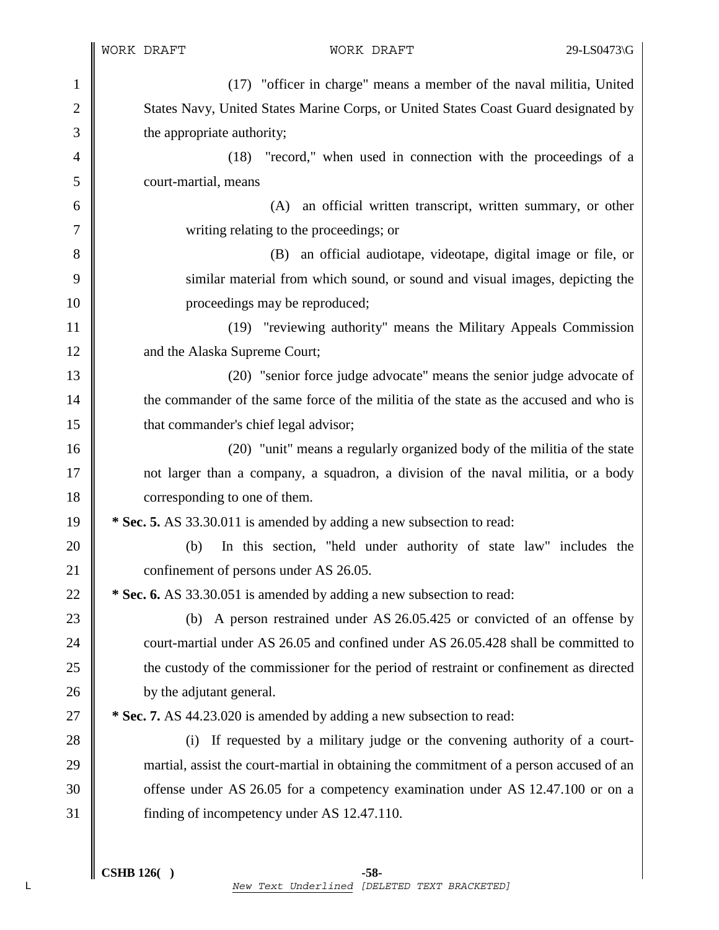1 (17) "officer in charge" means a member of the naval militia, United 2 States Navy, United States Marine Corps, or United States Coast Guard designated by 3 the appropriate authority; 4 (18) "record," when used in connection with the proceedings of a 5 court-martial, means 6 (A) an official written transcript, written summary, or other 7 writing relating to the proceedings; or 8 (B) an official audiotape, videotape, digital image or file, or 9 similar material from which sound, or sound and visual images, depicting the 10 || proceedings may be reproduced; 11 (19) "reviewing authority" means the Military Appeals Commission 12 and the Alaska Supreme Court; 13 (20) "senior force judge advocate" means the senior judge advocate of 14 the commander of the same force of the militia of the state as the accused and who is 15 **that commander's chief legal advisor;** 16 **(20)** "unit" means a regularly organized body of the militia of the state 17 not larger than a company, a squadron, a division of the naval militia, or a body 18 corresponding to one of them. 19 **\* Sec. 5.** AS 33.30.011 is amended by adding a new subsection to read: 20 (b) In this section, "held under authority of state law" includes the 21 **confinement of persons under AS 26.05.** 22 **\*** Sec. 6. AS 33.30.051 is amended by adding a new subsection to read: 23 (b) A person restrained under AS 26.05.425 or convicted of an offense by 24 court-martial under AS 26.05 and confined under AS 26.05.428 shall be committed to 25 the custody of the commissioner for the period of restraint or confinement as directed 26 **by the adjutant general.** 27 **\*** Sec. 7. AS 44.23.020 is amended by adding a new subsection to read: 28 (i) If requested by a military judge or the convening authority of a court-29 martial, assist the court-martial in obtaining the commitment of a person accused of an 30 Someter AS 26.05 for a competency examination under AS 12.47.100 or on a 31 finding of incompetency under AS 12.47.110.